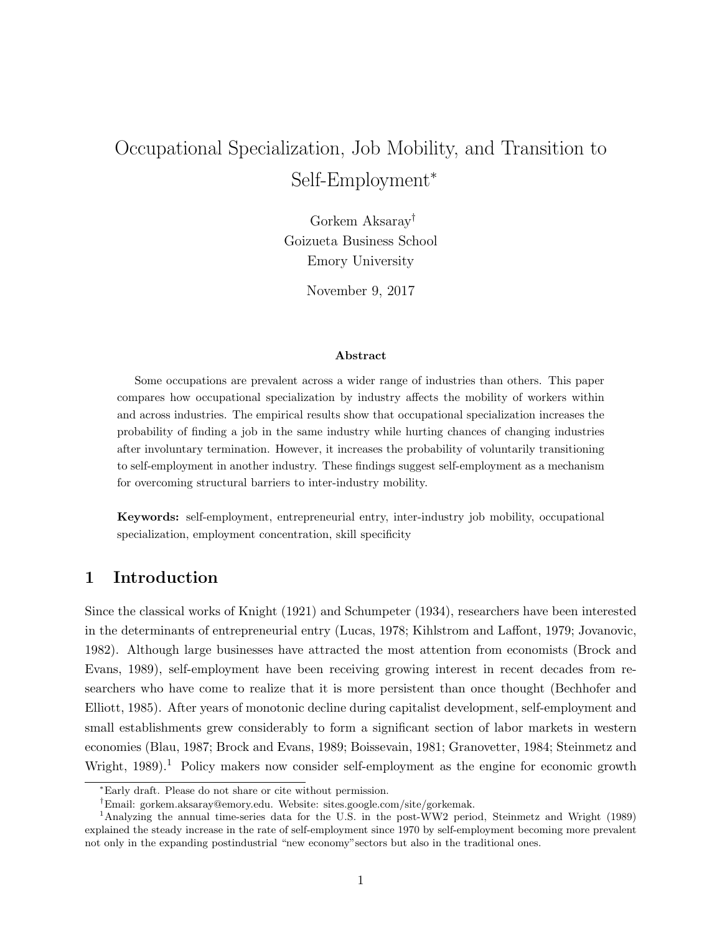# Occupational Specialization, Job Mobility, and Transition to Self-Employment<sup>∗</sup>

Gorkem Aksaray† Goizueta Business School Emory University

November 9, 2017

## Abstract

Some occupations are prevalent across a wider range of industries than others. This paper compares how occupational specialization by industry affects the mobility of workers within and across industries. The empirical results show that occupational specialization increases the probability of finding a job in the same industry while hurting chances of changing industries after involuntary termination. However, it increases the probability of voluntarily transitioning to self-employment in another industry. These findings suggest self-employment as a mechanism for overcoming structural barriers to inter-industry mobility.

Keywords: self-employment, entrepreneurial entry, inter-industry job mobility, occupational specialization, employment concentration, skill specificity

# 1 Introduction

Since the classical works of Knight (1921) and Schumpeter (1934), researchers have been interested in the determinants of entrepreneurial entry (Lucas, 1978; Kihlstrom and Laffont, 1979; Jovanovic, 1982). Although large businesses have attracted the most attention from economists (Brock and Evans, 1989), self-employment have been receiving growing interest in recent decades from researchers who have come to realize that it is more persistent than once thought (Bechhofer and Elliott, 1985). After years of monotonic decline during capitalist development, self-employment and small establishments grew considerably to form a significant section of labor markets in western economies (Blau, 1987; Brock and Evans, 1989; Boissevain, 1981; Granovetter, 1984; Steinmetz and Wright,  $1989$ .<sup>1</sup> Policy makers now consider self-employment as the engine for economic growth

<sup>∗</sup>Early draft. Please do not share or cite without permission.

<sup>†</sup>Email: gorkem.aksaray@emory.edu. Website: sites.google.com/site/gorkemak.

<sup>1</sup>Analyzing the annual time-series data for the U.S. in the post-WW2 period, Steinmetz and Wright (1989) explained the steady increase in the rate of self-employment since 1970 by self-employment becoming more prevalent not only in the expanding postindustrial "new economy"sectors but also in the traditional ones.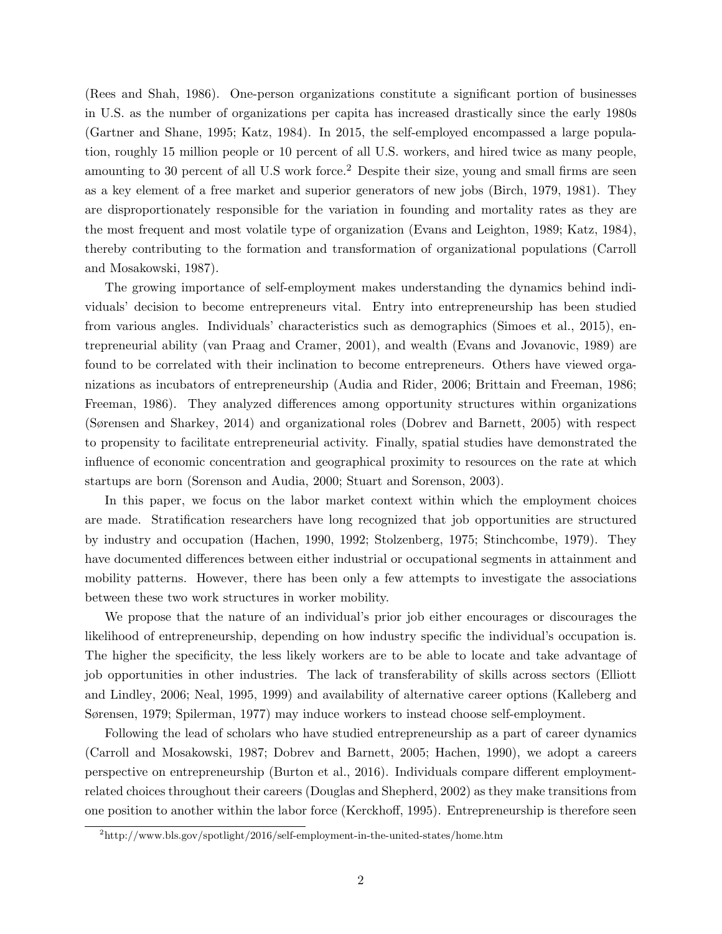(Rees and Shah, 1986). One-person organizations constitute a significant portion of businesses in U.S. as the number of organizations per capita has increased drastically since the early 1980s (Gartner and Shane, 1995; Katz, 1984). In 2015, the self-employed encompassed a large population, roughly 15 million people or 10 percent of all U.S. workers, and hired twice as many people, amounting to 30 percent of all U.S work force.<sup>2</sup> Despite their size, young and small firms are seen as a key element of a free market and superior generators of new jobs (Birch, 1979, 1981). They are disproportionately responsible for the variation in founding and mortality rates as they are the most frequent and most volatile type of organization (Evans and Leighton, 1989; Katz, 1984), thereby contributing to the formation and transformation of organizational populations (Carroll and Mosakowski, 1987).

The growing importance of self-employment makes understanding the dynamics behind individuals' decision to become entrepreneurs vital. Entry into entrepreneurship has been studied from various angles. Individuals' characteristics such as demographics (Simoes et al., 2015), entrepreneurial ability (van Praag and Cramer, 2001), and wealth (Evans and Jovanovic, 1989) are found to be correlated with their inclination to become entrepreneurs. Others have viewed organizations as incubators of entrepreneurship (Audia and Rider, 2006; Brittain and Freeman, 1986; Freeman, 1986). They analyzed differences among opportunity structures within organizations (Sørensen and Sharkey, 2014) and organizational roles (Dobrev and Barnett, 2005) with respect to propensity to facilitate entrepreneurial activity. Finally, spatial studies have demonstrated the influence of economic concentration and geographical proximity to resources on the rate at which startups are born (Sorenson and Audia, 2000; Stuart and Sorenson, 2003).

In this paper, we focus on the labor market context within which the employment choices are made. Stratification researchers have long recognized that job opportunities are structured by industry and occupation (Hachen, 1990, 1992; Stolzenberg, 1975; Stinchcombe, 1979). They have documented differences between either industrial or occupational segments in attainment and mobility patterns. However, there has been only a few attempts to investigate the associations between these two work structures in worker mobility.

We propose that the nature of an individual's prior job either encourages or discourages the likelihood of entrepreneurship, depending on how industry specific the individual's occupation is. The higher the specificity, the less likely workers are to be able to locate and take advantage of job opportunities in other industries. The lack of transferability of skills across sectors (Elliott and Lindley, 2006; Neal, 1995, 1999) and availability of alternative career options (Kalleberg and Sørensen, 1979; Spilerman, 1977) may induce workers to instead choose self-employment.

Following the lead of scholars who have studied entrepreneurship as a part of career dynamics (Carroll and Mosakowski, 1987; Dobrev and Barnett, 2005; Hachen, 1990), we adopt a careers perspective on entrepreneurship (Burton et al., 2016). Individuals compare different employmentrelated choices throughout their careers (Douglas and Shepherd, 2002) as they make transitions from one position to another within the labor force (Kerckhoff, 1995). Entrepreneurship is therefore seen

 $^2$ http://www.bls.gov/spotlight/2016/self-employment-in-the-united-states/home.htm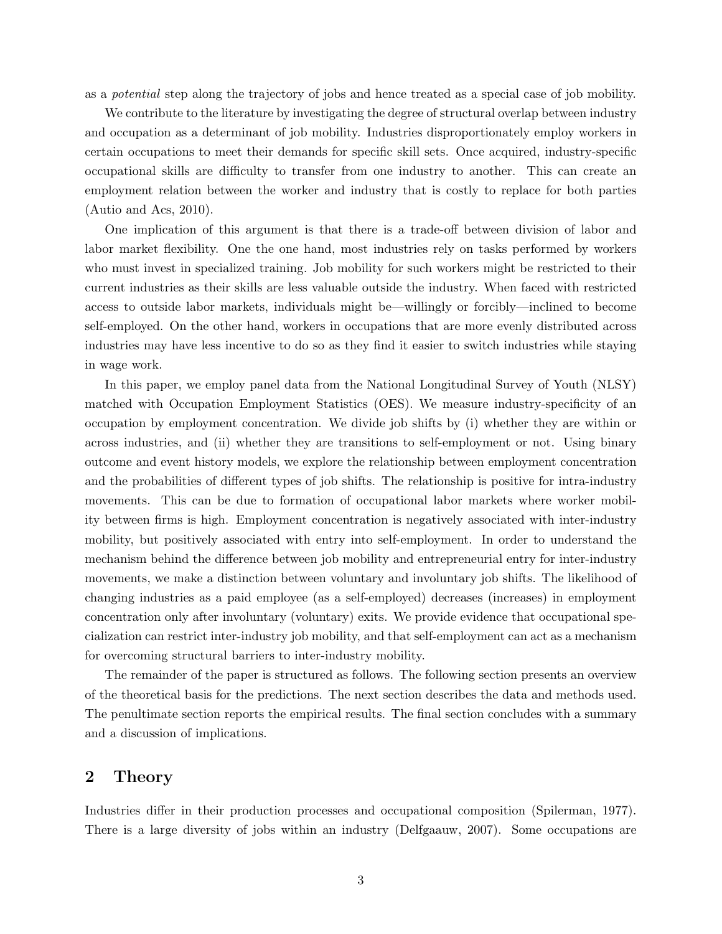as a potential step along the trajectory of jobs and hence treated as a special case of job mobility.

We contribute to the literature by investigating the degree of structural overlap between industry and occupation as a determinant of job mobility. Industries disproportionately employ workers in certain occupations to meet their demands for specific skill sets. Once acquired, industry-specific occupational skills are difficulty to transfer from one industry to another. This can create an employment relation between the worker and industry that is costly to replace for both parties (Autio and Acs, 2010).

One implication of this argument is that there is a trade-off between division of labor and labor market flexibility. One the one hand, most industries rely on tasks performed by workers who must invest in specialized training. Job mobility for such workers might be restricted to their current industries as their skills are less valuable outside the industry. When faced with restricted access to outside labor markets, individuals might be—willingly or forcibly—inclined to become self-employed. On the other hand, workers in occupations that are more evenly distributed across industries may have less incentive to do so as they find it easier to switch industries while staying in wage work.

In this paper, we employ panel data from the National Longitudinal Survey of Youth (NLSY) matched with Occupation Employment Statistics (OES). We measure industry-specificity of an occupation by employment concentration. We divide job shifts by (i) whether they are within or across industries, and (ii) whether they are transitions to self-employment or not. Using binary outcome and event history models, we explore the relationship between employment concentration and the probabilities of different types of job shifts. The relationship is positive for intra-industry movements. This can be due to formation of occupational labor markets where worker mobility between firms is high. Employment concentration is negatively associated with inter-industry mobility, but positively associated with entry into self-employment. In order to understand the mechanism behind the difference between job mobility and entrepreneurial entry for inter-industry movements, we make a distinction between voluntary and involuntary job shifts. The likelihood of changing industries as a paid employee (as a self-employed) decreases (increases) in employment concentration only after involuntary (voluntary) exits. We provide evidence that occupational specialization can restrict inter-industry job mobility, and that self-employment can act as a mechanism for overcoming structural barriers to inter-industry mobility.

The remainder of the paper is structured as follows. The following section presents an overview of the theoretical basis for the predictions. The next section describes the data and methods used. The penultimate section reports the empirical results. The final section concludes with a summary and a discussion of implications.

# 2 Theory

Industries differ in their production processes and occupational composition (Spilerman, 1977). There is a large diversity of jobs within an industry (Delfgaauw, 2007). Some occupations are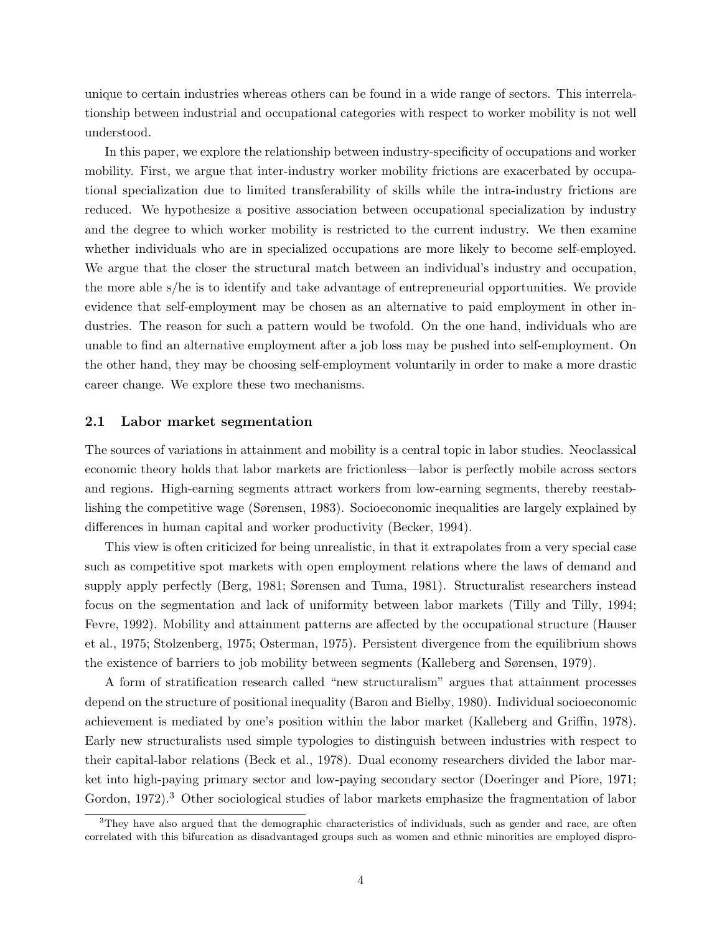unique to certain industries whereas others can be found in a wide range of sectors. This interrelationship between industrial and occupational categories with respect to worker mobility is not well understood.

In this paper, we explore the relationship between industry-specificity of occupations and worker mobility. First, we argue that inter-industry worker mobility frictions are exacerbated by occupational specialization due to limited transferability of skills while the intra-industry frictions are reduced. We hypothesize a positive association between occupational specialization by industry and the degree to which worker mobility is restricted to the current industry. We then examine whether individuals who are in specialized occupations are more likely to become self-employed. We argue that the closer the structural match between an individual's industry and occupation, the more able s/he is to identify and take advantage of entrepreneurial opportunities. We provide evidence that self-employment may be chosen as an alternative to paid employment in other industries. The reason for such a pattern would be twofold. On the one hand, individuals who are unable to find an alternative employment after a job loss may be pushed into self-employment. On the other hand, they may be choosing self-employment voluntarily in order to make a more drastic career change. We explore these two mechanisms.

## 2.1 Labor market segmentation

The sources of variations in attainment and mobility is a central topic in labor studies. Neoclassical economic theory holds that labor markets are frictionless—labor is perfectly mobile across sectors and regions. High-earning segments attract workers from low-earning segments, thereby reestablishing the competitive wage (Sørensen, 1983). Socioeconomic inequalities are largely explained by differences in human capital and worker productivity (Becker, 1994).

This view is often criticized for being unrealistic, in that it extrapolates from a very special case such as competitive spot markets with open employment relations where the laws of demand and supply apply perfectly (Berg, 1981; Sørensen and Tuma, 1981). Structuralist researchers instead focus on the segmentation and lack of uniformity between labor markets (Tilly and Tilly, 1994; Fevre, 1992). Mobility and attainment patterns are affected by the occupational structure (Hauser et al., 1975; Stolzenberg, 1975; Osterman, 1975). Persistent divergence from the equilibrium shows the existence of barriers to job mobility between segments (Kalleberg and Sørensen, 1979).

A form of stratification research called "new structuralism" argues that attainment processes depend on the structure of positional inequality (Baron and Bielby, 1980). Individual socioeconomic achievement is mediated by one's position within the labor market (Kalleberg and Griffin, 1978). Early new structuralists used simple typologies to distinguish between industries with respect to their capital-labor relations (Beck et al., 1978). Dual economy researchers divided the labor market into high-paying primary sector and low-paying secondary sector (Doeringer and Piore, 1971; Gordon, 1972).<sup>3</sup> Other sociological studies of labor markets emphasize the fragmentation of labor

<sup>&</sup>lt;sup>3</sup>They have also argued that the demographic characteristics of individuals, such as gender and race, are often correlated with this bifurcation as disadvantaged groups such as women and ethnic minorities are employed dispro-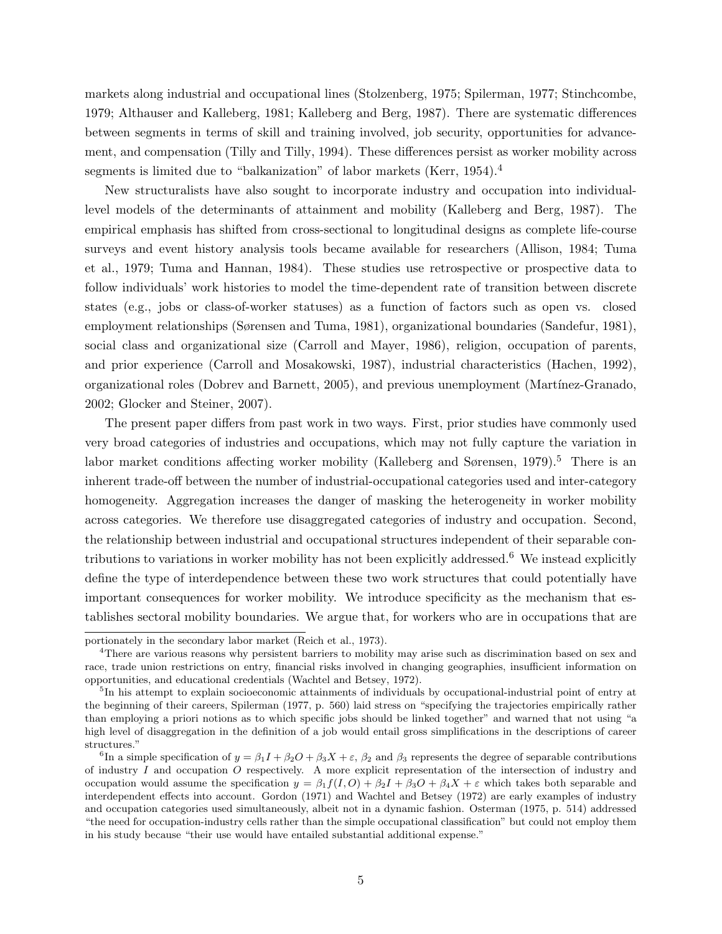markets along industrial and occupational lines (Stolzenberg, 1975; Spilerman, 1977; Stinchcombe, 1979; Althauser and Kalleberg, 1981; Kalleberg and Berg, 1987). There are systematic differences between segments in terms of skill and training involved, job security, opportunities for advancement, and compensation (Tilly and Tilly, 1994). These differences persist as worker mobility across segments is limited due to "balkanization" of labor markets (Kerr, 1954).<sup>4</sup>

New structuralists have also sought to incorporate industry and occupation into individuallevel models of the determinants of attainment and mobility (Kalleberg and Berg, 1987). The empirical emphasis has shifted from cross-sectional to longitudinal designs as complete life-course surveys and event history analysis tools became available for researchers (Allison, 1984; Tuma et al., 1979; Tuma and Hannan, 1984). These studies use retrospective or prospective data to follow individuals' work histories to model the time-dependent rate of transition between discrete states (e.g., jobs or class-of-worker statuses) as a function of factors such as open vs. closed employment relationships (Sørensen and Tuma, 1981), organizational boundaries (Sandefur, 1981), social class and organizational size (Carroll and Mayer, 1986), religion, occupation of parents, and prior experience (Carroll and Mosakowski, 1987), industrial characteristics (Hachen, 1992), organizational roles (Dobrev and Barnett, 2005), and previous unemployment (Mart´ınez-Granado, 2002; Glocker and Steiner, 2007).

The present paper differs from past work in two ways. First, prior studies have commonly used very broad categories of industries and occupations, which may not fully capture the variation in labor market conditions affecting worker mobility (Kalleberg and Sørensen, 1979).<sup>5</sup> There is an inherent trade-off between the number of industrial-occupational categories used and inter-category homogeneity. Aggregation increases the danger of masking the heterogeneity in worker mobility across categories. We therefore use disaggregated categories of industry and occupation. Second, the relationship between industrial and occupational structures independent of their separable contributions to variations in worker mobility has not been explicitly addressed.<sup>6</sup> We instead explicitly define the type of interdependence between these two work structures that could potentially have important consequences for worker mobility. We introduce specificity as the mechanism that establishes sectoral mobility boundaries. We argue that, for workers who are in occupations that are

portionately in the secondary labor market (Reich et al., 1973).

<sup>4</sup>There are various reasons why persistent barriers to mobility may arise such as discrimination based on sex and race, trade union restrictions on entry, financial risks involved in changing geographies, insufficient information on opportunities, and educational credentials (Wachtel and Betsey, 1972).

<sup>&</sup>lt;sup>5</sup>In his attempt to explain socioeconomic attainments of individuals by occupational-industrial point of entry at the beginning of their careers, Spilerman (1977, p. 560) laid stress on "specifying the trajectories empirically rather than employing a priori notions as to which specific jobs should be linked together" and warned that not using "a high level of disaggregation in the definition of a job would entail gross simplifications in the descriptions of career structures."

<sup>&</sup>lt;sup>6</sup>In a simple specification of  $y = \beta_1 I + \beta_2 O + \beta_3 X + \varepsilon$ ,  $\beta_2$  and  $\beta_3$  represents the degree of separable contributions of industry  $I$  and occupation  $O$  respectively. A more explicit representation of the intersection of industry and occupation would assume the specification  $y = \beta_1 f(I, O) + \beta_2 I + \beta_3 O + \beta_4 X + \varepsilon$  which takes both separable and interdependent effects into account. Gordon (1971) and Wachtel and Betsey (1972) are early examples of industry and occupation categories used simultaneously, albeit not in a dynamic fashion. Osterman (1975, p. 514) addressed "the need for occupation-industry cells rather than the simple occupational classification" but could not employ them in his study because "their use would have entailed substantial additional expense."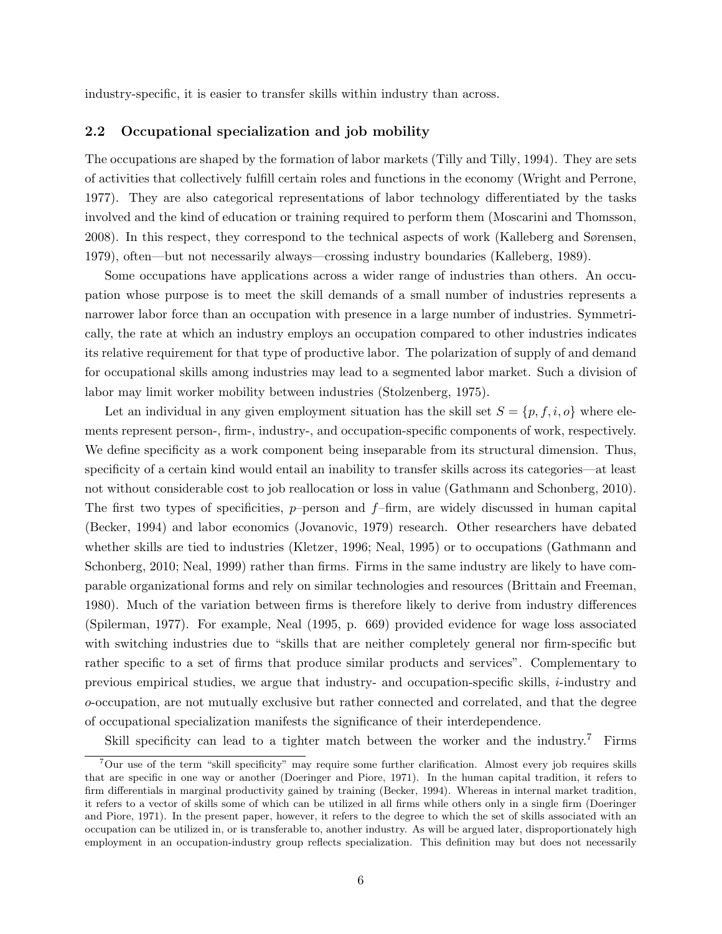industry-specific, it is easier to transfer skills within industry than across.

#### 2.2 Occupational specialization and job mobility

The occupations are shaped by the formation of labor markets (Tilly and Tilly, 1994). They are sets of activities that collectively fulfill certain roles and functions in the economy (Wright and Perrone, 1977). They are also categorical representations of labor technology differentiated by the tasks involved and the kind of education or training required to perform them (Moscarini and Thomsson, 2008). In this respect, they correspond to the technical aspects of work (Kalleberg and Sørensen, 1979), often—but not necessarily always—crossing industry boundaries (Kalleberg, 1989).

Some occupations have applications across a wider range of industries than others. An occupation whose purpose is to meet the skill demands of a small number of industries represents a narrower labor force than an occupation with presence in a large number of industries. Symmetrically, the rate at which an industry employs an occupation compared to other industries indicates its relative requirement for that type of productive labor. The polarization of supply of and demand for occupational skills among industries may lead to a segmented labor market. Such a division of labor may limit worker mobility between industries (Stolzenberg, 1975).

Let an individual in any given employment situation has the skill set  $S = \{p, f, i, o\}$  where elements represent person-, firm-, industry-, and occupation-specific components of work, respectively. We define specificity as a work component being inseparable from its structural dimension. Thus, specificity of a certain kind would entail an inability to transfer skills across its categories—at least not without considerable cost to job reallocation or loss in value (Gathmann and Schonberg, 2010). The first two types of specificities,  $p$ -person and  $f$ -firm, are widely discussed in human capital (Becker, 1994) and labor economics (Jovanovic, 1979) research. Other researchers have debated whether skills are tied to industries (Kletzer, 1996; Neal, 1995) or to occupations (Gathmann and Schonberg, 2010; Neal, 1999) rather than firms. Firms in the same industry are likely to have comparable organizational forms and rely on similar technologies and resources (Brittain and Freeman, 1980). Much of the variation between firms is therefore likely to derive from industry differences (Spilerman, 1977). For example, Neal (1995, p. 669) provided evidence for wage loss associated with switching industries due to "skills that are neither completely general nor firm-specific but rather specific to a set of firms that produce similar products and services". Complementary to previous empirical studies, we argue that industry- and occupation-specific skills,  $i$ -industry and o-occupation, are not mutually exclusive but rather connected and correlated, and that the degree of occupational specialization manifests the significance of their interdependence.

Skill specificity can lead to a tighter match between the worker and the industry.<sup>7</sup> Firms

<sup>7</sup>Our use of the term "skill specificity" may require some further clarification. Almost every job requires skills that are specific in one way or another (Doeringer and Piore, 1971). In the human capital tradition, it refers to firm differentials in marginal productivity gained by training (Becker, 1994). Whereas in internal market tradition, it refers to a vector of skills some of which can be utilized in all firms while others only in a single firm (Doeringer and Piore, 1971). In the present paper, however, it refers to the degree to which the set of skills associated with an occupation can be utilized in, or is transferable to, another industry. As will be argued later, disproportionately high employment in an occupation-industry group reflects specialization. This definition may but does not necessarily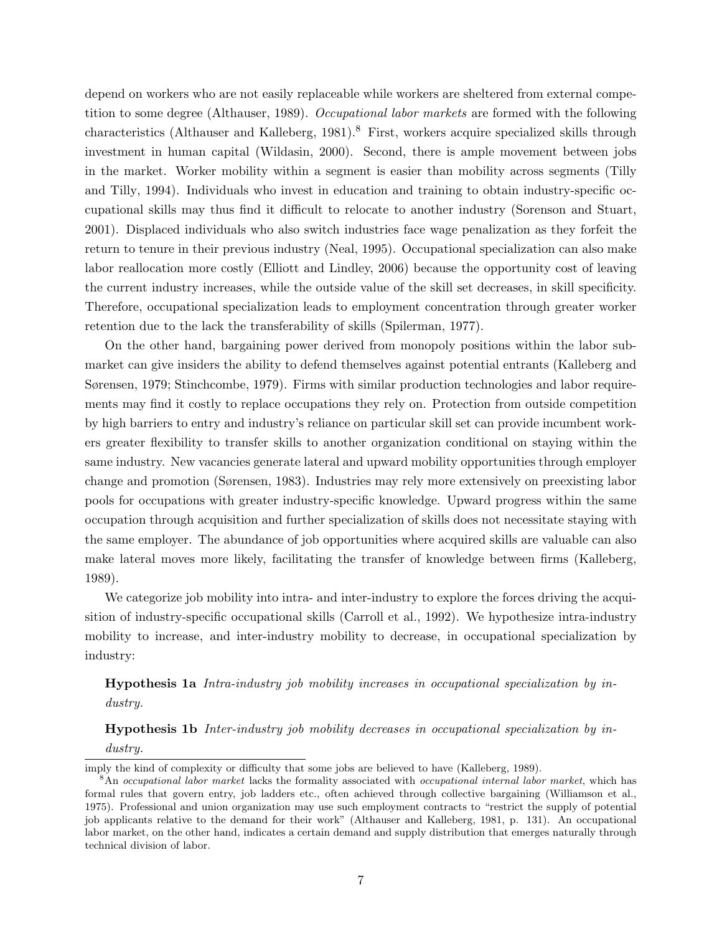depend on workers who are not easily replaceable while workers are sheltered from external competition to some degree (Althauser, 1989). Occupational labor markets are formed with the following characteristics (Althauser and Kalleberg, 1981).<sup>8</sup> First, workers acquire specialized skills through investment in human capital (Wildasin, 2000). Second, there is ample movement between jobs in the market. Worker mobility within a segment is easier than mobility across segments (Tilly and Tilly, 1994). Individuals who invest in education and training to obtain industry-specific occupational skills may thus find it difficult to relocate to another industry (Sorenson and Stuart, 2001). Displaced individuals who also switch industries face wage penalization as they forfeit the return to tenure in their previous industry (Neal, 1995). Occupational specialization can also make labor reallocation more costly (Elliott and Lindley, 2006) because the opportunity cost of leaving the current industry increases, while the outside value of the skill set decreases, in skill specificity. Therefore, occupational specialization leads to employment concentration through greater worker retention due to the lack the transferability of skills (Spilerman, 1977).

On the other hand, bargaining power derived from monopoly positions within the labor submarket can give insiders the ability to defend themselves against potential entrants (Kalleberg and Sørensen, 1979; Stinchcombe, 1979). Firms with similar production technologies and labor requirements may find it costly to replace occupations they rely on. Protection from outside competition by high barriers to entry and industry's reliance on particular skill set can provide incumbent workers greater flexibility to transfer skills to another organization conditional on staying within the same industry. New vacancies generate lateral and upward mobility opportunities through employer change and promotion (Sørensen, 1983). Industries may rely more extensively on preexisting labor pools for occupations with greater industry-specific knowledge. Upward progress within the same occupation through acquisition and further specialization of skills does not necessitate staying with the same employer. The abundance of job opportunities where acquired skills are valuable can also make lateral moves more likely, facilitating the transfer of knowledge between firms (Kalleberg, 1989).

We categorize job mobility into intra- and inter-industry to explore the forces driving the acquisition of industry-specific occupational skills (Carroll et al., 1992). We hypothesize intra-industry mobility to increase, and inter-industry mobility to decrease, in occupational specialization by industry:

Hypothesis 1a Intra-industry job mobility increases in occupational specialization by industry.

Hypothesis 1b Inter-industry job mobility decreases in occupational specialization by industry.

imply the kind of complexity or difficulty that some jobs are believed to have (Kalleberg, 1989).

<sup>&</sup>lt;sup>8</sup>An occupational labor market lacks the formality associated with occupational internal labor market, which has formal rules that govern entry, job ladders etc., often achieved through collective bargaining (Williamson et al., 1975). Professional and union organization may use such employment contracts to "restrict the supply of potential job applicants relative to the demand for their work" (Althauser and Kalleberg, 1981, p. 131). An occupational labor market, on the other hand, indicates a certain demand and supply distribution that emerges naturally through technical division of labor.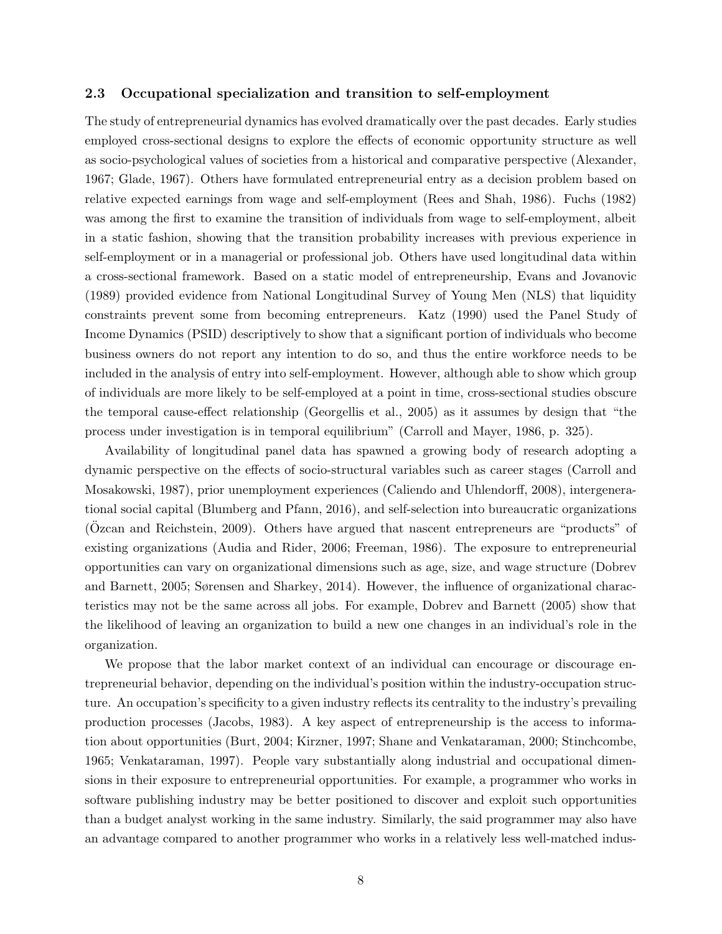## 2.3 Occupational specialization and transition to self-employment

The study of entrepreneurial dynamics has evolved dramatically over the past decades. Early studies employed cross-sectional designs to explore the effects of economic opportunity structure as well as socio-psychological values of societies from a historical and comparative perspective (Alexander, 1967; Glade, 1967). Others have formulated entrepreneurial entry as a decision problem based on relative expected earnings from wage and self-employment (Rees and Shah, 1986). Fuchs (1982) was among the first to examine the transition of individuals from wage to self-employment, albeit in a static fashion, showing that the transition probability increases with previous experience in self-employment or in a managerial or professional job. Others have used longitudinal data within a cross-sectional framework. Based on a static model of entrepreneurship, Evans and Jovanovic (1989) provided evidence from National Longitudinal Survey of Young Men (NLS) that liquidity constraints prevent some from becoming entrepreneurs. Katz (1990) used the Panel Study of Income Dynamics (PSID) descriptively to show that a significant portion of individuals who become business owners do not report any intention to do so, and thus the entire workforce needs to be included in the analysis of entry into self-employment. However, although able to show which group of individuals are more likely to be self-employed at a point in time, cross-sectional studies obscure the temporal cause-effect relationship (Georgellis et al., 2005) as it assumes by design that "the process under investigation is in temporal equilibrium" (Carroll and Mayer, 1986, p. 325).

Availability of longitudinal panel data has spawned a growing body of research adopting a dynamic perspective on the effects of socio-structural variables such as career stages (Carroll and Mosakowski, 1987), prior unemployment experiences (Caliendo and Uhlendorff, 2008), intergenerational social capital (Blumberg and Pfann, 2016), and self-selection into bureaucratic organizations  $(Ozcan and Reichstein, 2009)$ . Others have argued that nascent entrepreneurs are "products" of existing organizations (Audia and Rider, 2006; Freeman, 1986). The exposure to entrepreneurial opportunities can vary on organizational dimensions such as age, size, and wage structure (Dobrev and Barnett, 2005; Sørensen and Sharkey, 2014). However, the influence of organizational characteristics may not be the same across all jobs. For example, Dobrev and Barnett (2005) show that the likelihood of leaving an organization to build a new one changes in an individual's role in the organization.

We propose that the labor market context of an individual can encourage or discourage entrepreneurial behavior, depending on the individual's position within the industry-occupation structure. An occupation's specificity to a given industry reflects its centrality to the industry's prevailing production processes (Jacobs, 1983). A key aspect of entrepreneurship is the access to information about opportunities (Burt, 2004; Kirzner, 1997; Shane and Venkataraman, 2000; Stinchcombe, 1965; Venkataraman, 1997). People vary substantially along industrial and occupational dimensions in their exposure to entrepreneurial opportunities. For example, a programmer who works in software publishing industry may be better positioned to discover and exploit such opportunities than a budget analyst working in the same industry. Similarly, the said programmer may also have an advantage compared to another programmer who works in a relatively less well-matched indus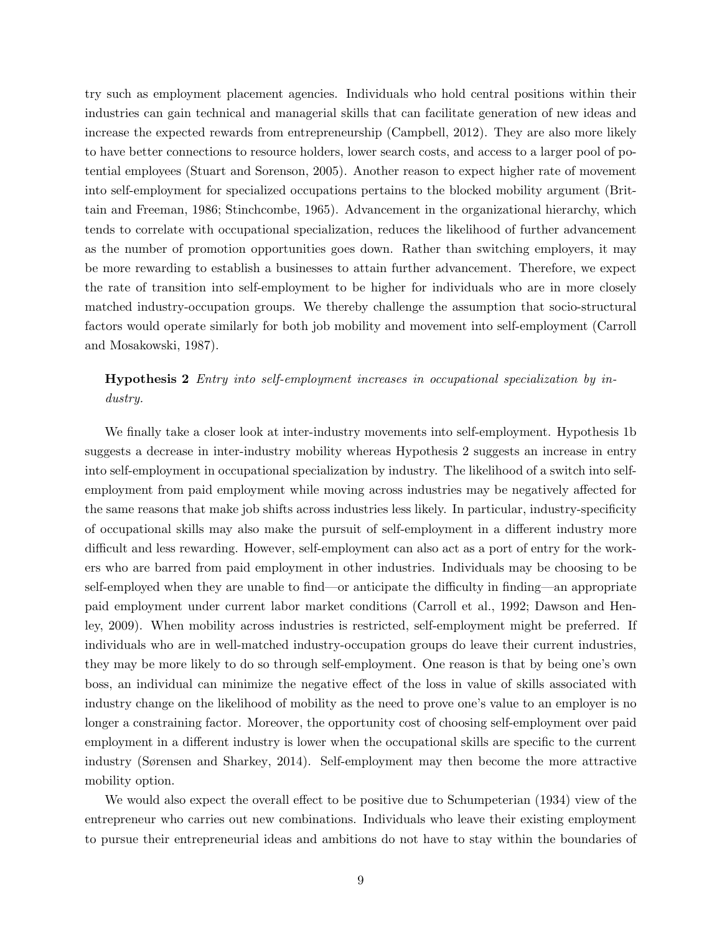try such as employment placement agencies. Individuals who hold central positions within their industries can gain technical and managerial skills that can facilitate generation of new ideas and increase the expected rewards from entrepreneurship (Campbell, 2012). They are also more likely to have better connections to resource holders, lower search costs, and access to a larger pool of potential employees (Stuart and Sorenson, 2005). Another reason to expect higher rate of movement into self-employment for specialized occupations pertains to the blocked mobility argument (Brittain and Freeman, 1986; Stinchcombe, 1965). Advancement in the organizational hierarchy, which tends to correlate with occupational specialization, reduces the likelihood of further advancement as the number of promotion opportunities goes down. Rather than switching employers, it may be more rewarding to establish a businesses to attain further advancement. Therefore, we expect the rate of transition into self-employment to be higher for individuals who are in more closely matched industry-occupation groups. We thereby challenge the assumption that socio-structural factors would operate similarly for both job mobility and movement into self-employment (Carroll and Mosakowski, 1987).

# Hypothesis 2 Entry into self-employment increases in occupational specialization by industry.

We finally take a closer look at inter-industry movements into self-employment. Hypothesis 1b suggests a decrease in inter-industry mobility whereas Hypothesis 2 suggests an increase in entry into self-employment in occupational specialization by industry. The likelihood of a switch into selfemployment from paid employment while moving across industries may be negatively affected for the same reasons that make job shifts across industries less likely. In particular, industry-specificity of occupational skills may also make the pursuit of self-employment in a different industry more difficult and less rewarding. However, self-employment can also act as a port of entry for the workers who are barred from paid employment in other industries. Individuals may be choosing to be self-employed when they are unable to find—or anticipate the difficulty in finding—an appropriate paid employment under current labor market conditions (Carroll et al., 1992; Dawson and Henley, 2009). When mobility across industries is restricted, self-employment might be preferred. If individuals who are in well-matched industry-occupation groups do leave their current industries, they may be more likely to do so through self-employment. One reason is that by being one's own boss, an individual can minimize the negative effect of the loss in value of skills associated with industry change on the likelihood of mobility as the need to prove one's value to an employer is no longer a constraining factor. Moreover, the opportunity cost of choosing self-employment over paid employment in a different industry is lower when the occupational skills are specific to the current industry (Sørensen and Sharkey, 2014). Self-employment may then become the more attractive mobility option.

We would also expect the overall effect to be positive due to Schumpeterian (1934) view of the entrepreneur who carries out new combinations. Individuals who leave their existing employment to pursue their entrepreneurial ideas and ambitions do not have to stay within the boundaries of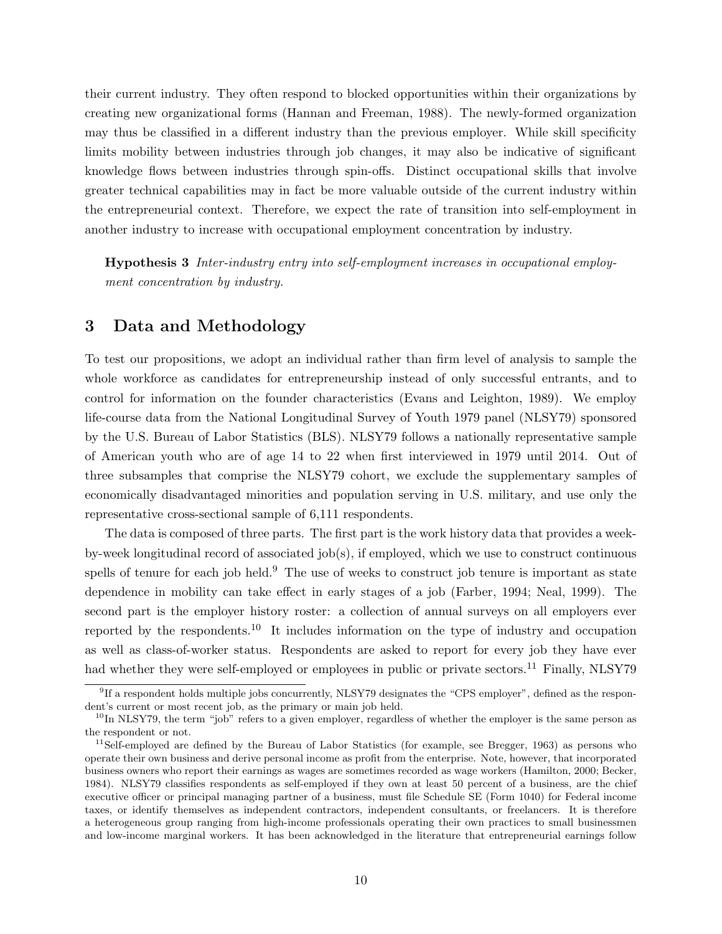their current industry. They often respond to blocked opportunities within their organizations by creating new organizational forms (Hannan and Freeman, 1988). The newly-formed organization may thus be classified in a different industry than the previous employer. While skill specificity limits mobility between industries through job changes, it may also be indicative of significant knowledge flows between industries through spin-offs. Distinct occupational skills that involve greater technical capabilities may in fact be more valuable outside of the current industry within the entrepreneurial context. Therefore, we expect the rate of transition into self-employment in another industry to increase with occupational employment concentration by industry.

Hypothesis 3 Inter-industry entry into self-employment increases in occupational employment concentration by industry.

# 3 Data and Methodology

To test our propositions, we adopt an individual rather than firm level of analysis to sample the whole workforce as candidates for entrepreneurship instead of only successful entrants, and to control for information on the founder characteristics (Evans and Leighton, 1989). We employ life-course data from the National Longitudinal Survey of Youth 1979 panel (NLSY79) sponsored by the U.S. Bureau of Labor Statistics (BLS). NLSY79 follows a nationally representative sample of American youth who are of age 14 to 22 when first interviewed in 1979 until 2014. Out of three subsamples that comprise the NLSY79 cohort, we exclude the supplementary samples of economically disadvantaged minorities and population serving in U.S. military, and use only the representative cross-sectional sample of 6,111 respondents.

The data is composed of three parts. The first part is the work history data that provides a weekby-week longitudinal record of associated job(s), if employed, which we use to construct continuous spells of tenure for each job held.<sup>9</sup> The use of weeks to construct job tenure is important as state dependence in mobility can take effect in early stages of a job (Farber, 1994; Neal, 1999). The second part is the employer history roster: a collection of annual surveys on all employers ever reported by the respondents.<sup>10</sup> It includes information on the type of industry and occupation as well as class-of-worker status. Respondents are asked to report for every job they have ever had whether they were self-employed or employees in public or private sectors.<sup>11</sup> Finally, NLSY79

<sup>&</sup>lt;sup>9</sup>If a respondent holds multiple jobs concurrently, NLSY79 designates the "CPS employer", defined as the respondent's current or most recent job, as the primary or main job held.

 $10$ In NLSY79, the term "job" refers to a given employer, regardless of whether the employer is the same person as the respondent or not.

 $11$ Self-employed are defined by the Bureau of Labor Statistics (for example, see Bregger, 1963) as persons who operate their own business and derive personal income as profit from the enterprise. Note, however, that incorporated business owners who report their earnings as wages are sometimes recorded as wage workers (Hamilton, 2000; Becker, 1984). NLSY79 classifies respondents as self-employed if they own at least 50 percent of a business, are the chief executive officer or principal managing partner of a business, must file Schedule SE (Form 1040) for Federal income taxes, or identify themselves as independent contractors, independent consultants, or freelancers. It is therefore a heterogeneous group ranging from high-income professionals operating their own practices to small businessmen and low-income marginal workers. It has been acknowledged in the literature that entrepreneurial earnings follow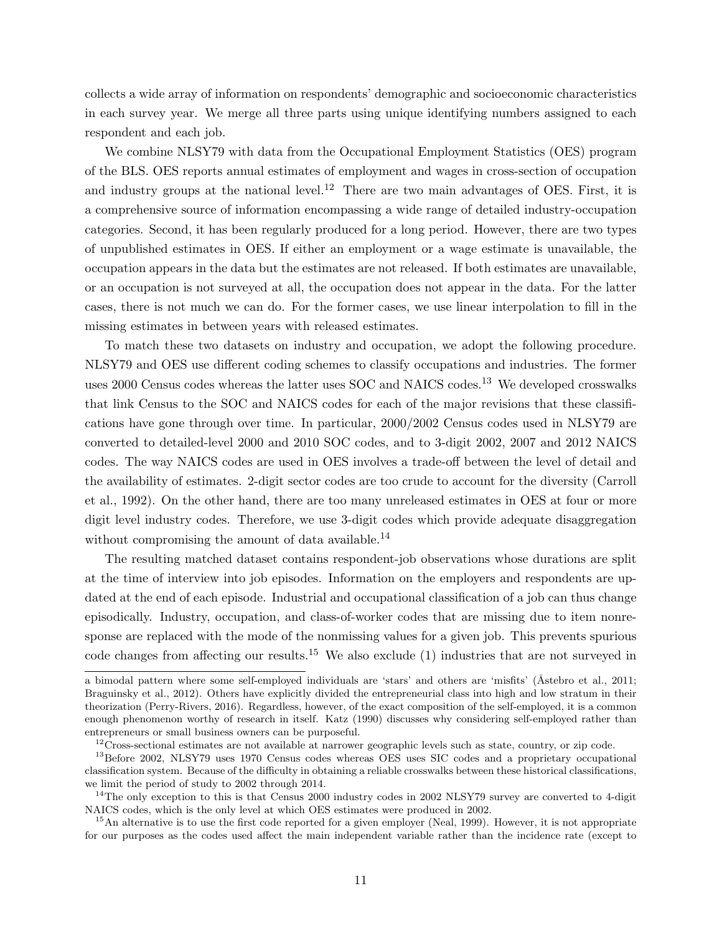collects a wide array of information on respondents' demographic and socioeconomic characteristics in each survey year. We merge all three parts using unique identifying numbers assigned to each respondent and each job.

We combine NLSY79 with data from the Occupational Employment Statistics (OES) program of the BLS. OES reports annual estimates of employment and wages in cross-section of occupation and industry groups at the national level.<sup>12</sup> There are two main advantages of OES. First, it is a comprehensive source of information encompassing a wide range of detailed industry-occupation categories. Second, it has been regularly produced for a long period. However, there are two types of unpublished estimates in OES. If either an employment or a wage estimate is unavailable, the occupation appears in the data but the estimates are not released. If both estimates are unavailable, or an occupation is not surveyed at all, the occupation does not appear in the data. For the latter cases, there is not much we can do. For the former cases, we use linear interpolation to fill in the missing estimates in between years with released estimates.

To match these two datasets on industry and occupation, we adopt the following procedure. NLSY79 and OES use different coding schemes to classify occupations and industries. The former uses 2000 Census codes whereas the latter uses SOC and NAICS codes.<sup>13</sup> We developed crosswalks that link Census to the SOC and NAICS codes for each of the major revisions that these classifications have gone through over time. In particular, 2000/2002 Census codes used in NLSY79 are converted to detailed-level 2000 and 2010 SOC codes, and to 3-digit 2002, 2007 and 2012 NAICS codes. The way NAICS codes are used in OES involves a trade-off between the level of detail and the availability of estimates. 2-digit sector codes are too crude to account for the diversity (Carroll et al., 1992). On the other hand, there are too many unreleased estimates in OES at four or more digit level industry codes. Therefore, we use 3-digit codes which provide adequate disaggregation without compromising the amount of data available.<sup>14</sup>

The resulting matched dataset contains respondent-job observations whose durations are split at the time of interview into job episodes. Information on the employers and respondents are updated at the end of each episode. Industrial and occupational classification of a job can thus change episodically. Industry, occupation, and class-of-worker codes that are missing due to item nonresponse are replaced with the mode of the nonmissing values for a given job. This prevents spurious code changes from affecting our results.<sup>15</sup> We also exclude (1) industries that are not surveyed in

a bimodal pattern where some self-employed individuals are 'stars' and others are 'misfits' (Åstebro et al., 2011; Braguinsky et al., 2012). Others have explicitly divided the entrepreneurial class into high and low stratum in their theorization (Perry-Rivers, 2016). Regardless, however, of the exact composition of the self-employed, it is a common enough phenomenon worthy of research in itself. Katz (1990) discusses why considering self-employed rather than entrepreneurs or small business owners can be purposeful.

 $12\overline{C}$ ross-sectional estimates are not available at narrower geographic levels such as state, country, or zip code.

<sup>&</sup>lt;sup>13</sup>Before 2002, NLSY79 uses 1970 Census codes whereas OES uses SIC codes and a proprietary occupational classification system. Because of the difficulty in obtaining a reliable crosswalks between these historical classifications, we limit the period of study to 2002 through 2014.

<sup>&</sup>lt;sup>14</sup>The only exception to this is that Census 2000 industry codes in 2002 NLSY79 survey are converted to 4-digit NAICS codes, which is the only level at which OES estimates were produced in 2002.

<sup>&</sup>lt;sup>15</sup>An alternative is to use the first code reported for a given employer (Neal, 1999). However, it is not appropriate for our purposes as the codes used affect the main independent variable rather than the incidence rate (except to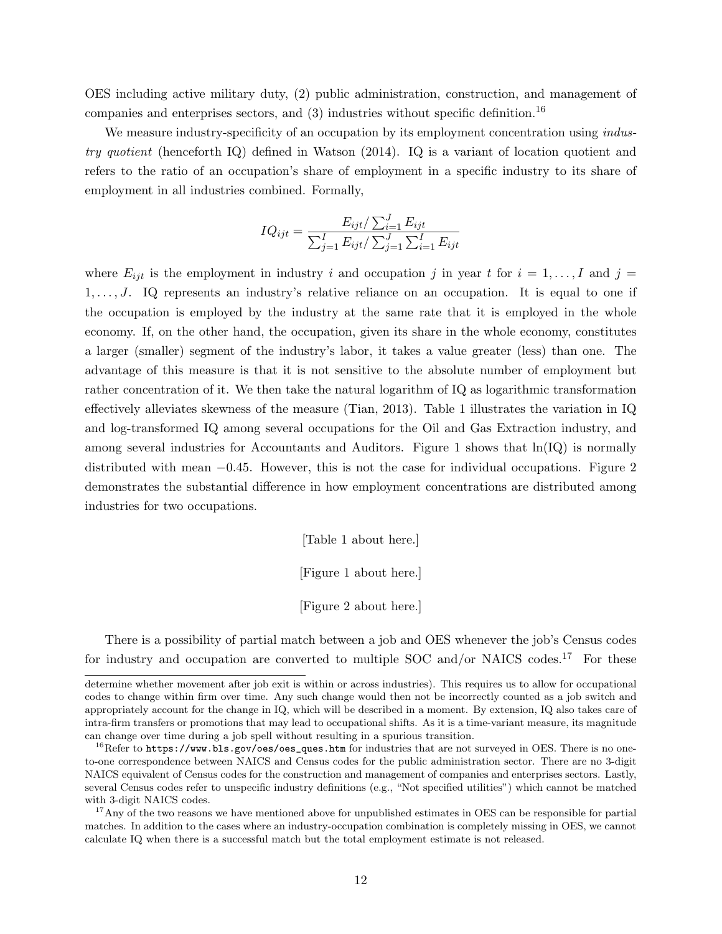OES including active military duty, (2) public administration, construction, and management of companies and enterprises sectors, and  $(3)$  industries without specific definition.<sup>16</sup>

We measure industry-specificity of an occupation by its employment concentration using *indus*try quotient (henceforth IQ) defined in Watson (2014). IQ is a variant of location quotient and refers to the ratio of an occupation's share of employment in a specific industry to its share of employment in all industries combined. Formally,

$$
IQ_{ijt} = \frac{E_{ijt}/\sum_{i=1}^{J} E_{ijt}}{\sum_{j=1}^{I} E_{ijt}/\sum_{j=1}^{J} \sum_{i=1}^{I} E_{ijt}}
$$

where  $E_{ijt}$  is the employment in industry i and occupation j in year t for  $i = 1, \ldots, I$  and  $j =$  $1, \ldots, J$ . IQ represents an industry's relative reliance on an occupation. It is equal to one if the occupation is employed by the industry at the same rate that it is employed in the whole economy. If, on the other hand, the occupation, given its share in the whole economy, constitutes a larger (smaller) segment of the industry's labor, it takes a value greater (less) than one. The advantage of this measure is that it is not sensitive to the absolute number of employment but rather concentration of it. We then take the natural logarithm of IQ as logarithmic transformation effectively alleviates skewness of the measure (Tian, 2013). Table 1 illustrates the variation in IQ and log-transformed IQ among several occupations for the Oil and Gas Extraction industry, and among several industries for Accountants and Auditors. Figure 1 shows that  $\ln(\text{IQ})$  is normally distributed with mean −0.45. However, this is not the case for individual occupations. Figure 2 demonstrates the substantial difference in how employment concentrations are distributed among industries for two occupations.

[Table 1 about here.]

[Figure 1 about here.]

[Figure 2 about here.]

There is a possibility of partial match between a job and OES whenever the job's Census codes for industry and occupation are converted to multiple SOC and/or NAICS codes.<sup>17</sup> For these

determine whether movement after job exit is within or across industries). This requires us to allow for occupational codes to change within firm over time. Any such change would then not be incorrectly counted as a job switch and appropriately account for the change in IQ, which will be described in a moment. By extension, IQ also takes care of intra-firm transfers or promotions that may lead to occupational shifts. As it is a time-variant measure, its magnitude can change over time during a job spell without resulting in a spurious transition.

 $^{16}$ Refer to https://www.bls.gov/oes/oes\_ques.htm for industries that are not surveyed in OES. There is no oneto-one correspondence between NAICS and Census codes for the public administration sector. There are no 3-digit NAICS equivalent of Census codes for the construction and management of companies and enterprises sectors. Lastly, several Census codes refer to unspecific industry definitions (e.g., "Not specified utilities") which cannot be matched with 3-digit NAICS codes.

<sup>&</sup>lt;sup>17</sup>Any of the two reasons we have mentioned above for unpublished estimates in OES can be responsible for partial matches. In addition to the cases where an industry-occupation combination is completely missing in OES, we cannot calculate IQ when there is a successful match but the total employment estimate is not released.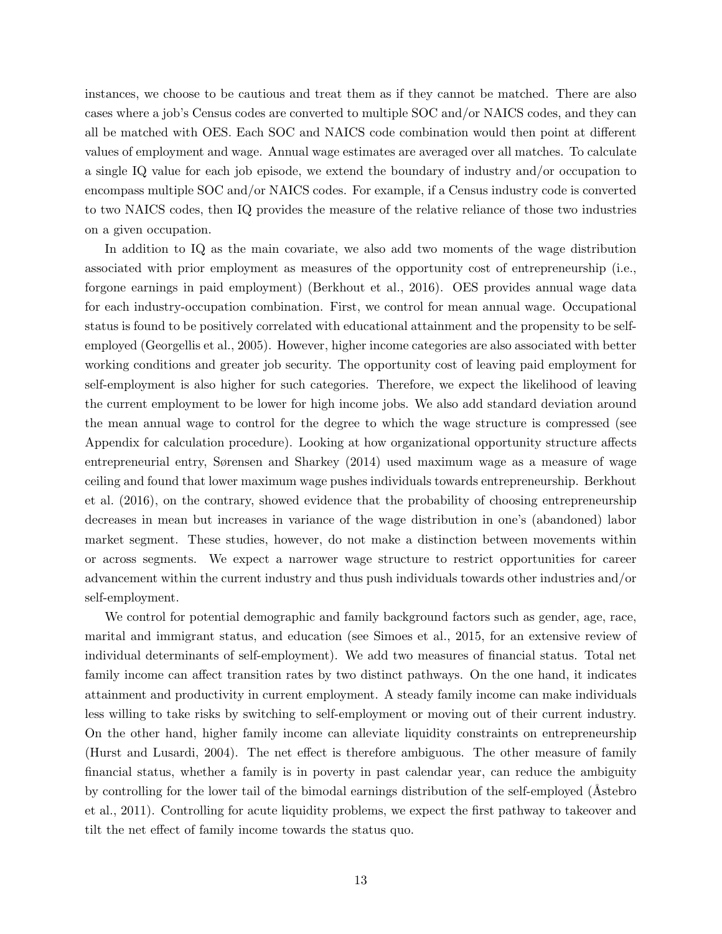instances, we choose to be cautious and treat them as if they cannot be matched. There are also cases where a job's Census codes are converted to multiple SOC and/or NAICS codes, and they can all be matched with OES. Each SOC and NAICS code combination would then point at different values of employment and wage. Annual wage estimates are averaged over all matches. To calculate a single IQ value for each job episode, we extend the boundary of industry and/or occupation to encompass multiple SOC and/or NAICS codes. For example, if a Census industry code is converted to two NAICS codes, then IQ provides the measure of the relative reliance of those two industries on a given occupation.

In addition to IQ as the main covariate, we also add two moments of the wage distribution associated with prior employment as measures of the opportunity cost of entrepreneurship (i.e., forgone earnings in paid employment) (Berkhout et al., 2016). OES provides annual wage data for each industry-occupation combination. First, we control for mean annual wage. Occupational status is found to be positively correlated with educational attainment and the propensity to be selfemployed (Georgellis et al., 2005). However, higher income categories are also associated with better working conditions and greater job security. The opportunity cost of leaving paid employment for self-employment is also higher for such categories. Therefore, we expect the likelihood of leaving the current employment to be lower for high income jobs. We also add standard deviation around the mean annual wage to control for the degree to which the wage structure is compressed (see Appendix for calculation procedure). Looking at how organizational opportunity structure affects entrepreneurial entry, Sørensen and Sharkey (2014) used maximum wage as a measure of wage ceiling and found that lower maximum wage pushes individuals towards entrepreneurship. Berkhout et al. (2016), on the contrary, showed evidence that the probability of choosing entrepreneurship decreases in mean but increases in variance of the wage distribution in one's (abandoned) labor market segment. These studies, however, do not make a distinction between movements within or across segments. We expect a narrower wage structure to restrict opportunities for career advancement within the current industry and thus push individuals towards other industries and/or self-employment.

We control for potential demographic and family background factors such as gender, age, race, marital and immigrant status, and education (see Simoes et al., 2015, for an extensive review of individual determinants of self-employment). We add two measures of financial status. Total net family income can affect transition rates by two distinct pathways. On the one hand, it indicates attainment and productivity in current employment. A steady family income can make individuals less willing to take risks by switching to self-employment or moving out of their current industry. On the other hand, higher family income can alleviate liquidity constraints on entrepreneurship (Hurst and Lusardi, 2004). The net effect is therefore ambiguous. The other measure of family financial status, whether a family is in poverty in past calendar year, can reduce the ambiguity by controlling for the lower tail of the bimodal earnings distribution of the self-employed (Astebro et al., 2011). Controlling for acute liquidity problems, we expect the first pathway to takeover and tilt the net effect of family income towards the status quo.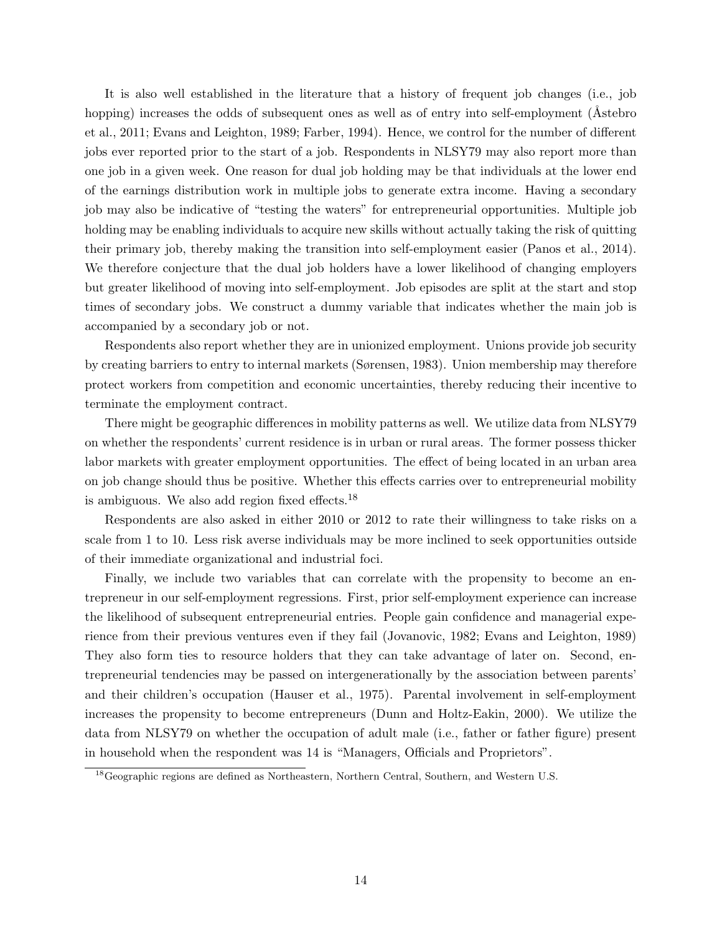It is also well established in the literature that a history of frequent job changes (i.e., job hopping) increases the odds of subsequent ones as well as of entry into self-employment (Astebro et al., 2011; Evans and Leighton, 1989; Farber, 1994). Hence, we control for the number of different jobs ever reported prior to the start of a job. Respondents in NLSY79 may also report more than one job in a given week. One reason for dual job holding may be that individuals at the lower end of the earnings distribution work in multiple jobs to generate extra income. Having a secondary job may also be indicative of "testing the waters" for entrepreneurial opportunities. Multiple job holding may be enabling individuals to acquire new skills without actually taking the risk of quitting their primary job, thereby making the transition into self-employment easier (Panos et al., 2014). We therefore conjecture that the dual job holders have a lower likelihood of changing employers but greater likelihood of moving into self-employment. Job episodes are split at the start and stop times of secondary jobs. We construct a dummy variable that indicates whether the main job is accompanied by a secondary job or not.

Respondents also report whether they are in unionized employment. Unions provide job security by creating barriers to entry to internal markets (Sørensen, 1983). Union membership may therefore protect workers from competition and economic uncertainties, thereby reducing their incentive to terminate the employment contract.

There might be geographic differences in mobility patterns as well. We utilize data from NLSY79 on whether the respondents' current residence is in urban or rural areas. The former possess thicker labor markets with greater employment opportunities. The effect of being located in an urban area on job change should thus be positive. Whether this effects carries over to entrepreneurial mobility is ambiguous. We also add region fixed effects.<sup>18</sup>

Respondents are also asked in either 2010 or 2012 to rate their willingness to take risks on a scale from 1 to 10. Less risk averse individuals may be more inclined to seek opportunities outside of their immediate organizational and industrial foci.

Finally, we include two variables that can correlate with the propensity to become an entrepreneur in our self-employment regressions. First, prior self-employment experience can increase the likelihood of subsequent entrepreneurial entries. People gain confidence and managerial experience from their previous ventures even if they fail (Jovanovic, 1982; Evans and Leighton, 1989) They also form ties to resource holders that they can take advantage of later on. Second, entrepreneurial tendencies may be passed on intergenerationally by the association between parents' and their children's occupation (Hauser et al., 1975). Parental involvement in self-employment increases the propensity to become entrepreneurs (Dunn and Holtz-Eakin, 2000). We utilize the data from NLSY79 on whether the occupation of adult male (i.e., father or father figure) present in household when the respondent was 14 is "Managers, Officials and Proprietors".

<sup>&</sup>lt;sup>18</sup>Geographic regions are defined as Northeastern, Northern Central, Southern, and Western U.S.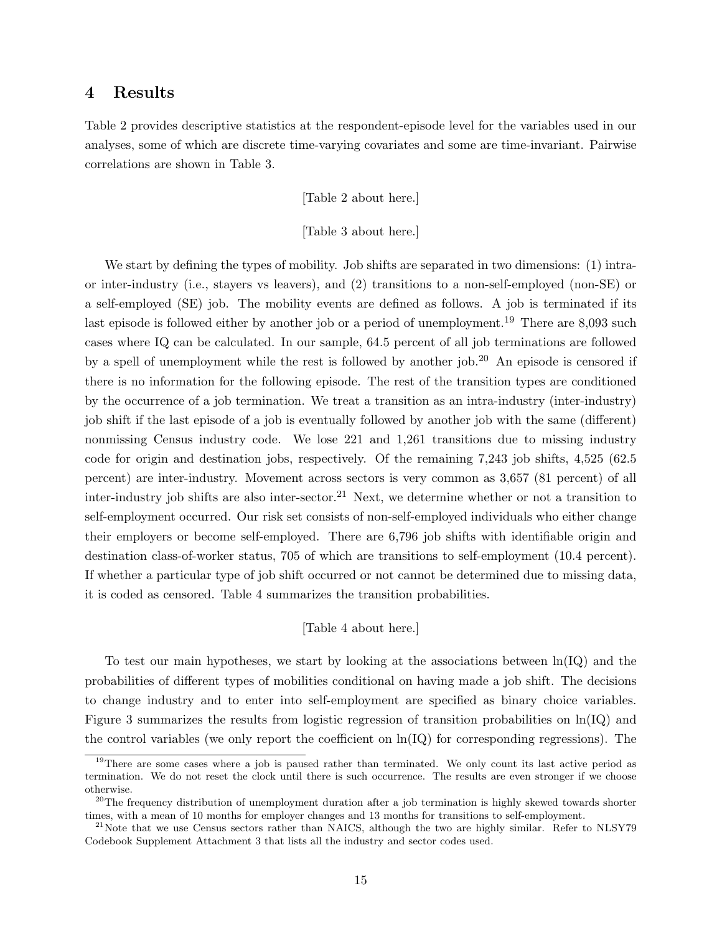# 4 Results

Table 2 provides descriptive statistics at the respondent-episode level for the variables used in our analyses, some of which are discrete time-varying covariates and some are time-invariant. Pairwise correlations are shown in Table 3.

[Table 2 about here.]

[Table 3 about here.]

We start by defining the types of mobility. Job shifts are separated in two dimensions: (1) intraor inter-industry (i.e., stayers vs leavers), and (2) transitions to a non-self-employed (non-SE) or a self-employed (SE) job. The mobility events are defined as follows. A job is terminated if its last episode is followed either by another job or a period of unemployment.<sup>19</sup> There are 8,093 such cases where IQ can be calculated. In our sample, 64.5 percent of all job terminations are followed by a spell of unemployment while the rest is followed by another job.<sup>20</sup> An episode is censored if there is no information for the following episode. The rest of the transition types are conditioned by the occurrence of a job termination. We treat a transition as an intra-industry (inter-industry) job shift if the last episode of a job is eventually followed by another job with the same (different) nonmissing Census industry code. We lose 221 and 1,261 transitions due to missing industry code for origin and destination jobs, respectively. Of the remaining 7,243 job shifts, 4,525 (62.5 percent) are inter-industry. Movement across sectors is very common as 3,657 (81 percent) of all inter-industry job shifts are also inter-sector.<sup>21</sup> Next, we determine whether or not a transition to self-employment occurred. Our risk set consists of non-self-employed individuals who either change their employers or become self-employed. There are 6,796 job shifts with identifiable origin and destination class-of-worker status, 705 of which are transitions to self-employment (10.4 percent). If whether a particular type of job shift occurred or not cannot be determined due to missing data, it is coded as censored. Table 4 summarizes the transition probabilities.

# [Table 4 about here.]

To test our main hypotheses, we start by looking at the associations between  $\ln(Q)$  and the probabilities of different types of mobilities conditional on having made a job shift. The decisions to change industry and to enter into self-employment are specified as binary choice variables. Figure 3 summarizes the results from logistic regression of transition probabilities on  $\ln(Q)$  and the control variables (we only report the coefficient on  $\ln(IQ)$  for corresponding regressions). The

<sup>&</sup>lt;sup>19</sup>There are some cases where a job is paused rather than terminated. We only count its last active period as termination. We do not reset the clock until there is such occurrence. The results are even stronger if we choose otherwise.

<sup>&</sup>lt;sup>20</sup>The frequency distribution of unemployment duration after a job termination is highly skewed towards shorter times, with a mean of 10 months for employer changes and 13 months for transitions to self-employment.

<sup>&</sup>lt;sup>21</sup>Note that we use Census sectors rather than NAICS, although the two are highly similar. Refer to NLSY79 Codebook Supplement Attachment 3 that lists all the industry and sector codes used.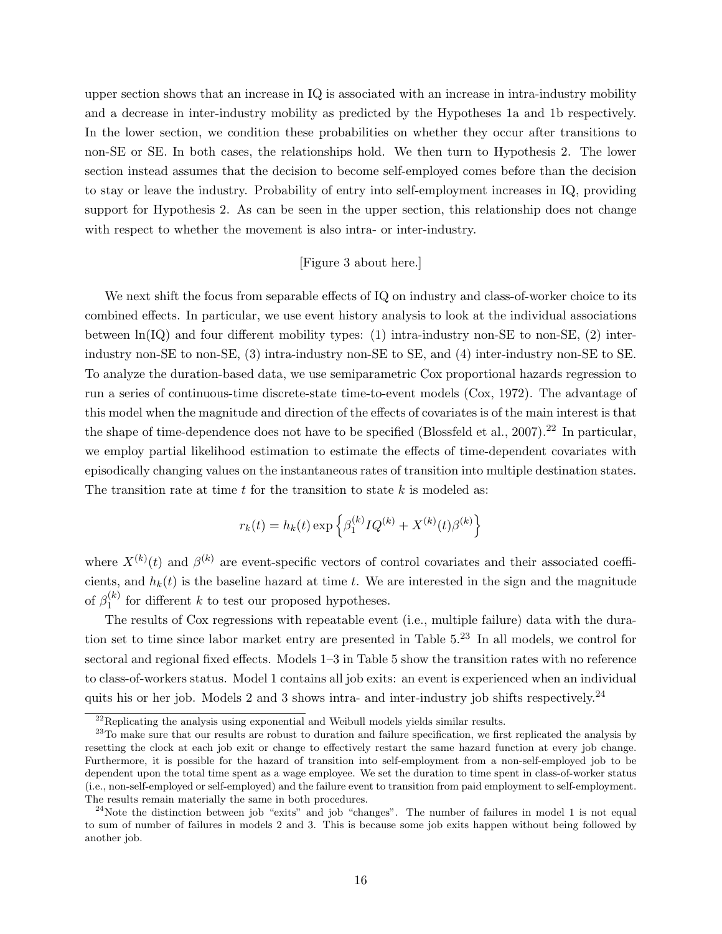upper section shows that an increase in IQ is associated with an increase in intra-industry mobility and a decrease in inter-industry mobility as predicted by the Hypotheses 1a and 1b respectively. In the lower section, we condition these probabilities on whether they occur after transitions to non-SE or SE. In both cases, the relationships hold. We then turn to Hypothesis 2. The lower section instead assumes that the decision to become self-employed comes before than the decision to stay or leave the industry. Probability of entry into self-employment increases in IQ, providing support for Hypothesis 2. As can be seen in the upper section, this relationship does not change with respect to whether the movement is also intra- or inter-industry.

## [Figure 3 about here.]

We next shift the focus from separable effects of IQ on industry and class-of-worker choice to its combined effects. In particular, we use event history analysis to look at the individual associations between  $\ln(Q)$  and four different mobility types: (1) intra-industry non-SE to non-SE, (2) interindustry non-SE to non-SE, (3) intra-industry non-SE to SE, and (4) inter-industry non-SE to SE. To analyze the duration-based data, we use semiparametric Cox proportional hazards regression to run a series of continuous-time discrete-state time-to-event models (Cox, 1972). The advantage of this model when the magnitude and direction of the effects of covariates is of the main interest is that the shape of time-dependence does not have to be specified (Blossfeld et al.,  $2007$ ).<sup>22</sup> In particular, we employ partial likelihood estimation to estimate the effects of time-dependent covariates with episodically changing values on the instantaneous rates of transition into multiple destination states. The transition rate at time t for the transition to state  $k$  is modeled as:

$$
r_k(t) = h_k(t) \exp \left\{ \beta_1^{(k)} I Q^{(k)} + X^{(k)}(t) \beta^{(k)} \right\}
$$

where  $X^{(k)}(t)$  and  $\beta^{(k)}$  are event-specific vectors of control covariates and their associated coefficients, and  $h_k(t)$  is the baseline hazard at time t. We are interested in the sign and the magnitude of  $\beta_1^{(k)}$  $i_{1}^{(k)}$  for different k to test our proposed hypotheses.

The results of Cox regressions with repeatable event (i.e., multiple failure) data with the duration set to time since labor market entry are presented in Table 5.<sup>23</sup> In all models, we control for sectoral and regional fixed effects. Models 1–3 in Table 5 show the transition rates with no reference to class-of-workers status. Model 1 contains all job exits: an event is experienced when an individual quits his or her job. Models 2 and 3 shows intra- and inter-industry job shifts respectively.<sup>24</sup>

 $^{22}$ Replicating the analysis using exponential and Weibull models yields similar results.

<sup>&</sup>lt;sup>23</sup>To make sure that our results are robust to duration and failure specification, we first replicated the analysis by resetting the clock at each job exit or change to effectively restart the same hazard function at every job change. Furthermore, it is possible for the hazard of transition into self-employment from a non-self-employed job to be dependent upon the total time spent as a wage employee. We set the duration to time spent in class-of-worker status (i.e., non-self-employed or self-employed) and the failure event to transition from paid employment to self-employment. The results remain materially the same in both procedures.

<sup>&</sup>lt;sup>24</sup>Note the distinction between job "exits" and job "changes". The number of failures in model 1 is not equal to sum of number of failures in models 2 and 3. This is because some job exits happen without being followed by another job.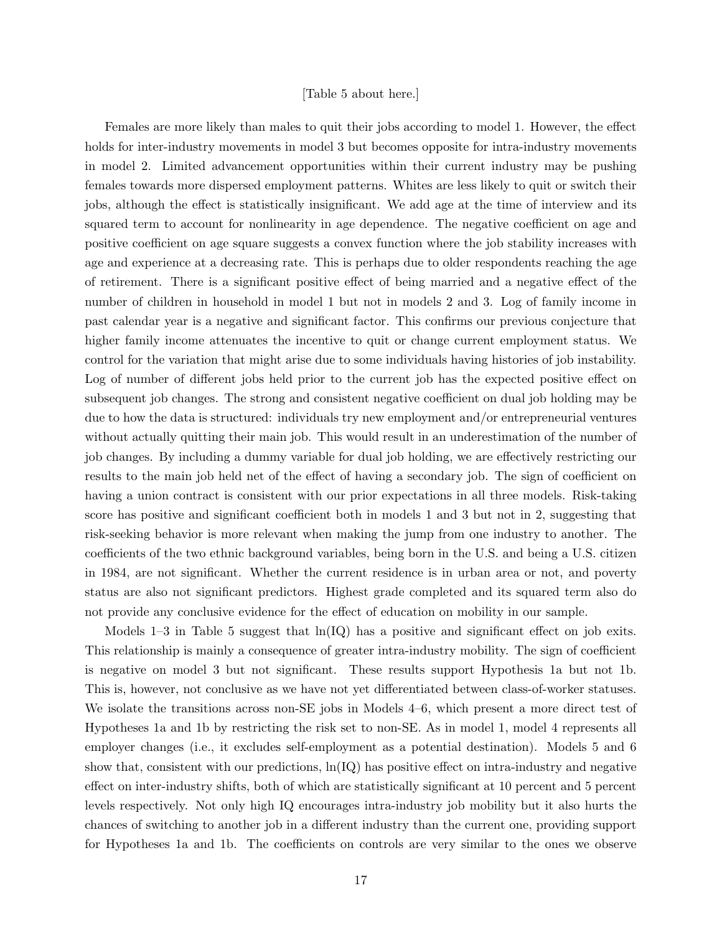#### [Table 5 about here.]

Females are more likely than males to quit their jobs according to model 1. However, the effect holds for inter-industry movements in model 3 but becomes opposite for intra-industry movements in model 2. Limited advancement opportunities within their current industry may be pushing females towards more dispersed employment patterns. Whites are less likely to quit or switch their jobs, although the effect is statistically insignificant. We add age at the time of interview and its squared term to account for nonlinearity in age dependence. The negative coefficient on age and positive coefficient on age square suggests a convex function where the job stability increases with age and experience at a decreasing rate. This is perhaps due to older respondents reaching the age of retirement. There is a significant positive effect of being married and a negative effect of the number of children in household in model 1 but not in models 2 and 3. Log of family income in past calendar year is a negative and significant factor. This confirms our previous conjecture that higher family income attenuates the incentive to quit or change current employment status. We control for the variation that might arise due to some individuals having histories of job instability. Log of number of different jobs held prior to the current job has the expected positive effect on subsequent job changes. The strong and consistent negative coefficient on dual job holding may be due to how the data is structured: individuals try new employment and/or entrepreneurial ventures without actually quitting their main job. This would result in an underestimation of the number of job changes. By including a dummy variable for dual job holding, we are effectively restricting our results to the main job held net of the effect of having a secondary job. The sign of coefficient on having a union contract is consistent with our prior expectations in all three models. Risk-taking score has positive and significant coefficient both in models 1 and 3 but not in 2, suggesting that risk-seeking behavior is more relevant when making the jump from one industry to another. The coefficients of the two ethnic background variables, being born in the U.S. and being a U.S. citizen in 1984, are not significant. Whether the current residence is in urban area or not, and poverty status are also not significant predictors. Highest grade completed and its squared term also do not provide any conclusive evidence for the effect of education on mobility in our sample.

Models 1–3 in Table 5 suggest that  $ln(Q)$  has a positive and significant effect on job exits. This relationship is mainly a consequence of greater intra-industry mobility. The sign of coefficient is negative on model 3 but not significant. These results support Hypothesis 1a but not 1b. This is, however, not conclusive as we have not yet differentiated between class-of-worker statuses. We isolate the transitions across non-SE jobs in Models 4–6, which present a more direct test of Hypotheses 1a and 1b by restricting the risk set to non-SE. As in model 1, model 4 represents all employer changes (i.e., it excludes self-employment as a potential destination). Models 5 and 6 show that, consistent with our predictions,  $\ln(IQ)$  has positive effect on intra-industry and negative effect on inter-industry shifts, both of which are statistically significant at 10 percent and 5 percent levels respectively. Not only high IQ encourages intra-industry job mobility but it also hurts the chances of switching to another job in a different industry than the current one, providing support for Hypotheses 1a and 1b. The coefficients on controls are very similar to the ones we observe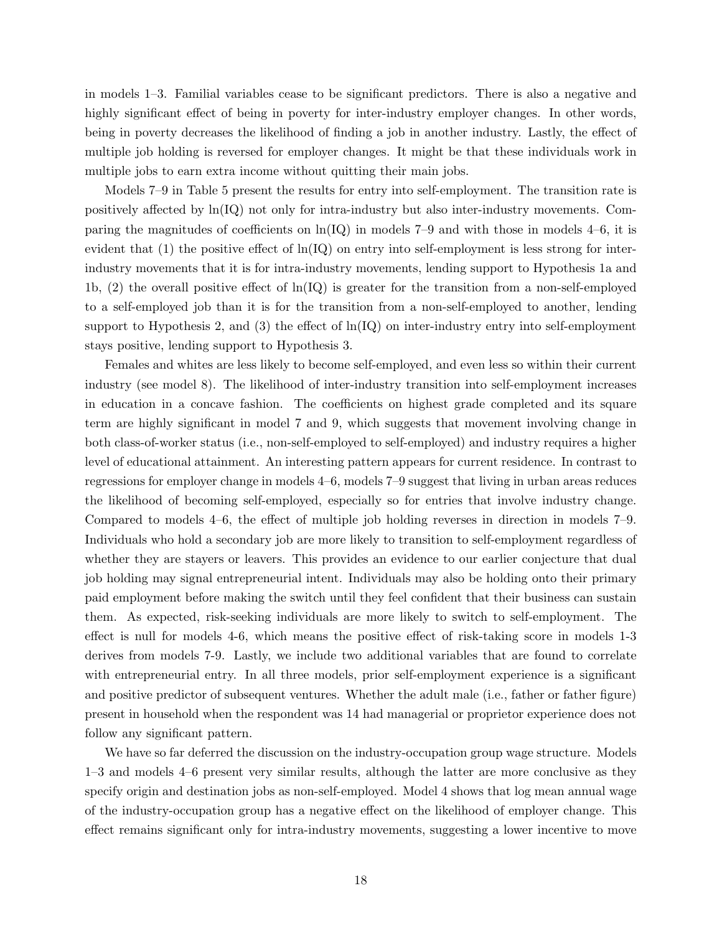in models 1–3. Familial variables cease to be significant predictors. There is also a negative and highly significant effect of being in poverty for inter-industry employer changes. In other words, being in poverty decreases the likelihood of finding a job in another industry. Lastly, the effect of multiple job holding is reversed for employer changes. It might be that these individuals work in multiple jobs to earn extra income without quitting their main jobs.

Models 7–9 in Table 5 present the results for entry into self-employment. The transition rate is positively affected by ln(IQ) not only for intra-industry but also inter-industry movements. Comparing the magnitudes of coefficients on  $\ln(\text{IQ})$  in models 7–9 and with those in models 4–6, it is evident that  $(1)$  the positive effect of  $\ln(\text{IQ})$  on entry into self-employment is less strong for interindustry movements that it is for intra-industry movements, lending support to Hypothesis 1a and 1b, (2) the overall positive effect of ln(IQ) is greater for the transition from a non-self-employed to a self-employed job than it is for the transition from a non-self-employed to another, lending support to Hypothesis 2, and  $(3)$  the effect of  $\ln(\text{IQ})$  on inter-industry entry into self-employment stays positive, lending support to Hypothesis 3.

Females and whites are less likely to become self-employed, and even less so within their current industry (see model 8). The likelihood of inter-industry transition into self-employment increases in education in a concave fashion. The coefficients on highest grade completed and its square term are highly significant in model 7 and 9, which suggests that movement involving change in both class-of-worker status (i.e., non-self-employed to self-employed) and industry requires a higher level of educational attainment. An interesting pattern appears for current residence. In contrast to regressions for employer change in models 4–6, models 7–9 suggest that living in urban areas reduces the likelihood of becoming self-employed, especially so for entries that involve industry change. Compared to models 4–6, the effect of multiple job holding reverses in direction in models 7–9. Individuals who hold a secondary job are more likely to transition to self-employment regardless of whether they are stayers or leavers. This provides an evidence to our earlier conjecture that dual job holding may signal entrepreneurial intent. Individuals may also be holding onto their primary paid employment before making the switch until they feel confident that their business can sustain them. As expected, risk-seeking individuals are more likely to switch to self-employment. The effect is null for models 4-6, which means the positive effect of risk-taking score in models 1-3 derives from models 7-9. Lastly, we include two additional variables that are found to correlate with entrepreneurial entry. In all three models, prior self-employment experience is a significant and positive predictor of subsequent ventures. Whether the adult male (i.e., father or father figure) present in household when the respondent was 14 had managerial or proprietor experience does not follow any significant pattern.

We have so far deferred the discussion on the industry-occupation group wage structure. Models 1–3 and models 4–6 present very similar results, although the latter are more conclusive as they specify origin and destination jobs as non-self-employed. Model 4 shows that log mean annual wage of the industry-occupation group has a negative effect on the likelihood of employer change. This effect remains significant only for intra-industry movements, suggesting a lower incentive to move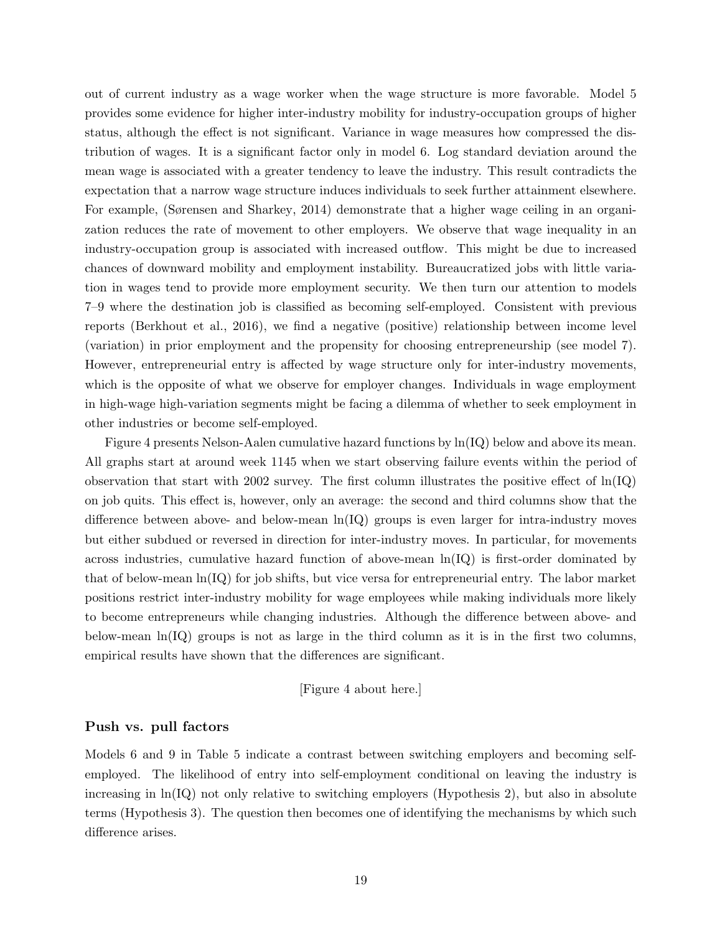out of current industry as a wage worker when the wage structure is more favorable. Model 5 provides some evidence for higher inter-industry mobility for industry-occupation groups of higher status, although the effect is not significant. Variance in wage measures how compressed the distribution of wages. It is a significant factor only in model 6. Log standard deviation around the mean wage is associated with a greater tendency to leave the industry. This result contradicts the expectation that a narrow wage structure induces individuals to seek further attainment elsewhere. For example, (Sørensen and Sharkey, 2014) demonstrate that a higher wage ceiling in an organization reduces the rate of movement to other employers. We observe that wage inequality in an industry-occupation group is associated with increased outflow. This might be due to increased chances of downward mobility and employment instability. Bureaucratized jobs with little variation in wages tend to provide more employment security. We then turn our attention to models 7–9 where the destination job is classified as becoming self-employed. Consistent with previous reports (Berkhout et al., 2016), we find a negative (positive) relationship between income level (variation) in prior employment and the propensity for choosing entrepreneurship (see model 7). However, entrepreneurial entry is affected by wage structure only for inter-industry movements, which is the opposite of what we observe for employer changes. Individuals in wage employment in high-wage high-variation segments might be facing a dilemma of whether to seek employment in other industries or become self-employed.

Figure 4 presents Nelson-Aalen cumulative hazard functions by ln(IQ) below and above its mean. All graphs start at around week 1145 when we start observing failure events within the period of observation that start with 2002 survey. The first column illustrates the positive effect of  $\ln(Q)$ on job quits. This effect is, however, only an average: the second and third columns show that the difference between above- and below-mean  $\ln(\text{IQ})$  groups is even larger for intra-industry moves but either subdued or reversed in direction for inter-industry moves. In particular, for movements across industries, cumulative hazard function of above-mean  $\ln(IQ)$  is first-order dominated by that of below-mean ln(IQ) for job shifts, but vice versa for entrepreneurial entry. The labor market positions restrict inter-industry mobility for wage employees while making individuals more likely to become entrepreneurs while changing industries. Although the difference between above- and below-mean  $\ln(\text{IQ})$  groups is not as large in the third column as it is in the first two columns, empirical results have shown that the differences are significant.

## [Figure 4 about here.]

## Push vs. pull factors

Models 6 and 9 in Table 5 indicate a contrast between switching employers and becoming selfemployed. The likelihood of entry into self-employment conditional on leaving the industry is increasing in  $\ln(\text{IQ})$  not only relative to switching employers (Hypothesis 2), but also in absolute terms (Hypothesis 3). The question then becomes one of identifying the mechanisms by which such difference arises.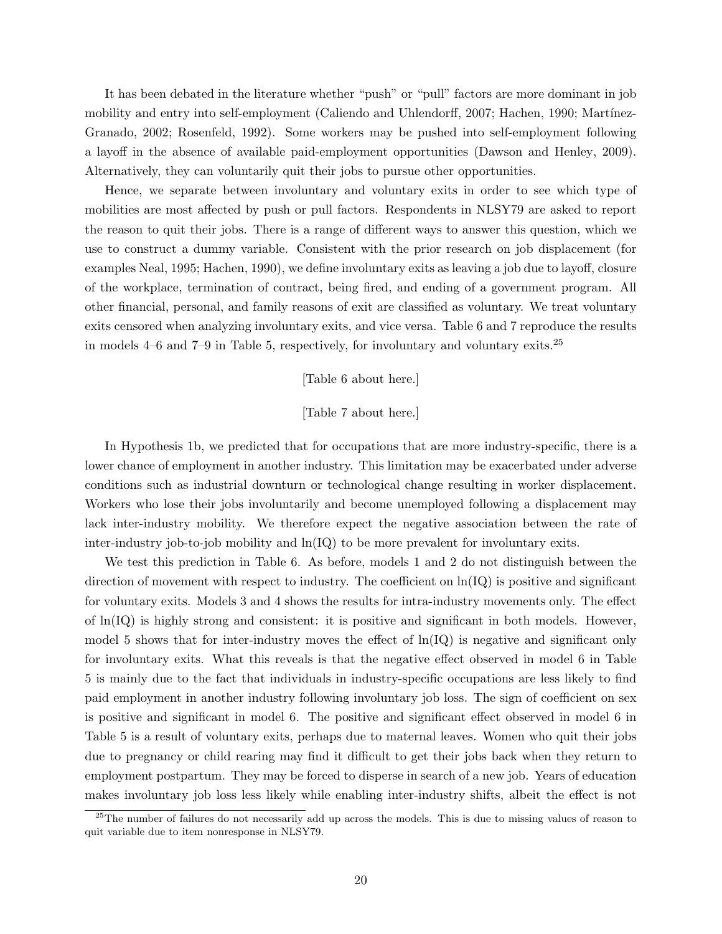It has been debated in the literature whether "push" or "pull" factors are more dominant in job mobility and entry into self-employment (Caliendo and Uhlendorff, 2007; Hachen, 1990; Martínez-Granado, 2002; Rosenfeld, 1992). Some workers may be pushed into self-employment following a layoff in the absence of available paid-employment opportunities (Dawson and Henley, 2009). Alternatively, they can voluntarily quit their jobs to pursue other opportunities.

Hence, we separate between involuntary and voluntary exits in order to see which type of mobilities are most affected by push or pull factors. Respondents in NLSY79 are asked to report the reason to quit their jobs. There is a range of different ways to answer this question, which we use to construct a dummy variable. Consistent with the prior research on job displacement (for examples Neal, 1995; Hachen, 1990), we define involuntary exits as leaving a job due to layoff, closure of the workplace, termination of contract, being fired, and ending of a government program. All other financial, personal, and family reasons of exit are classified as voluntary. We treat voluntary exits censored when analyzing involuntary exits, and vice versa. Table 6 and 7 reproduce the results in models  $4-6$  and  $7-9$  in Table 5, respectively, for involuntary and voluntary exits.<sup>25</sup>

#### [Table 6 about here.]

# [Table 7 about here.]

In Hypothesis 1b, we predicted that for occupations that are more industry-specific, there is a lower chance of employment in another industry. This limitation may be exacerbated under adverse conditions such as industrial downturn or technological change resulting in worker displacement. Workers who lose their jobs involuntarily and become unemployed following a displacement may lack inter-industry mobility. We therefore expect the negative association between the rate of inter-industry job-to-job mobility and  $\ln(\text{IQ})$  to be more prevalent for involuntary exits.

We test this prediction in Table 6. As before, models 1 and 2 do not distinguish between the direction of movement with respect to industry. The coefficient on  $\ln(IQ)$  is positive and significant for voluntary exits. Models 3 and 4 shows the results for intra-industry movements only. The effect of  $\ln(\text{IQ})$  is highly strong and consistent: it is positive and significant in both models. However, model 5 shows that for inter-industry moves the effect of  $\ln(\text{IQ})$  is negative and significant only for involuntary exits. What this reveals is that the negative effect observed in model 6 in Table 5 is mainly due to the fact that individuals in industry-specific occupations are less likely to find paid employment in another industry following involuntary job loss. The sign of coefficient on sex is positive and significant in model 6. The positive and significant effect observed in model 6 in Table 5 is a result of voluntary exits, perhaps due to maternal leaves. Women who quit their jobs due to pregnancy or child rearing may find it difficult to get their jobs back when they return to employment postpartum. They may be forced to disperse in search of a new job. Years of education makes involuntary job loss less likely while enabling inter-industry shifts, albeit the effect is not

 $^{25}$ The number of failures do not necessarily add up across the models. This is due to missing values of reason to quit variable due to item nonresponse in NLSY79.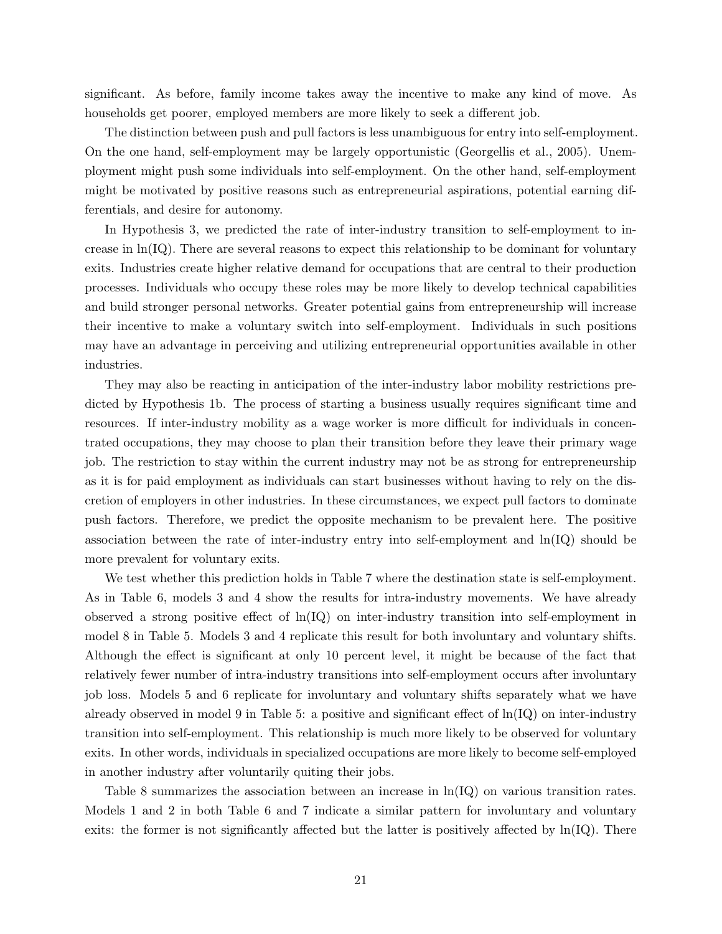significant. As before, family income takes away the incentive to make any kind of move. As households get poorer, employed members are more likely to seek a different job.

The distinction between push and pull factors is less unambiguous for entry into self-employment. On the one hand, self-employment may be largely opportunistic (Georgellis et al., 2005). Unemployment might push some individuals into self-employment. On the other hand, self-employment might be motivated by positive reasons such as entrepreneurial aspirations, potential earning differentials, and desire for autonomy.

In Hypothesis 3, we predicted the rate of inter-industry transition to self-employment to increase in  $\ln(\text{IQ})$ . There are several reasons to expect this relationship to be dominant for voluntary exits. Industries create higher relative demand for occupations that are central to their production processes. Individuals who occupy these roles may be more likely to develop technical capabilities and build stronger personal networks. Greater potential gains from entrepreneurship will increase their incentive to make a voluntary switch into self-employment. Individuals in such positions may have an advantage in perceiving and utilizing entrepreneurial opportunities available in other industries.

They may also be reacting in anticipation of the inter-industry labor mobility restrictions predicted by Hypothesis 1b. The process of starting a business usually requires significant time and resources. If inter-industry mobility as a wage worker is more difficult for individuals in concentrated occupations, they may choose to plan their transition before they leave their primary wage job. The restriction to stay within the current industry may not be as strong for entrepreneurship as it is for paid employment as individuals can start businesses without having to rely on the discretion of employers in other industries. In these circumstances, we expect pull factors to dominate push factors. Therefore, we predict the opposite mechanism to be prevalent here. The positive association between the rate of inter-industry entry into self-employment and  $\ln(Q)$  should be more prevalent for voluntary exits.

We test whether this prediction holds in Table 7 where the destination state is self-employment. As in Table 6, models 3 and 4 show the results for intra-industry movements. We have already observed a strong positive effect of  $\ln(\text{IQ})$  on inter-industry transition into self-employment in model 8 in Table 5. Models 3 and 4 replicate this result for both involuntary and voluntary shifts. Although the effect is significant at only 10 percent level, it might be because of the fact that relatively fewer number of intra-industry transitions into self-employment occurs after involuntary job loss. Models 5 and 6 replicate for involuntary and voluntary shifts separately what we have already observed in model 9 in Table 5: a positive and significant effect of  $\ln(\text{IQ})$  on inter-industry transition into self-employment. This relationship is much more likely to be observed for voluntary exits. In other words, individuals in specialized occupations are more likely to become self-employed in another industry after voluntarily quiting their jobs.

Table 8 summarizes the association between an increase in  $\ln(Q)$  on various transition rates. Models 1 and 2 in both Table 6 and 7 indicate a similar pattern for involuntary and voluntary exits: the former is not significantly affected but the latter is positively affected by  $\ln(IQ)$ . There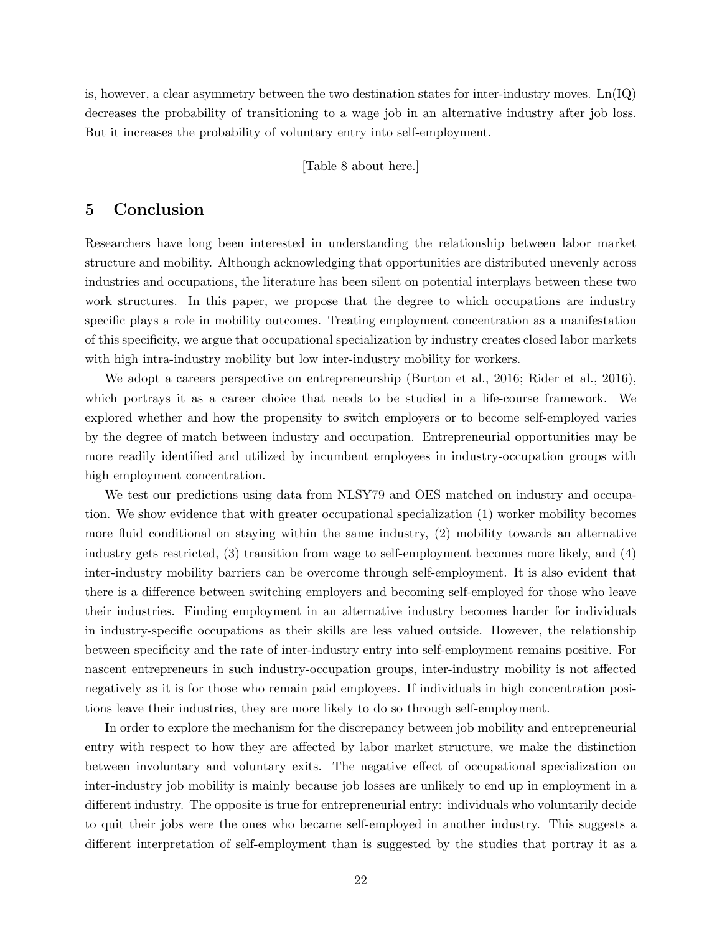is, however, a clear asymmetry between the two destination states for inter-industry moves.  $\text{Ln}(\text{IQ})$ decreases the probability of transitioning to a wage job in an alternative industry after job loss. But it increases the probability of voluntary entry into self-employment.

[Table 8 about here.]

# 5 Conclusion

Researchers have long been interested in understanding the relationship between labor market structure and mobility. Although acknowledging that opportunities are distributed unevenly across industries and occupations, the literature has been silent on potential interplays between these two work structures. In this paper, we propose that the degree to which occupations are industry specific plays a role in mobility outcomes. Treating employment concentration as a manifestation of this specificity, we argue that occupational specialization by industry creates closed labor markets with high intra-industry mobility but low inter-industry mobility for workers.

We adopt a careers perspective on entrepreneurship (Burton et al., 2016; Rider et al., 2016), which portrays it as a career choice that needs to be studied in a life-course framework. We explored whether and how the propensity to switch employers or to become self-employed varies by the degree of match between industry and occupation. Entrepreneurial opportunities may be more readily identified and utilized by incumbent employees in industry-occupation groups with high employment concentration.

We test our predictions using data from NLSY79 and OES matched on industry and occupation. We show evidence that with greater occupational specialization (1) worker mobility becomes more fluid conditional on staying within the same industry, (2) mobility towards an alternative industry gets restricted, (3) transition from wage to self-employment becomes more likely, and (4) inter-industry mobility barriers can be overcome through self-employment. It is also evident that there is a difference between switching employers and becoming self-employed for those who leave their industries. Finding employment in an alternative industry becomes harder for individuals in industry-specific occupations as their skills are less valued outside. However, the relationship between specificity and the rate of inter-industry entry into self-employment remains positive. For nascent entrepreneurs in such industry-occupation groups, inter-industry mobility is not affected negatively as it is for those who remain paid employees. If individuals in high concentration positions leave their industries, they are more likely to do so through self-employment.

In order to explore the mechanism for the discrepancy between job mobility and entrepreneurial entry with respect to how they are affected by labor market structure, we make the distinction between involuntary and voluntary exits. The negative effect of occupational specialization on inter-industry job mobility is mainly because job losses are unlikely to end up in employment in a different industry. The opposite is true for entrepreneurial entry: individuals who voluntarily decide to quit their jobs were the ones who became self-employed in another industry. This suggests a different interpretation of self-employment than is suggested by the studies that portray it as a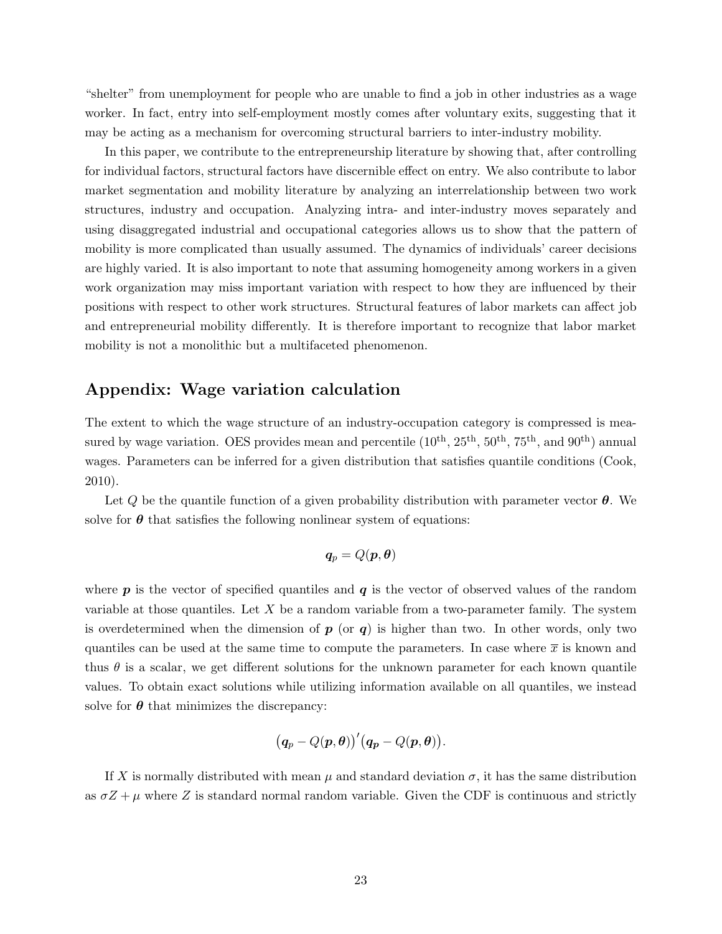"shelter" from unemployment for people who are unable to find a job in other industries as a wage worker. In fact, entry into self-employment mostly comes after voluntary exits, suggesting that it may be acting as a mechanism for overcoming structural barriers to inter-industry mobility.

In this paper, we contribute to the entrepreneurship literature by showing that, after controlling for individual factors, structural factors have discernible effect on entry. We also contribute to labor market segmentation and mobility literature by analyzing an interrelationship between two work structures, industry and occupation. Analyzing intra- and inter-industry moves separately and using disaggregated industrial and occupational categories allows us to show that the pattern of mobility is more complicated than usually assumed. The dynamics of individuals' career decisions are highly varied. It is also important to note that assuming homogeneity among workers in a given work organization may miss important variation with respect to how they are influenced by their positions with respect to other work structures. Structural features of labor markets can affect job and entrepreneurial mobility differently. It is therefore important to recognize that labor market mobility is not a monolithic but a multifaceted phenomenon.

# Appendix: Wage variation calculation

The extent to which the wage structure of an industry-occupation category is compressed is measured by wage variation. OES provides mean and percentile  $(10^{th}, 25^{th}, 50^{th}, 75^{th},$  and  $90^{th}$ ) annual wages. Parameters can be inferred for a given distribution that satisfies quantile conditions (Cook, 2010).

Let Q be the quantile function of a given probability distribution with parameter vector  $\theta$ . We solve for  $\theta$  that satisfies the following nonlinear system of equations:

$$
\boldsymbol{q}_p = Q(\boldsymbol{p}, \boldsymbol{\theta})
$$

where  $p$  is the vector of specified quantiles and  $q$  is the vector of observed values of the random variable at those quantiles. Let  $X$  be a random variable from a two-parameter family. The system is overdetermined when the dimension of  $p$  (or  $q$ ) is higher than two. In other words, only two quantiles can be used at the same time to compute the parameters. In case where  $\bar{x}$  is known and thus  $\theta$  is a scalar, we get different solutions for the unknown parameter for each known quantile values. To obtain exact solutions while utilizing information available on all quantiles, we instead solve for  $\theta$  that minimizes the discrepancy:

$$
(q_p-Q(p,\theta))^{'}(q_p-Q(p,\theta)).
$$

If X is normally distributed with mean  $\mu$  and standard deviation  $\sigma$ , it has the same distribution as  $\sigma Z + \mu$  where Z is standard normal random variable. Given the CDF is continuous and strictly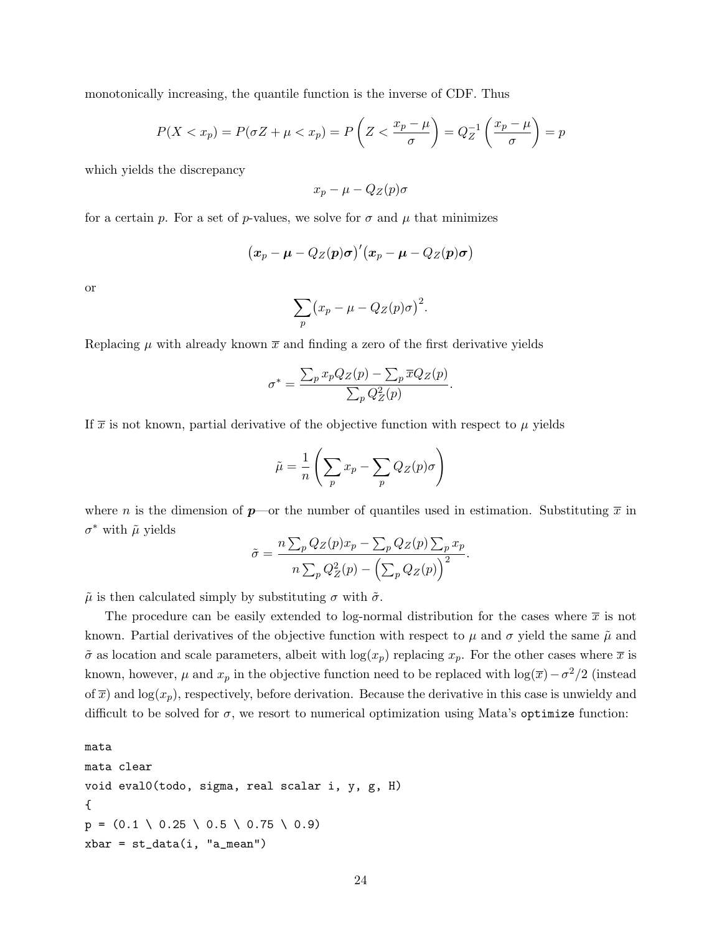monotonically increasing, the quantile function is the inverse of CDF. Thus

$$
P(X < x_p) = P(\sigma Z + \mu < x_p) = P\left(Z < \frac{x_p - \mu}{\sigma}\right) = Q_Z^{-1}\left(\frac{x_p - \mu}{\sigma}\right) = p
$$

which yields the discrepancy

$$
x_p - \mu - Q_Z(p)\sigma
$$

for a certain p. For a set of p-values, we solve for  $\sigma$  and  $\mu$  that minimizes

$$
(x_p - \mu - Q_Z(p)\sigma)'(x_p - \mu - Q_Z(p)\sigma)
$$

or

$$
\sum_{p} (x_p - \mu - Q_Z(p)\sigma)^2.
$$

Replacing  $\mu$  with already known  $\bar{x}$  and finding a zero of the first derivative yields

$$
\sigma^* = \frac{\sum_p x_p Q_Z(p) - \sum_p \overline{x} Q_Z(p)}{\sum_p Q_Z^2(p)}.
$$

If  $\bar{x}$  is not known, partial derivative of the objective function with respect to  $\mu$  yields

$$
\tilde{\mu} = \frac{1}{n} \left( \sum_{p} x_{p} - \sum_{p} Q_{Z}(p) \sigma \right)
$$

where n is the dimension of  $p$ —or the number of quantiles used in estimation. Substituting  $\bar{x}$  in  $\sigma^*$  with  $\tilde{\mu}$  yields

$$
\tilde{\sigma} = \frac{n \sum_{p} Q_Z(p) x_p - \sum_{p} Q_Z(p) \sum_{p} x_p}{n \sum_{p} Q_Z^2(p) - (\sum_{p} Q_Z(p))^2}.
$$

 $\tilde{\mu}$  is then calculated simply by substituting  $\sigma$  with  $\tilde{\sigma}$ .

The procedure can be easily extended to log-normal distribution for the cases where  $\bar{x}$  is not known. Partial derivatives of the objective function with respect to  $\mu$  and  $\sigma$  yield the same  $\tilde{\mu}$  and  $\tilde{\sigma}$  as location and scale parameters, albeit with  $\log(x_p)$  replacing  $x_p$ . For the other cases where  $\bar{x}$  is known, however,  $\mu$  and  $x_p$  in the objective function need to be replaced with  $\log(\overline{x}) - \sigma^2/2$  (instead of  $\overline{x}$ ) and log( $x_p$ ), respectively, before derivation. Because the derivative in this case is unwieldy and difficult to be solved for  $\sigma$ , we resort to numerical optimization using Mata's optimize function:

```
mata
mata clear
void eval0(todo, sigma, real scalar i, y, g, H)
{
p = (0.1 \setminus 0.25 \setminus 0.5 \setminus 0.75 \setminus 0.9)xbar = st_data(i, "a_mean")
```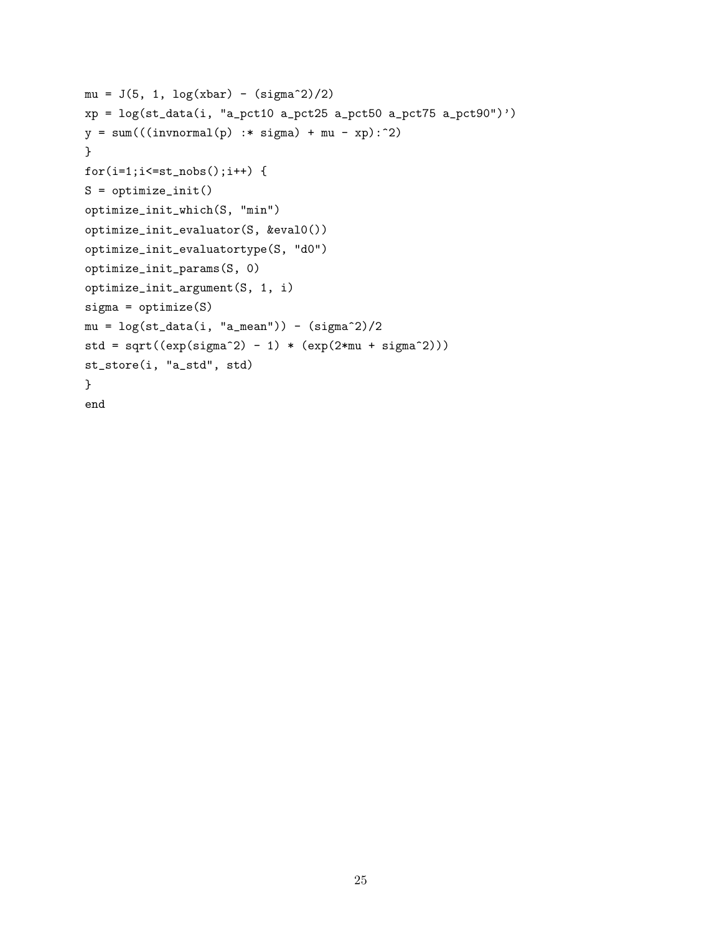```
mu = J(5, 1, log(xbar) - (sigma^2)/2)xp = log(st_data(i, "a_pct10 a_pct25 a_pct50 a_pct75 a_pct90"))y = sum(((invnormal(p) : * sigma) + mu - xp):^2)}
for(i=1;i<=st\_nobs();i++) {
S = optimize_init()
optimize_init_which(S, "min")
optimize_init_evaluator(S, &eval0())
optimize_init_evaluatortype(S, "d0")
optimize_init_params(S, 0)
optimize_init_argument(S, 1, i)
sigma = optimize(S)mu = \log(st_data(i, "a_mean")) - (sigma^2)/2std = sqrt((exp(sign^2) - 1) * (exp(2*mu + sigma^2)))st_store(i, "a_std", std)
}
end
```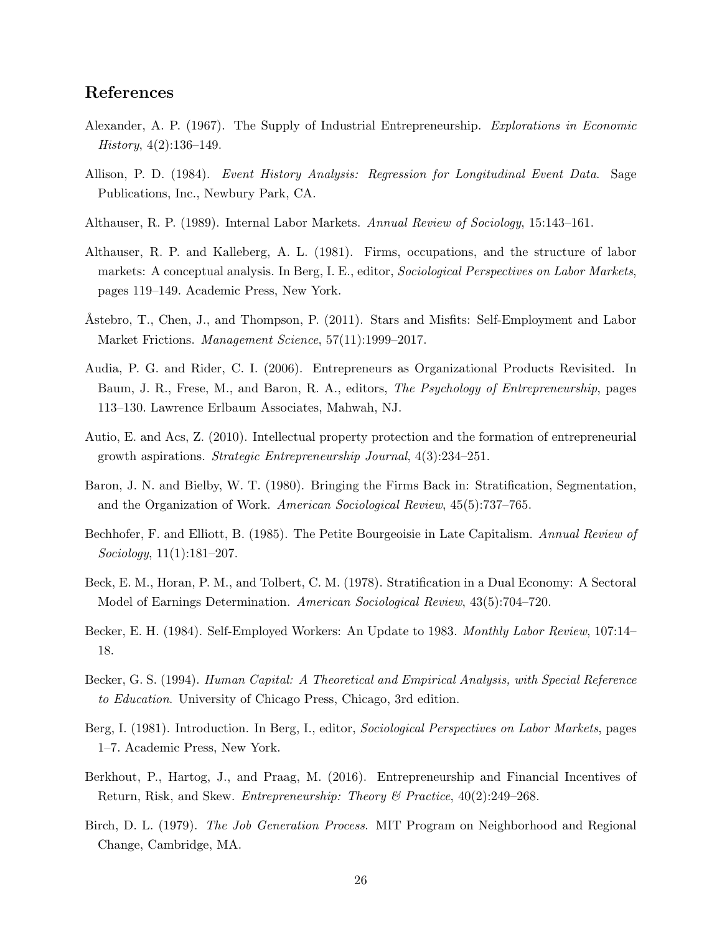# References

- Alexander, A. P. (1967). The Supply of Industrial Entrepreneurship. Explorations in Economic  $History, 4(2):136–149.$
- Allison, P. D. (1984). Event History Analysis: Regression for Longitudinal Event Data. Sage Publications, Inc., Newbury Park, CA.
- Althauser, R. P. (1989). Internal Labor Markets. Annual Review of Sociology, 15:143–161.
- Althauser, R. P. and Kalleberg, A. L. (1981). Firms, occupations, and the structure of labor markets: A conceptual analysis. In Berg, I. E., editor, Sociological Perspectives on Labor Markets, pages 119–149. Academic Press, New York.
- Astebro, T., Chen, J., and Thompson, P. (2011). Stars and Misfits: Self-Employment and Labor Market Frictions. *Management Science*, 57(11):1999–2017.
- Audia, P. G. and Rider, C. I. (2006). Entrepreneurs as Organizational Products Revisited. In Baum, J. R., Frese, M., and Baron, R. A., editors, The Psychology of Entrepreneurship, pages 113–130. Lawrence Erlbaum Associates, Mahwah, NJ.
- Autio, E. and Acs, Z. (2010). Intellectual property protection and the formation of entrepreneurial growth aspirations. Strategic Entrepreneurship Journal, 4(3):234–251.
- Baron, J. N. and Bielby, W. T. (1980). Bringing the Firms Back in: Stratification, Segmentation, and the Organization of Work. American Sociological Review, 45(5):737–765.
- Bechhofer, F. and Elliott, B. (1985). The Petite Bourgeoisie in Late Capitalism. Annual Review of Sociology, 11(1):181–207.
- Beck, E. M., Horan, P. M., and Tolbert, C. M. (1978). Stratification in a Dual Economy: A Sectoral Model of Earnings Determination. American Sociological Review, 43(5):704–720.
- Becker, E. H. (1984). Self-Employed Workers: An Update to 1983. Monthly Labor Review, 107:14– 18.
- Becker, G. S. (1994). Human Capital: A Theoretical and Empirical Analysis, with Special Reference to Education. University of Chicago Press, Chicago, 3rd edition.
- Berg, I. (1981). Introduction. In Berg, I., editor, Sociological Perspectives on Labor Markets, pages 1–7. Academic Press, New York.
- Berkhout, P., Hartog, J., and Praag, M. (2016). Entrepreneurship and Financial Incentives of Return, Risk, and Skew. Entrepreneurship: Theory & Practice, 40(2):249–268.
- Birch, D. L. (1979). The Job Generation Process. MIT Program on Neighborhood and Regional Change, Cambridge, MA.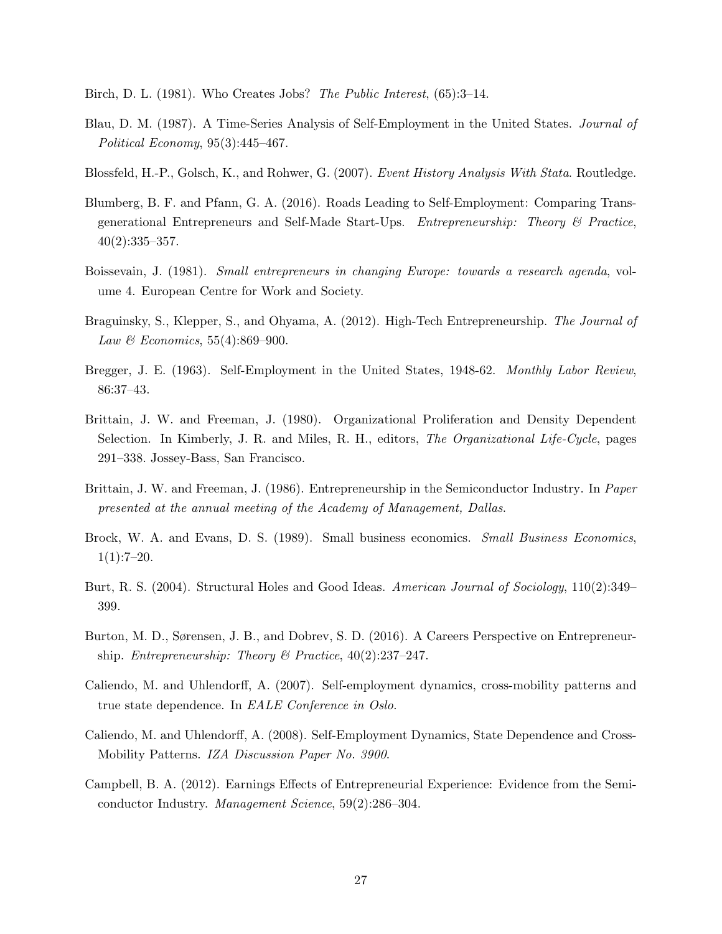Birch, D. L. (1981). Who Creates Jobs? The Public Interest, (65):3-14.

- Blau, D. M. (1987). A Time-Series Analysis of Self-Employment in the United States. Journal of Political Economy, 95(3):445–467.
- Blossfeld, H.-P., Golsch, K., and Rohwer, G. (2007). Event History Analysis With Stata. Routledge.
- Blumberg, B. F. and Pfann, G. A. (2016). Roads Leading to Self-Employment: Comparing Transgenerational Entrepreneurs and Self-Made Start-Ups. Entrepreneurship: Theory & Practice,  $40(2):335-357.$
- Boissevain, J. (1981). Small entrepreneurs in changing Europe: towards a research agenda, volume 4. European Centre for Work and Society.
- Braguinsky, S., Klepper, S., and Ohyama, A. (2012). High-Tech Entrepreneurship. The Journal of *Law & Economics*,  $55(4):869-900$ .
- Bregger, J. E. (1963). Self-Employment in the United States, 1948-62. Monthly Labor Review, 86:37–43.
- Brittain, J. W. and Freeman, J. (1980). Organizational Proliferation and Density Dependent Selection. In Kimberly, J. R. and Miles, R. H., editors, *The Organizational Life-Cycle*, pages 291–338. Jossey-Bass, San Francisco.
- Brittain, J. W. and Freeman, J. (1986). Entrepreneurship in the Semiconductor Industry. In Paper presented at the annual meeting of the Academy of Management, Dallas.
- Brock, W. A. and Evans, D. S. (1989). Small business economics. Small Business Economics,  $1(1):7-20.$
- Burt, R. S. (2004). Structural Holes and Good Ideas. American Journal of Sociology, 110(2):349– 399.
- Burton, M. D., Sørensen, J. B., and Dobrev, S. D. (2016). A Careers Perspective on Entrepreneurship. *Entrepreneurship: Theory & Practice*,  $40(2):237-247$ .
- Caliendo, M. and Uhlendorff, A. (2007). Self-employment dynamics, cross-mobility patterns and true state dependence. In EALE Conference in Oslo.
- Caliendo, M. and Uhlendorff, A. (2008). Self-Employment Dynamics, State Dependence and Cross-Mobility Patterns. IZA Discussion Paper No. 3900.
- Campbell, B. A. (2012). Earnings Effects of Entrepreneurial Experience: Evidence from the Semiconductor Industry. Management Science, 59(2):286–304.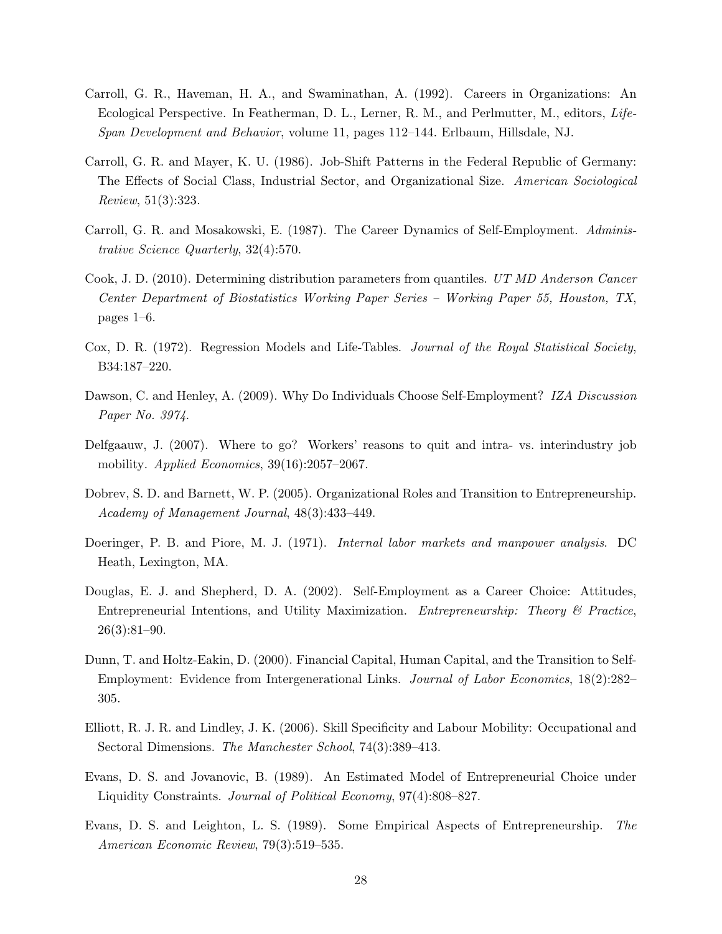- Carroll, G. R., Haveman, H. A., and Swaminathan, A. (1992). Careers in Organizations: An Ecological Perspective. In Featherman, D. L., Lerner, R. M., and Perlmutter, M., editors, Life-Span Development and Behavior, volume 11, pages 112–144. Erlbaum, Hillsdale, NJ.
- Carroll, G. R. and Mayer, K. U. (1986). Job-Shift Patterns in the Federal Republic of Germany: The Effects of Social Class, Industrial Sector, and Organizational Size. American Sociological Review, 51(3):323.
- Carroll, G. R. and Mosakowski, E. (1987). The Career Dynamics of Self-Employment. Administrative Science Quarterly, 32(4):570.
- Cook, J. D. (2010). Determining distribution parameters from quantiles. UT MD Anderson Cancer Center Department of Biostatistics Working Paper Series – Working Paper 55, Houston, TX, pages 1–6.
- Cox, D. R. (1972). Regression Models and Life-Tables. Journal of the Royal Statistical Society, B34:187–220.
- Dawson, C. and Henley, A. (2009). Why Do Individuals Choose Self-Employment? IZA Discussion Paper No. 3974.
- Delfgaauw, J. (2007). Where to go? Workers' reasons to quit and intra- vs. interindustry job mobility. Applied Economics, 39(16):2057-2067.
- Dobrev, S. D. and Barnett, W. P. (2005). Organizational Roles and Transition to Entrepreneurship. Academy of Management Journal, 48(3):433–449.
- Doeringer, P. B. and Piore, M. J. (1971). *Internal labor markets and manpower analysis.* DC Heath, Lexington, MA.
- Douglas, E. J. and Shepherd, D. A. (2002). Self-Employment as a Career Choice: Attitudes, Entrepreneurial Intentions, and Utility Maximization. Entrepreneurship: Theory & Practice, 26(3):81–90.
- Dunn, T. and Holtz-Eakin, D. (2000). Financial Capital, Human Capital, and the Transition to Self-Employment: Evidence from Intergenerational Links. Journal of Labor Economics, 18(2):282– 305.
- Elliott, R. J. R. and Lindley, J. K. (2006). Skill Specificity and Labour Mobility: Occupational and Sectoral Dimensions. The Manchester School, 74(3):389–413.
- Evans, D. S. and Jovanovic, B. (1989). An Estimated Model of Entrepreneurial Choice under Liquidity Constraints. Journal of Political Economy, 97(4):808–827.
- Evans, D. S. and Leighton, L. S. (1989). Some Empirical Aspects of Entrepreneurship. The American Economic Review, 79(3):519–535.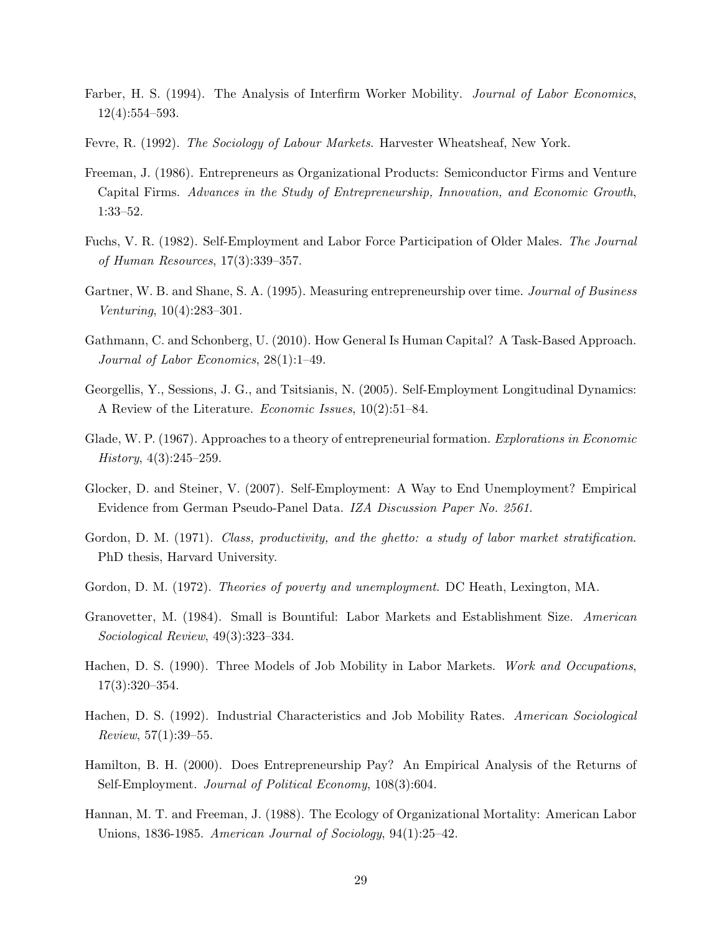- Farber, H. S. (1994). The Analysis of Interfirm Worker Mobility. *Journal of Labor Economics*, 12(4):554–593.
- Fevre, R. (1992). The Sociology of Labour Markets. Harvester Wheatsheaf, New York.
- Freeman, J. (1986). Entrepreneurs as Organizational Products: Semiconductor Firms and Venture Capital Firms. Advances in the Study of Entrepreneurship, Innovation, and Economic Growth, 1:33–52.
- Fuchs, V. R. (1982). Self-Employment and Labor Force Participation of Older Males. The Journal of Human Resources, 17(3):339–357.
- Gartner, W. B. and Shane, S. A. (1995). Measuring entrepreneurship over time. Journal of Business Venturing, 10(4):283–301.
- Gathmann, C. and Schonberg, U. (2010). How General Is Human Capital? A Task-Based Approach. Journal of Labor Economics, 28(1):1–49.
- Georgellis, Y., Sessions, J. G., and Tsitsianis, N. (2005). Self-Employment Longitudinal Dynamics: A Review of the Literature. Economic Issues, 10(2):51–84.
- Glade, W. P. (1967). Approaches to a theory of entrepreneurial formation. Explorations in Economic History, 4(3):245–259.
- Glocker, D. and Steiner, V. (2007). Self-Employment: A Way to End Unemployment? Empirical Evidence from German Pseudo-Panel Data. IZA Discussion Paper No. 2561.
- Gordon, D. M. (1971). Class, productivity, and the ghetto: a study of labor market stratification. PhD thesis, Harvard University.
- Gordon, D. M. (1972). Theories of poverty and unemployment. DC Heath, Lexington, MA.
- Granovetter, M. (1984). Small is Bountiful: Labor Markets and Establishment Size. American Sociological Review, 49(3):323–334.
- Hachen, D. S. (1990). Three Models of Job Mobility in Labor Markets. Work and Occupations, 17(3):320–354.
- Hachen, D. S. (1992). Industrial Characteristics and Job Mobility Rates. American Sociological Review, 57(1):39–55.
- Hamilton, B. H. (2000). Does Entrepreneurship Pay? An Empirical Analysis of the Returns of Self-Employment. Journal of Political Economy, 108(3):604.
- Hannan, M. T. and Freeman, J. (1988). The Ecology of Organizational Mortality: American Labor Unions, 1836-1985. American Journal of Sociology, 94(1):25–42.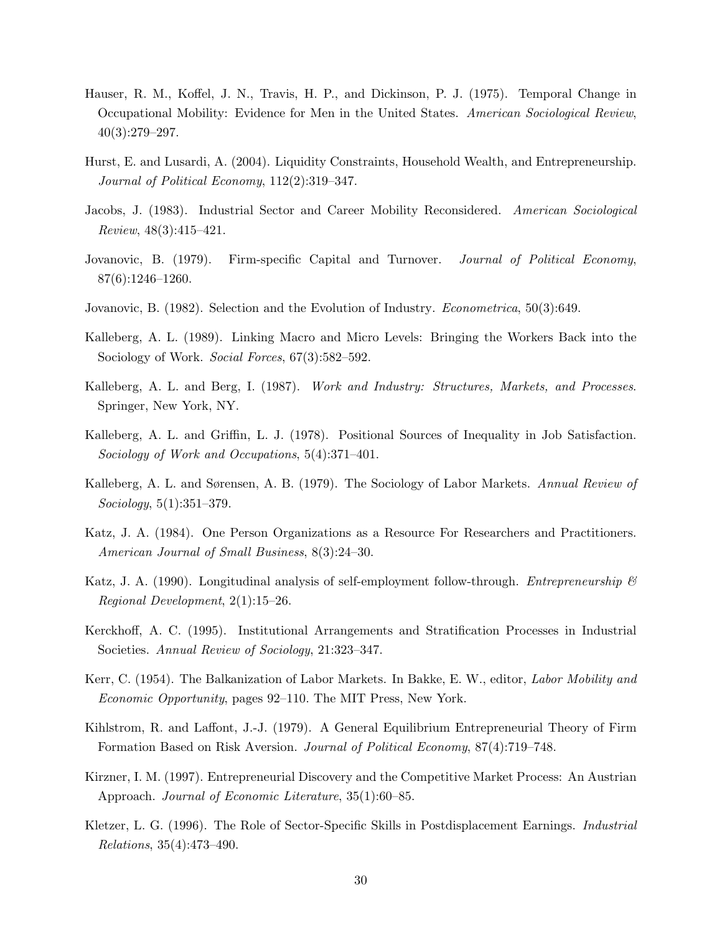- Hauser, R. M., Koffel, J. N., Travis, H. P., and Dickinson, P. J. (1975). Temporal Change in Occupational Mobility: Evidence for Men in the United States. American Sociological Review,  $40(3):279-297.$
- Hurst, E. and Lusardi, A. (2004). Liquidity Constraints, Household Wealth, and Entrepreneurship. Journal of Political Economy, 112(2):319–347.
- Jacobs, J. (1983). Industrial Sector and Career Mobility Reconsidered. American Sociological Review, 48(3):415–421.
- Jovanovic, B. (1979). Firm-specific Capital and Turnover. *Journal of Political Economy*, 87(6):1246–1260.
- Jovanovic, B. (1982). Selection and the Evolution of Industry. Econometrica, 50(3):649.
- Kalleberg, A. L. (1989). Linking Macro and Micro Levels: Bringing the Workers Back into the Sociology of Work. Social Forces, 67(3):582–592.
- Kalleberg, A. L. and Berg, I. (1987). Work and Industry: Structures, Markets, and Processes. Springer, New York, NY.
- Kalleberg, A. L. and Griffin, L. J. (1978). Positional Sources of Inequality in Job Satisfaction. Sociology of Work and Occupations, 5(4):371–401.
- Kalleberg, A. L. and Sørensen, A. B. (1979). The Sociology of Labor Markets. Annual Review of Sociology, 5(1):351–379.
- Katz, J. A. (1984). One Person Organizations as a Resource For Researchers and Practitioners. American Journal of Small Business, 8(3):24–30.
- Katz, J. A. (1990). Longitudinal analysis of self-employment follow-through. *Entrepreneurship*  $\mathscr B$ Regional Development, 2(1):15–26.
- Kerckhoff, A. C. (1995). Institutional Arrangements and Stratification Processes in Industrial Societies. Annual Review of Sociology, 21:323–347.
- Kerr, C. (1954). The Balkanization of Labor Markets. In Bakke, E. W., editor, Labor Mobility and Economic Opportunity, pages 92–110. The MIT Press, New York.
- Kihlstrom, R. and Laffont, J.-J. (1979). A General Equilibrium Entrepreneurial Theory of Firm Formation Based on Risk Aversion. Journal of Political Economy, 87(4):719–748.
- Kirzner, I. M. (1997). Entrepreneurial Discovery and the Competitive Market Process: An Austrian Approach. Journal of Economic Literature, 35(1):60–85.
- Kletzer, L. G. (1996). The Role of Sector-Specific Skills in Postdisplacement Earnings. Industrial Relations, 35(4):473–490.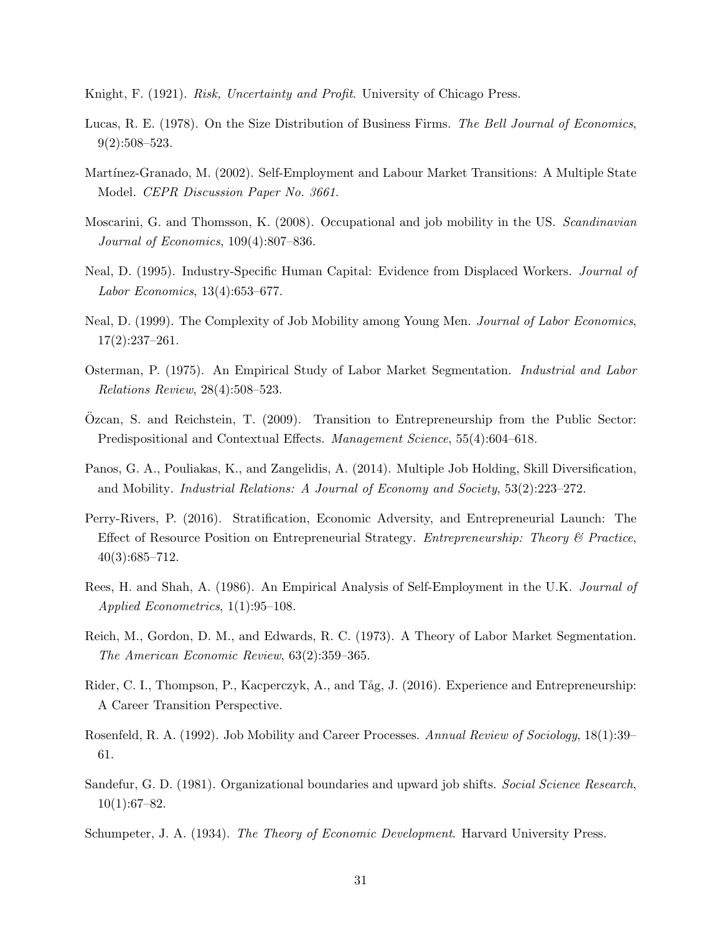Knight, F. (1921). Risk, Uncertainty and Profit. University of Chicago Press.

- Lucas, R. E. (1978). On the Size Distribution of Business Firms. The Bell Journal of Economics, 9(2):508–523.
- Martínez-Granado, M. (2002). Self-Employment and Labour Market Transitions: A Multiple State Model. CEPR Discussion Paper No. 3661.
- Moscarini, G. and Thomsson, K. (2008). Occupational and job mobility in the US. Scandinavian Journal of Economics, 109(4):807–836.
- Neal, D. (1995). Industry-Specific Human Capital: Evidence from Displaced Workers. *Journal of* Labor Economics, 13(4):653–677.
- Neal, D. (1999). The Complexity of Job Mobility among Young Men. Journal of Labor Economics,  $17(2):237-261.$
- Osterman, P. (1975). An Empirical Study of Labor Market Segmentation. Industrial and Labor Relations Review, 28(4):508–523.
- Ozcan, S. and Reichstein, T. (2009). Transition to Entrepreneurship from the Public Sector: Predispositional and Contextual Effects. Management Science, 55(4):604–618.
- Panos, G. A., Pouliakas, K., and Zangelidis, A. (2014). Multiple Job Holding, Skill Diversification, and Mobility. Industrial Relations: A Journal of Economy and Society, 53(2):223–272.
- Perry-Rivers, P. (2016). Stratification, Economic Adversity, and Entrepreneurial Launch: The Effect of Resource Position on Entrepreneurial Strategy. Entrepreneurship: Theory & Practice, 40(3):685–712.
- Rees, H. and Shah, A. (1986). An Empirical Analysis of Self-Employment in the U.K. Journal of Applied Econometrics, 1(1):95–108.
- Reich, M., Gordon, D. M., and Edwards, R. C. (1973). A Theory of Labor Market Segmentation. The American Economic Review, 63(2):359–365.
- Rider, C. I., Thompson, P., Kacperczyk, A., and Tåg, J. (2016). Experience and Entrepreneurship: A Career Transition Perspective.
- Rosenfeld, R. A. (1992). Job Mobility and Career Processes. Annual Review of Sociology, 18(1):39– 61.
- Sandefur, G. D. (1981). Organizational boundaries and upward job shifts. Social Science Research, 10(1):67–82.
- Schumpeter, J. A. (1934). The Theory of Economic Development. Harvard University Press.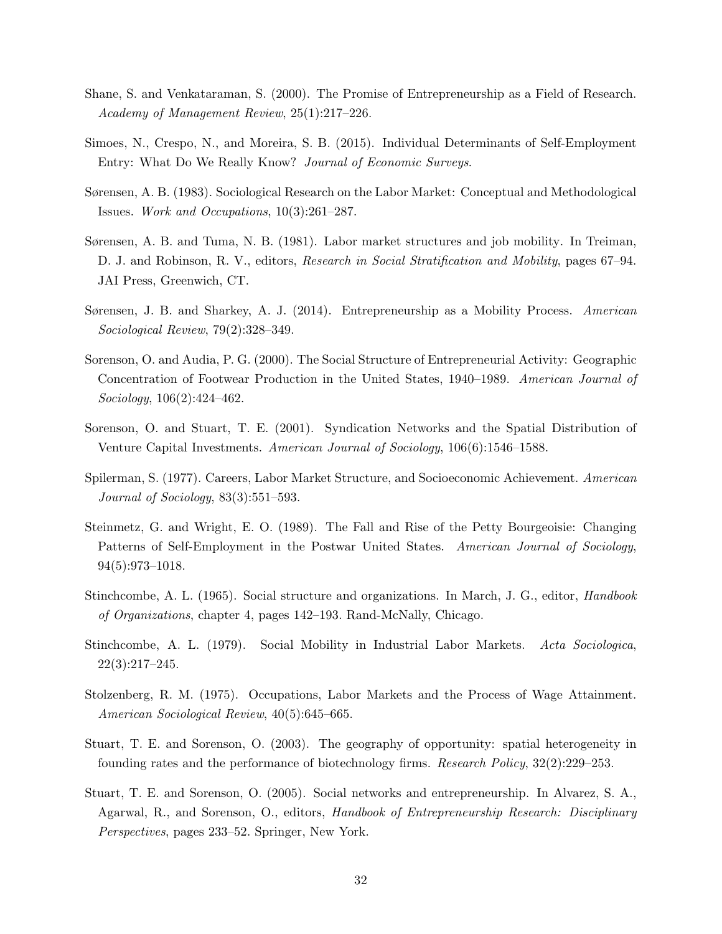- Shane, S. and Venkataraman, S. (2000). The Promise of Entrepreneurship as a Field of Research. Academy of Management Review, 25(1):217–226.
- Simoes, N., Crespo, N., and Moreira, S. B. (2015). Individual Determinants of Self-Employment Entry: What Do We Really Know? Journal of Economic Surveys.
- Sørensen, A. B. (1983). Sociological Research on the Labor Market: Conceptual and Methodological Issues. Work and Occupations, 10(3):261–287.
- Sørensen, A. B. and Tuma, N. B. (1981). Labor market structures and job mobility. In Treiman, D. J. and Robinson, R. V., editors, Research in Social Stratification and Mobility, pages 67–94. JAI Press, Greenwich, CT.
- Sørensen, J. B. and Sharkey, A. J. (2014). Entrepreneurship as a Mobility Process. American Sociological Review, 79(2):328–349.
- Sorenson, O. and Audia, P. G. (2000). The Social Structure of Entrepreneurial Activity: Geographic Concentration of Footwear Production in the United States, 1940–1989. American Journal of Sociology, 106(2):424–462.
- Sorenson, O. and Stuart, T. E. (2001). Syndication Networks and the Spatial Distribution of Venture Capital Investments. American Journal of Sociology, 106(6):1546–1588.
- Spilerman, S. (1977). Careers, Labor Market Structure, and Socioeconomic Achievement. American Journal of Sociology, 83(3):551–593.
- Steinmetz, G. and Wright, E. O. (1989). The Fall and Rise of the Petty Bourgeoisie: Changing Patterns of Self-Employment in the Postwar United States. American Journal of Sociology, 94(5):973–1018.
- Stinchcombe, A. L. (1965). Social structure and organizations. In March, J. G., editor, *Handbook* of Organizations, chapter 4, pages 142–193. Rand-McNally, Chicago.
- Stinchcombe, A. L. (1979). Social Mobility in Industrial Labor Markets. Acta Sociologica, 22(3):217–245.
- Stolzenberg, R. M. (1975). Occupations, Labor Markets and the Process of Wage Attainment. American Sociological Review, 40(5):645–665.
- Stuart, T. E. and Sorenson, O. (2003). The geography of opportunity: spatial heterogeneity in founding rates and the performance of biotechnology firms. Research Policy, 32(2):229–253.
- Stuart, T. E. and Sorenson, O. (2005). Social networks and entrepreneurship. In Alvarez, S. A., Agarwal, R., and Sorenson, O., editors, Handbook of Entrepreneurship Research: Disciplinary Perspectives, pages 233–52. Springer, New York.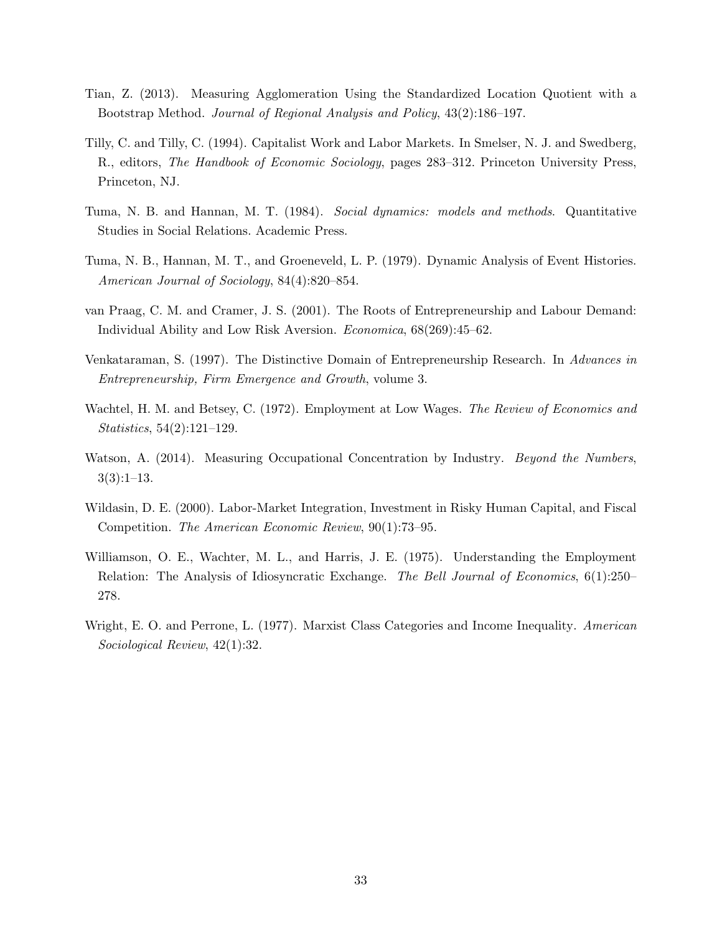- Tian, Z. (2013). Measuring Agglomeration Using the Standardized Location Quotient with a Bootstrap Method. Journal of Regional Analysis and Policy, 43(2):186–197.
- Tilly, C. and Tilly, C. (1994). Capitalist Work and Labor Markets. In Smelser, N. J. and Swedberg, R., editors, The Handbook of Economic Sociology, pages 283–312. Princeton University Press, Princeton, NJ.
- Tuma, N. B. and Hannan, M. T. (1984). Social dynamics: models and methods. Quantitative Studies in Social Relations. Academic Press.
- Tuma, N. B., Hannan, M. T., and Groeneveld, L. P. (1979). Dynamic Analysis of Event Histories. American Journal of Sociology, 84(4):820–854.
- van Praag, C. M. and Cramer, J. S. (2001). The Roots of Entrepreneurship and Labour Demand: Individual Ability and Low Risk Aversion. Economica, 68(269):45–62.
- Venkataraman, S. (1997). The Distinctive Domain of Entrepreneurship Research. In Advances in Entrepreneurship, Firm Emergence and Growth, volume 3.
- Wachtel, H. M. and Betsey, C. (1972). Employment at Low Wages. The Review of Economics and Statistics, 54(2):121–129.
- Watson, A. (2014). Measuring Occupational Concentration by Industry. *Beyond the Numbers*,  $3(3):1-13.$
- Wildasin, D. E. (2000). Labor-Market Integration, Investment in Risky Human Capital, and Fiscal Competition. The American Economic Review, 90(1):73–95.
- Williamson, O. E., Wachter, M. L., and Harris, J. E. (1975). Understanding the Employment Relation: The Analysis of Idiosyncratic Exchange. The Bell Journal of Economics, 6(1):250– 278.
- Wright, E. O. and Perrone, L. (1977). Marxist Class Categories and Income Inequality. American Sociological Review, 42(1):32.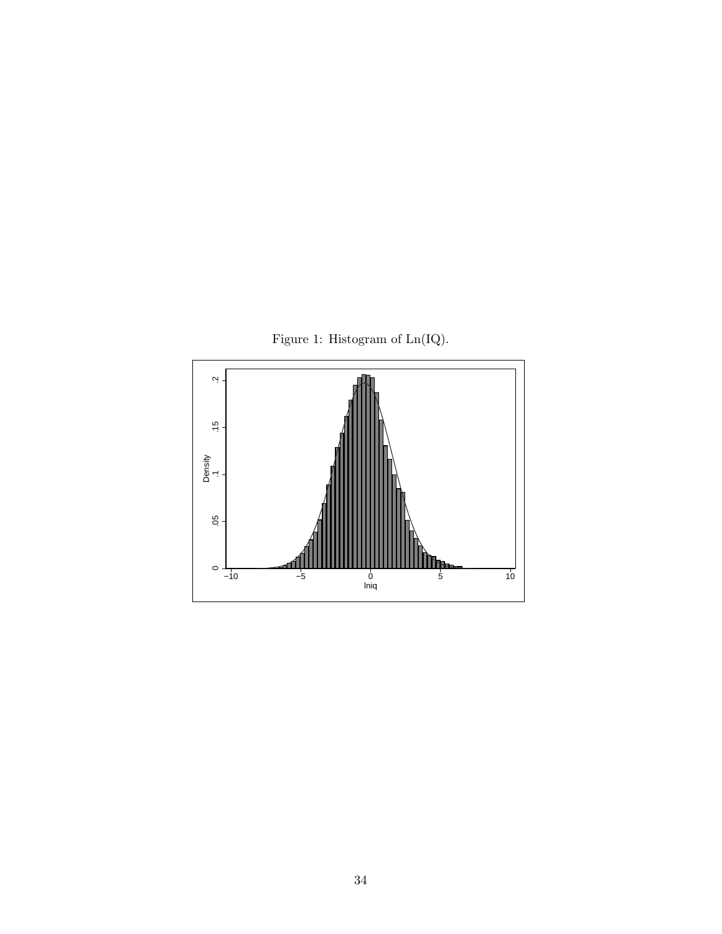

Figure 1: Histogram of  $\operatorname{Ln}(\operatorname{IQ}).$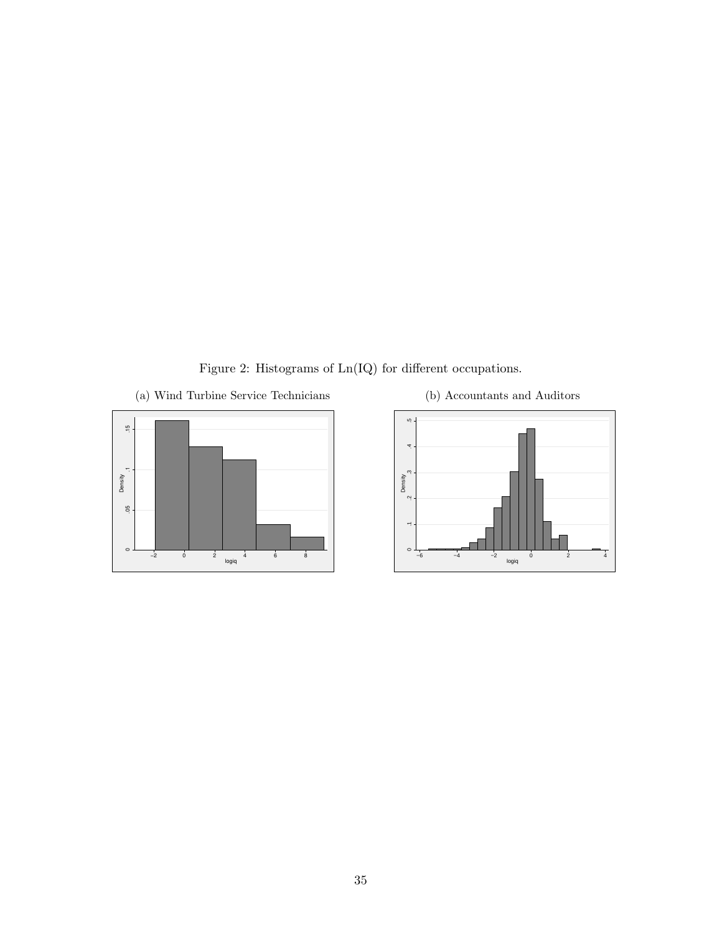Figure 2: Histograms of Ln(IQ) for different occupations.

(a) Wind Turbine Service Technicians





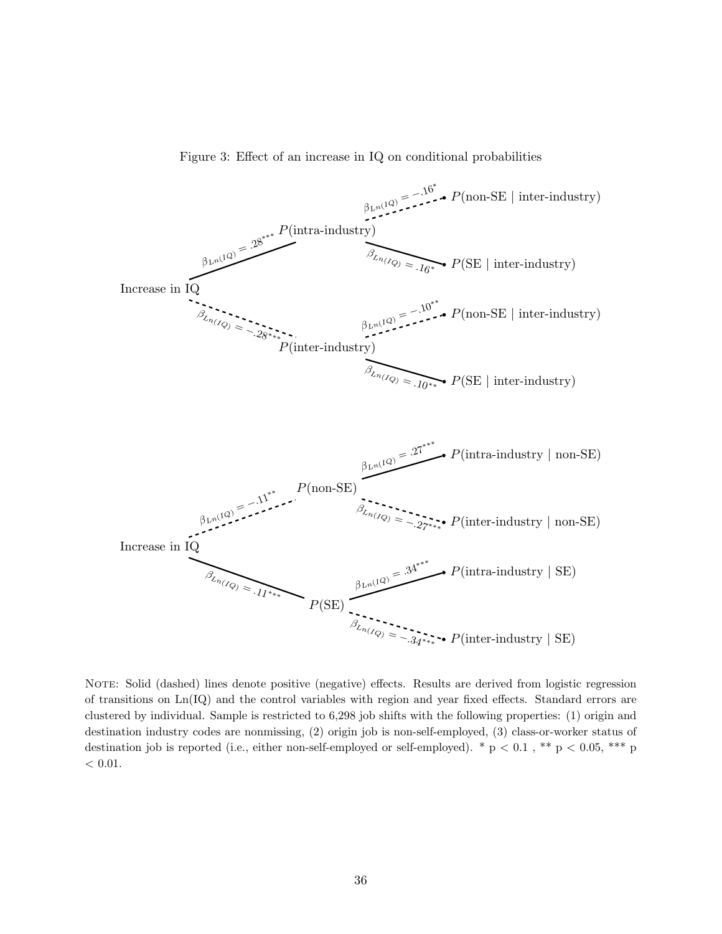



NOTE: Solid (dashed) lines denote positive (negative) effects. Results are derived from logistic regression of transitions on Ln(IQ) and the control variables with region and year fixed effects. Standard errors are clustered by individual. Sample is restricted to 6,298 job shifts with the following properties: (1) origin and destination industry codes are nonmissing, (2) origin job is non-self-employed, (3) class-or-worker status of destination job is reported (i.e., either non-self-employed or self-employed). \* p < 0.1, \*\* p < 0.05, \*\*\* p  $< 0.01$ .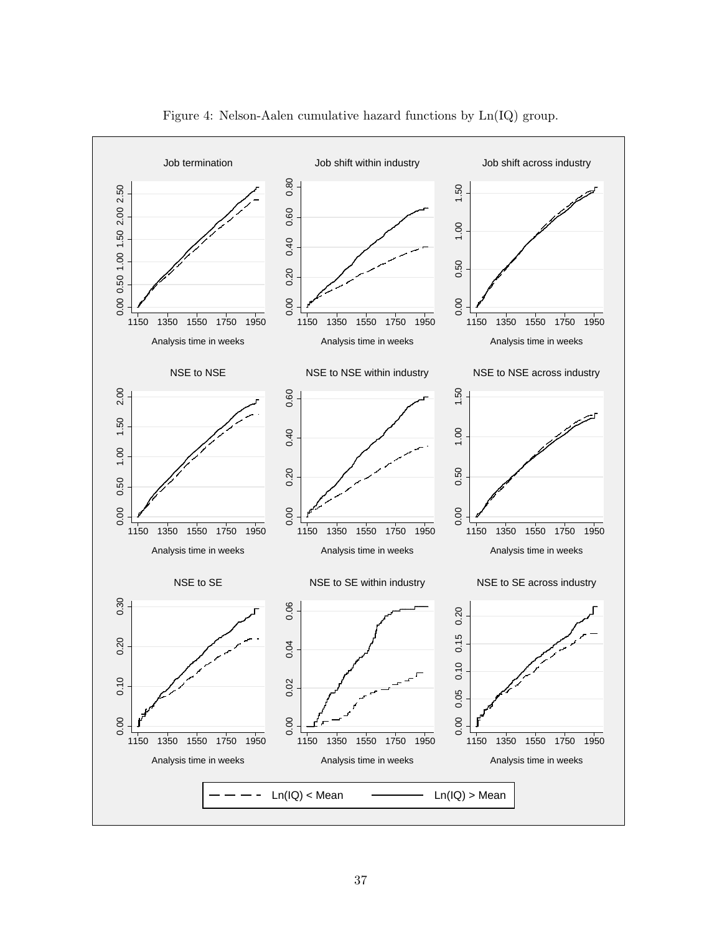

Figure 4: Nelson-Aalen cumulative hazard functions by Ln(IQ) group.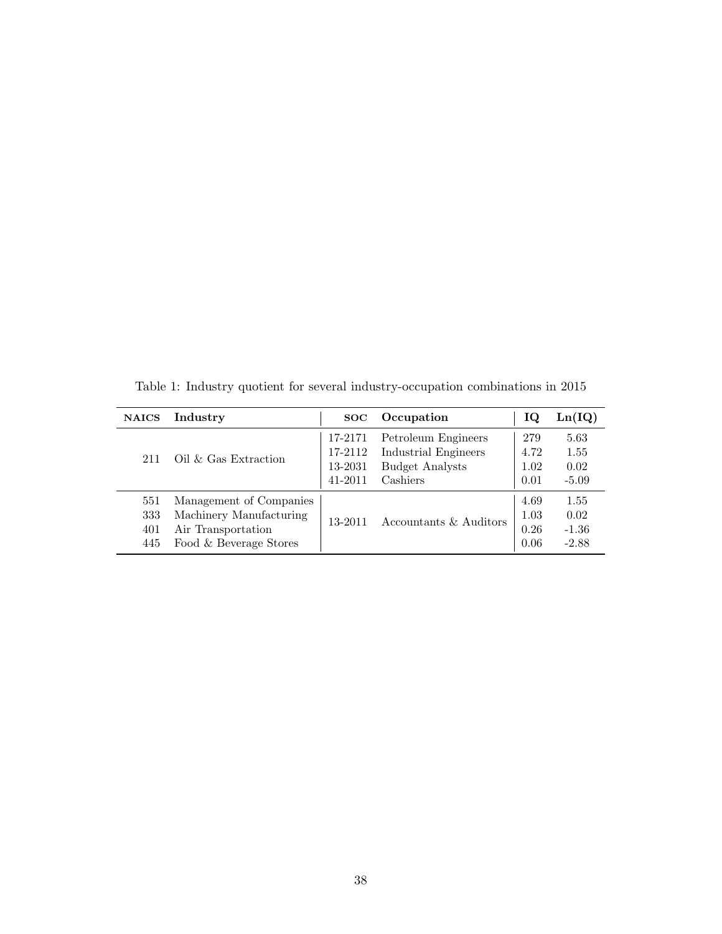| <b>NAICS</b>             | Industry                                                                                           | SOC                                      | Occupation                                                                        | TQ                           | Ln(IQ)                             |
|--------------------------|----------------------------------------------------------------------------------------------------|------------------------------------------|-----------------------------------------------------------------------------------|------------------------------|------------------------------------|
| 211                      | $\mathrm{Oil}\ \&\ \mathrm{Gas}\ \mathrm{Extraction}$                                              | 17-2171<br>17-2112<br>13-2031<br>41-2011 | Petroleum Engineers<br>Industrial Engineers<br><b>Budget Analysts</b><br>Cashiers | 279<br>4.72<br>1.02<br>0.01  | 5.63<br>1.55<br>0.02<br>$-5.09$    |
| 551<br>333<br>401<br>445 | Management of Companies<br>Machinery Manufacturing<br>Air Transportation<br>Food & Beverage Stores | 13-2011                                  | Accountants & Auditors                                                            | 4.69<br>1.03<br>0.26<br>0.06 | 1.55<br>0.02<br>$-1.36$<br>$-2.88$ |

Table 1: Industry quotient for several industry-occupation combinations in 2015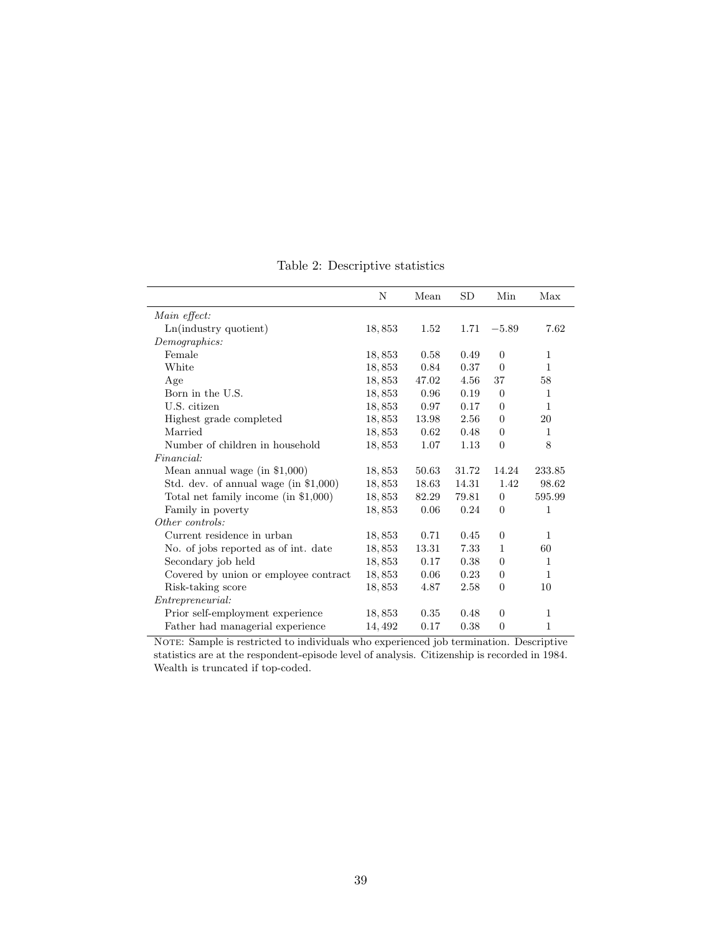|                                        | N      | Mean  | SD    | Min              | Max          |
|----------------------------------------|--------|-------|-------|------------------|--------------|
| Main effect:                           |        |       |       |                  |              |
| Ln(industry quotient)                  | 18,853 | 1.52  | 1.71  | $-5.89$          | 7.62         |
| Demographics:                          |        |       |       |                  |              |
| Female                                 | 18,853 | 0.58  | 0.49  | $\overline{0}$   | 1            |
| White                                  | 18,853 | 0.84  | 0.37  | $\overline{0}$   | $\mathbf{1}$ |
| Age                                    | 18,853 | 47.02 | 4.56  | 37               | 58           |
| Born in the U.S.                       | 18,853 | 0.96  | 0.19  | $\boldsymbol{0}$ | $\mathbf{1}$ |
| U.S. citizen                           | 18,853 | 0.97  | 0.17  | $\boldsymbol{0}$ | $\mathbf{1}$ |
| Highest grade completed                | 18,853 | 13.98 | 2.56  | $\overline{0}$   | 20           |
| Married                                | 18,853 | 0.62  | 0.48  | $\boldsymbol{0}$ | $\mathbf{1}$ |
| Number of children in household        | 18,853 | 1.07  | 1.13  | $\overline{0}$   | 8            |
| Financial:                             |        |       |       |                  |              |
| Mean annual wage (in $$1,000$ )        | 18,853 | 50.63 | 31.72 | 14.24            | 233.85       |
| Std. dev. of annual wage (in \$1,000)  | 18,853 | 18.63 | 14.31 | 1.42             | 98.62        |
| Total net family income (in $$1,000$ ) | 18,853 | 82.29 | 79.81 | $\overline{0}$   | 595.99       |
| Family in poverty                      | 18,853 | 0.06  | 0.24  | $\boldsymbol{0}$ | $\mathbf{1}$ |
| Other controls:                        |        |       |       |                  |              |
| Current residence in urban             | 18,853 | 0.71  | 0.45  | $\boldsymbol{0}$ | $\mathbf{1}$ |
| No. of jobs reported as of int. date   | 18,853 | 13.31 | 7.33  | $\mathbf{1}$     | 60           |
| Secondary job held                     | 18,853 | 0.17  | 0.38  | $\boldsymbol{0}$ | 1            |
| Covered by union or employee contract  | 18,853 | 0.06  | 0.23  | $\boldsymbol{0}$ | $\mathbf{1}$ |
| Risk-taking score                      | 18,853 | 4.87  | 2.58  | $\overline{0}$   | 10           |
| <i>Entrepreneurial:</i>                |        |       |       |                  |              |
| Prior self-employment experience       | 18,853 | 0.35  | 0.48  | $\theta$         | 1            |
| Father had managerial experience       | 14,492 | 0.17  | 0.38  | $\boldsymbol{0}$ | 1            |
|                                        |        |       |       |                  |              |

Table 2: Descriptive statistics

NOTE: Sample is restricted to individuals who experienced job termination. Descriptive statistics are at the respondent-episode level of analysis. Citizenship is recorded in 1984. Wealth is truncated if top-coded.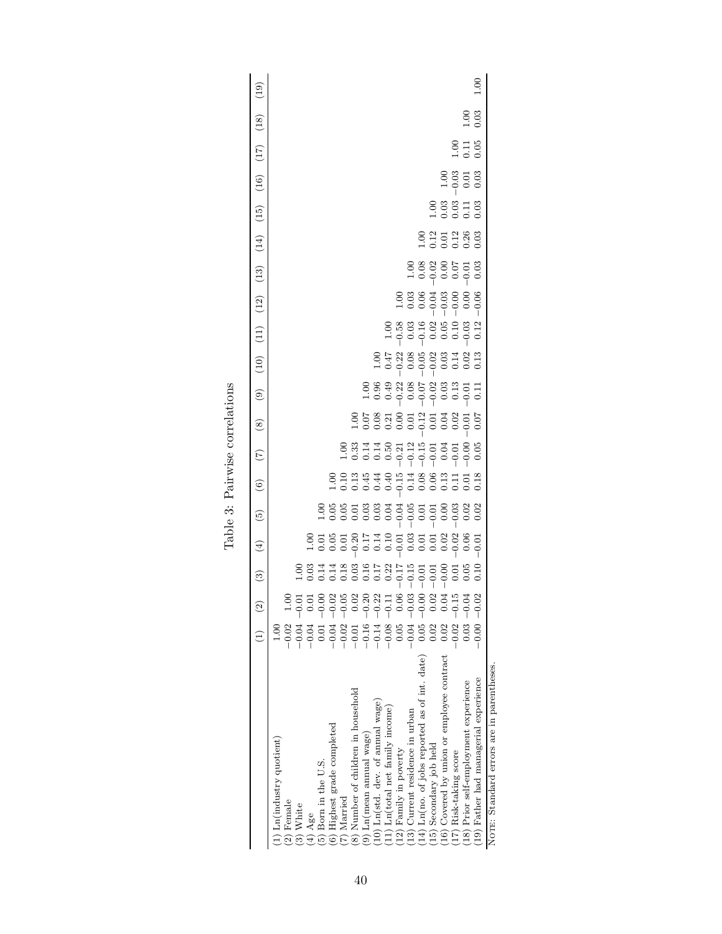|                                                            | $(1)$                                                                                                                             |                | ව | $\left( \frac{4}{2} \right)$ | $\widetilde{5}$                | $\circledcirc$ | (7) | $\circled{s}$               | $\circledcirc$ | $(10)$ |                                                                     | (11) (12)                                                                        |                              | (13) (14) (15)           | (16)              | (17)                                                | (18)                | (19) |
|------------------------------------------------------------|-----------------------------------------------------------------------------------------------------------------------------------|----------------|---|------------------------------|--------------------------------|----------------|-----|-----------------------------|----------------|--------|---------------------------------------------------------------------|----------------------------------------------------------------------------------|------------------------------|--------------------------|-------------------|-----------------------------------------------------|---------------------|------|
| (1) Ln(industry quotient)                                  | $\frac{1}{10}$                                                                                                                    |                |   |                              |                                |                |     |                             |                |        |                                                                     |                                                                                  |                              |                          |                   |                                                     |                     |      |
| (2) Female<br>$(3)$ White                                  | $\begin{array}{rrrr} -0.02 & 1.00 \\ -0.04 & -0.01 \\ -0.04 & 0.01 \\ -0.01 & -0.00 \\ 0.01 & -0.02 \\ -0.04 & -0.02 \end{array}$ |                |   |                              |                                |                |     |                             |                |        |                                                                     |                                                                                  |                              |                          |                   |                                                     |                     |      |
| $(4)$ Age                                                  |                                                                                                                                   |                |   |                              |                                |                |     |                             |                |        |                                                                     |                                                                                  |                              |                          |                   |                                                     |                     |      |
| 5) Born in the U.S.                                        |                                                                                                                                   |                |   |                              |                                |                |     |                             |                |        |                                                                     |                                                                                  |                              |                          |                   |                                                     |                     |      |
| 6) Highest grade completed                                 |                                                                                                                                   |                |   |                              | 8888888888888<br>8888888888888 |                |     |                             |                |        |                                                                     |                                                                                  |                              |                          |                   |                                                     |                     |      |
| (7) Married                                                | $-0.02 - 0.05$                                                                                                                    |                |   |                              |                                |                |     |                             |                |        |                                                                     |                                                                                  |                              |                          |                   |                                                     |                     |      |
| (8) Number of children in household                        | $-0.01$                                                                                                                           | 0.02           |   |                              |                                |                |     |                             |                |        |                                                                     |                                                                                  |                              |                          |                   |                                                     |                     |      |
| $(9)$ Ln(mean annual wage)                                 | $\begin{array}{rl} -0.16 & -0.20 \\ -0.14 & -0.22 \end{array}$                                                                    |                |   |                              |                                |                |     | 998899119891<br>89889911989 |                |        |                                                                     |                                                                                  |                              |                          |                   |                                                     |                     |      |
| (10) Ln(std. dev. of annual wage)                          |                                                                                                                                   |                |   |                              |                                |                |     |                             |                |        |                                                                     |                                                                                  |                              |                          |                   |                                                     |                     |      |
| $(11)$ Ln(total net family income)                         | $-0.08 - 0.1$                                                                                                                     |                |   |                              |                                |                |     |                             |                |        |                                                                     |                                                                                  |                              |                          |                   |                                                     |                     |      |
| (12) Family in poverty                                     | $\begin{array}{r} 0.05 & 0.06 \\ -0.04 & -0.03 \end{array}$                                                                       |                |   |                              |                                |                |     |                             |                |        |                                                                     |                                                                                  |                              |                          |                   |                                                     |                     |      |
| (13) Current residence in urban                            |                                                                                                                                   |                |   |                              |                                |                |     |                             |                |        |                                                                     |                                                                                  |                              |                          |                   |                                                     |                     |      |
| $(14)$ Ln(no. of jobs reported as of int. date) 0.05 -0.06 |                                                                                                                                   |                |   |                              |                                |                |     |                             |                |        |                                                                     |                                                                                  |                              |                          |                   |                                                     |                     |      |
| (15) Secondary job held                                    |                                                                                                                                   | $0.02$<br>0.04 |   |                              |                                |                |     |                             |                |        |                                                                     |                                                                                  |                              |                          |                   |                                                     |                     |      |
| (16) Covered by union or employee contract                 | 0.02                                                                                                                              |                |   |                              |                                |                |     |                             |                |        |                                                                     |                                                                                  |                              |                          |                   |                                                     |                     |      |
| (17) Risk-taking score                                     | $0.02 - 0.1$                                                                                                                      |                |   |                              |                                |                |     |                             |                |        | 8 3 3 3 4 5 6 7 8 9<br>9 6 9 6 9 6 9 9 9 9 1<br>9 9 9 9 9 9 9 9 9 1 | $\begin{array}{c}\n 3.6 \\  - 6.6 \\  - 6.6 \\  - 6.6 \\  - 6.6 \\  \end{array}$ | 8 2 3 2 3 8 8<br>8 2 3 2 8 8 | 8 8 8 7 7 8<br>1 0 0 0 0 | 00<br>000<br>0000 |                                                     |                     |      |
| (18) Prior self-employment experience                      | $0.03 - 0.04$                                                                                                                     |                |   |                              |                                |                |     |                             |                |        |                                                                     |                                                                                  |                              |                          |                   | $\begin{array}{c} 0.11 \\ 0.10 \\ 0.01 \end{array}$ | $\frac{0.03}{0.03}$ |      |
| (19) Father had managerial experience                      | $-0.00 - 0.02$                                                                                                                    |                |   |                              |                                |                |     |                             |                |        |                                                                     |                                                                                  |                              |                          |                   |                                                     |                     | 00.1 |
| NOTE: Standard errors are in parentheses.                  |                                                                                                                                   |                |   |                              |                                |                |     |                             |                |        |                                                                     |                                                                                  |                              |                          |                   |                                                     |                     |      |

| nor-<br>correlat |  |
|------------------|--|
| alrwise          |  |
| able             |  |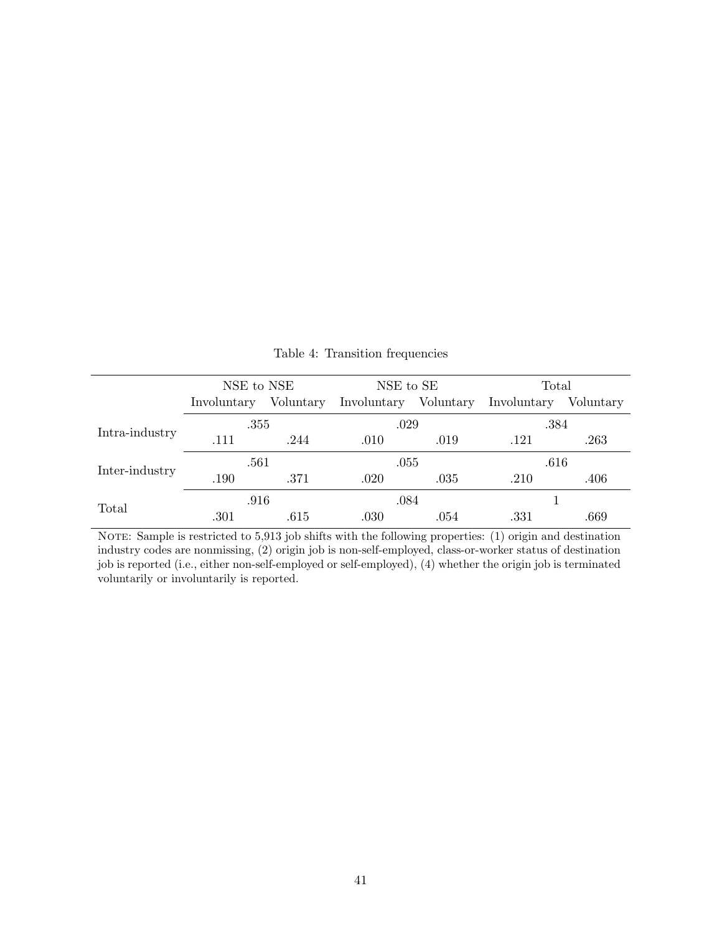|                                  |             | NSE to NSE<br>NSE to SE<br>Voluntary<br>Involuntary Voluntary<br>.029<br>.355<br>.244<br>.010<br>.019<br>.561<br>.055<br>.371<br>.035<br>.020<br>.084<br>.916<br>.030<br>.615<br>.054 | Total |             |           |
|----------------------------------|-------------|---------------------------------------------------------------------------------------------------------------------------------------------------------------------------------------|-------|-------------|-----------|
|                                  | Involuntary |                                                                                                                                                                                       |       | Involuntary | Voluntary |
|                                  |             |                                                                                                                                                                                       |       | .384        |           |
| Intra-industry<br>Inter-industry | .111        |                                                                                                                                                                                       |       | .121        | .263      |
|                                  |             |                                                                                                                                                                                       |       | .616        |           |
|                                  | .190        |                                                                                                                                                                                       |       | .210        | .406      |
|                                  |             |                                                                                                                                                                                       |       |             |           |
| Total                            | .301        |                                                                                                                                                                                       |       | .331        | .669      |

Table 4: Transition frequencies

NOTE: Sample is restricted to 5,913 job shifts with the following properties: (1) origin and destination industry codes are nonmissing, (2) origin job is non-self-employed, class-or-worker status of destination job is reported (i.e., either non-self-employed or self-employed), (4) whether the origin job is terminated voluntarily or involuntarily is reported.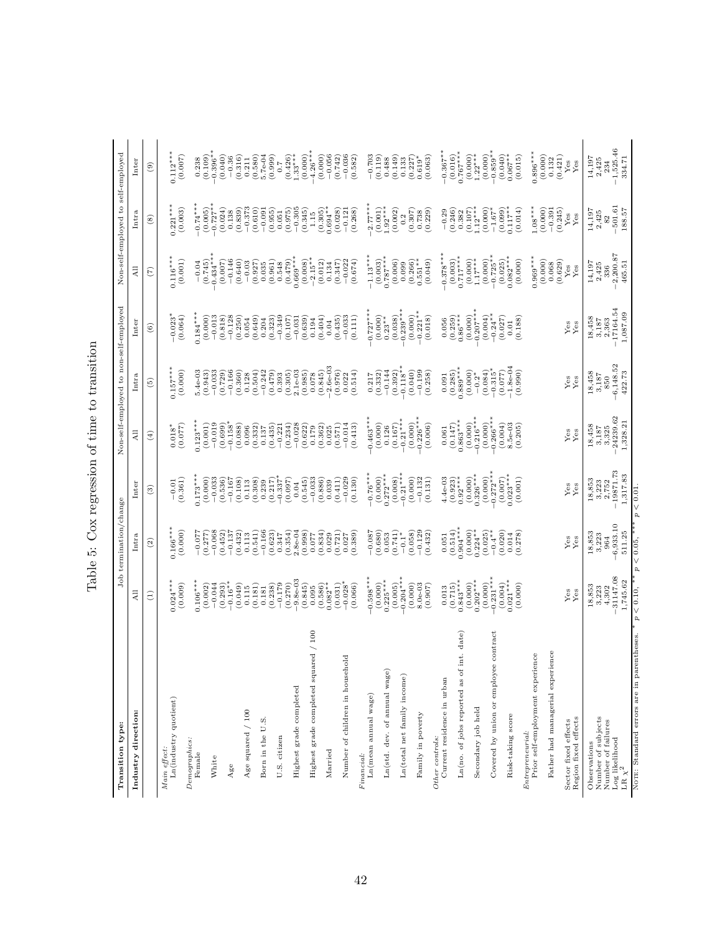| Transition type:                                         |                                                                | Job termination/change                             |                                                                    |                                                            | Non-self-employed to non-self-employed                |                                                                 |                                                               | Non-self-employed to self-employed                         |                                                            |
|----------------------------------------------------------|----------------------------------------------------------------|----------------------------------------------------|--------------------------------------------------------------------|------------------------------------------------------------|-------------------------------------------------------|-----------------------------------------------------------------|---------------------------------------------------------------|------------------------------------------------------------|------------------------------------------------------------|
| Industry direction:                                      | Ę                                                              | Intra                                              | Inter                                                              | $\Xi$                                                      | Intra                                                 | Inter                                                           | $\overline{A}$ ll                                             | Intra                                                      | Inter                                                      |
|                                                          | Э                                                              | $\widehat{c}$                                      | $\widehat{\mathbf{e}}$                                             | $\left( 4\right)$                                          | $\widetilde{5}$                                       | $\widehat{\circ}$                                               | $\widehat{\epsilon}$                                          | $\left( 8\right)$                                          | $\widehat{e}$                                              |
| Ln(industry quotient)<br>Main effect:                    | $0.024***$<br>(0.009)                                          | $0.166***$<br>(0.000)                              | (0.361)<br>$-0.01$                                                 | (0.077)<br>$0.018*$                                        | $0.157***$<br>(0.000)                                 | $-0.023$ <sup>*</sup><br>(0.064)                                | (0.001)<br>$0.116***$                                         | $0.221***$<br>(0.003)                                      | $0.112***$<br>(0.007)                                      |
| Demographics:<br>Female                                  | $0.106***$                                                     | $-0.077$                                           | $0.173***$                                                         | $0.123***$                                                 | $5.4e-03$                                             | $0.184***$                                                      | $-0.04$                                                       | $-0.74***$                                                 | 0.238                                                      |
| White                                                    | $-0.044$<br>(0.002)                                            | $-0.068$<br>(0.277)                                | (0.000)<br>$-0.033$                                                | (0.001)<br>$-0.019$                                        | $-0.033$<br>(0.943)                                   | (0.000)<br>$-0.013$                                             | $(0.745)$<br>$-0.434***$                                      | $(0.005)$<br>-0.727*                                       | $-0.396**$<br>(0.109)                                      |
| Age                                                      | $-0.16**$<br>(0.293)                                           | (0.452)<br>$-0.137$                                | (0.536)<br>$-0.167$                                                | $-0.158$ <sup>*</sup><br>(0.699)                           | $-0.166$<br>(0.729)                                   | $-0.128$<br>(0.818)                                             | $-0.146$<br>(0.007)                                           | (0.024)<br>0.138                                           | (0.040)<br>$-0.36$                                         |
| Age squared / 100                                        | (0.049)<br>0.115                                               | (0.432)<br>0.113                                   | (0.108)<br>0.113                                                   | (0.088)<br>0.096                                           | (0.360)<br>0.128                                      | (0.250)<br>0.054                                                | (0.640)<br>$-0.03$                                            | $-0.373$<br>(0.839)                                        | (0.316)<br>0.211                                           |
| Born in the U.S.                                         | (0.181)<br>$\begin{array}{c} 0.181 \\ (0.238) \end{array}$     | $-0.166$<br>(0.541)                                | (0.308)<br>$(0.239)$<br>$(0.217)$                                  | (0.332)<br>0.137                                           | $-0.242$<br>(0.504)                                   | (0.649)<br>0.204                                                | $\begin{array}{c} (0.927) \\ 0.035 \\ 0.035 \end{array}$      | (0.610)<br>$-0.091$                                        | $5.7e-04$<br>(0.580)                                       |
| U.S. citizen                                             | $-0.179$                                                       | (0.623)<br>0.347                                   | $-0.337$                                                           | (0.435)<br>$-0.221$                                        | (0.479)<br>0.393                                      | $-0.349$<br>(0.323)                                             | 0.548                                                         | (0.955)<br>0.051                                           | (0.999)<br>7.0                                             |
| Highest grade completed                                  | $-9.8 - 03$<br>(0.270)                                         | (0.354)<br>$2.8 - 04$                              | (0.097)<br>$0.04\,$                                                | $-0.028$<br>(0.234)                                        | $2.1e-03$<br>$(0.985)$<br>(0.305)                     | (0.107)<br>$-0.031$                                             | $0.669***$<br>(0.479)                                         | $-0.305$<br>(0.975)                                        | $(0.426)$<br>1.33****                                      |
| $^{100}$<br>Highest grade completed squared /            | (0.845)<br>0.095                                               | (0.998)<br>770.0                                   | $-0.033$<br>(0.545)                                                | $(0.622)$<br>$0.179$                                       | 0.078                                                 | (0.639)<br>0.194                                                | $-2.15**$<br>(0.008)                                          | (0.345)<br>1.15                                            | $-4.26***$<br>(0.000)<br>(0.000)                           |
| Married                                                  | $(0.586)$<br>$0.082**$<br>(0.031)                              | (0.834)<br>(0.721)<br>0.029                        | $\begin{array}{c} (0.886) \\ 0.039 \end{array}$<br>(0.411)         | $\begin{array}{c} (0.362) \\ 0.025 \end{array}$<br>(0.571) | $(0.845)$<br>-2.6e-03<br>(0.976)                      | $\begin{array}{c} (0.404) \\ 0.04 \end{array}$<br>(0.435)       | (0.012)<br>(0.347)<br>0.134                                   | $(0.305)$<br>$0.694**$<br>(0.028)                          | $-0.056$<br>(0.742)                                        |
| $_{\rm old}$<br>Number of children in househ             | $-0.028$ <sup>*</sup><br>(0.066)                               | (0.389)<br>0.027                                   | $-0.029$<br>(0.130)                                                | $-0.014$<br>(0.413)                                        | (0.514)<br>0.022                                      | $-0.033$<br>(0.111)                                             | $-0.022$<br>(0.674)                                           | $-0.121$<br>(0.268)                                        | $-0.036$<br>(0.582)                                        |
| Ln(mean annual wage)<br>Financial:                       | $-0.598***$                                                    | $-0.087$<br>(0.680)                                | $-0.76***$                                                         | $-0.463**$                                                 | (0.332)<br>0.217                                      | $-0.727**$                                                      | $-1.13***$                                                    | $-2.77***$                                                 | $-0.703$<br>(0.119)                                        |
| Ln(std. dev. of annual wage)                             | $(0.000)$<br>0.225***<br>(0.005)                               | 0.053                                              | $\begin{array}{c} (0.000) \\ 0.272 {^{**}} \end{array}$<br>(0.008) | $\begin{array}{c} (0.000) \\ 0.126 \end{array}$<br>(0.167) | $-0.144$<br>(0.392)                                   | $\big(0.000\big) \\ 0.23^{**}$<br>(0.038)                       | $\begin{array}{c} (0.003) \\ 0.787*** \end{array}$<br>(0.006) | $(0.001)$<br>$1.92***$<br>(0.002)                          | (0.149)<br>0.488                                           |
| Ln(total net family income)                              | $0.204***$<br>(0.000)                                          | (0.058)<br>$(0.741)$<br>-0.1*                      | $-0.21***$<br>(0.000)                                              | $-0.21***$<br>(0.000)                                      | $-0.118**$<br>(0.040)                                 | $-0.239***$<br>(0.000)                                          | 0.099                                                         | 0.2                                                        | 0.133                                                      |
| Family in poverty                                        | $8.0e-03$<br>(0.907)                                           | $-0.129$<br>(0.432)                                | $-0.132$<br>(0.131)                                                | $-0.226***$<br>(0.006)                                     | $-0.199$<br>(0.258)                                   | $-0.221**$<br>(0.018)                                           | $(0.266)$<br>$0.551**$<br>(0.049)                             | $\begin{array}{c} (0.307) \\ 0.738 \end{array}$<br>(0.229) | (0.063)<br>$\begin{array}{c} (0.227) \\ 0.619 \end{array}$ |
| Current residence in urban<br>Other controls:            |                                                                | 0.051                                              | $4.4e-03$                                                          | 0.061                                                      | 0.091                                                 | 0.056                                                           | $-0.378***$                                                   | $-0.29$                                                    | $-0.367***$                                                |
| int. date)<br>Ln(no. of jobs reported as of              | $\begin{array}{c} 0.013 \\ (0.715) \\ 0.843^{***} \end{array}$ | $\begin{array}{c} (0.514) \\ 0.904*** \end{array}$ | $(0.923)$<br>$0.92***$                                             | $0.863***$<br>(0.000)<br>(0.147)                           | $\begin{array}{c} (0.285) \\ 0.889^{***} \end{array}$ | $(0.259)$<br>$0.86***$<br>(0.000)                               | $^{(0.003)}_{0.717***}$                                       | (0.246)<br>0.382                                           | $0.767***$<br>(0.016)                                      |
| Secondary job held                                       | $(0.000)$<br>$0.202***$<br>(0.000)                             | $(0.000)$<br>$0.224**$                             | $(0.000)$<br>$0.326***$<br>(0.000)                                 | $-0.216***$<br>(0.000)                                     | (0.084)<br>$(0.000)$<br>-0.2*                         | $-0.207***$                                                     | $_{1.17***}^{(0.000)}$<br>(0.000)                             | $(0.107)$<br>1.12***<br>(0.000)                            | $(0.000)$<br>1.22**<br>(0.000)                             |
| Covered by union or employee contract                    | $0.231**$                                                      | $(0.025)$<br>-0.4**<br>(0.020)                     | $0.272***$                                                         | $0.266**$<br>(0.004)                                       | $\frac{-0.315}{0.077}$                                | $\begin{array}{c} (0.004) \\ -0.24 {^*} \\ (0.027) \end{array}$ | $-0.725$ **<br>(0.025)<br>0.082***                            | $-1.67$ <sup>*</sup>                                       | $-0.859$ **<br>(0.040)                                     |
| Risk-taking score                                        | $(0.004)$<br>$0.021***$<br>(0.000)                             | (0.278)<br>0.014                                   | $(0.007)$<br>$0.023***$<br>(0.001)                                 | $8.5e-03$<br>(0.205)                                       | (0.990)                                               | (0.188)<br>0.01                                                 | (0.000)                                                       | $(0.099)$<br>0.117*<br>(0.014)                             | $0.067**$<br>(0.015)                                       |
| Prior self-employment experience<br>Entrepreneurial:     |                                                                |                                                    |                                                                    |                                                            |                                                       |                                                                 | $0.969***$                                                    | $1.08***$<br>(0.000)                                       | $0.896***$<br>(0.000)                                      |
| Father had managerial experience                         |                                                                |                                                    |                                                                    |                                                            |                                                       |                                                                 | (0.000)<br>(0.068)                                            | $-0.391$<br>(0.245)                                        | $\frac{0.132}{(0.421)}$                                    |
| Region fixed effects<br>Sector fixed effects             | $\mathbf{Yes}$<br>Yes                                          | $\frac{8}{10}$                                     | $\mathbf{Yes}$<br>Yes                                              | $\frac{9}{Y}$ es                                           | $\mathbf{Yes}$<br>Yes                                 | $\mathbf{Yes}$<br>${\rm Yes}$                                   | $\mathbf{Yes}$<br>Yes                                         | ${\rm Yes}$<br>Yes                                         | $Y$ es<br>Yes                                              |
| Number of subjects<br>Number of failures<br>Observations | 18,853<br>3,223<br>4,302                                       | 18,853<br>3,223<br>964                             | 18,853<br>3,223<br>2.752                                           | 18,458<br>3,325<br>3,187                                   | $18,458$<br>$3,187$<br>850                            | 18,458<br>$_{\rm 3,187}$                                        | 14,197<br>2,425<br>336                                        | $14,197$<br>$2,425$<br>82                                  | 14,197<br>2,425<br>234                                     |
| ${\rm Log\,\, likelihood}$ ${\rm LR\,\, \chi}^2$         | $-31147.08$<br>1,745.62                                        | $-6,933.10$<br>511.25                              | $-19871.73$<br>1,317.83                                            | $-24239.62$<br>1,328.21                                    | $-6,148.52$<br>422.73                                 | $-17164.54$<br>1,087.09                                         | $-2,200.87$<br>465.51                                         | $-501.61$<br>188.57                                        | $-1,525.46$<br>334.71                                      |
| NOTE: Standard errors are in parentheses.                | $p < 0.10$ ,                                                   | ** $p < 0.05$ ,                                    | $p < 0.01$ .                                                       |                                                            |                                                       |                                                                 |                                                               |                                                            |                                                            |

| -<br>-<br>-<br>֧֧ׅ֧ׅ֧֧֧֧֧֧֧֪ׅ֧ׅ֧֧֪ׅ֧֧֧֪ׅ֧֛֪ׅ֧֚֚֚֚֚֚֚֚֚֚֚֚֚֚֚֚֚֡֕֡֡֡֡֡֡֬֝֓֝֓֝֬֝֓֝֬֝֬֝֬֝֬֜֝֬֝֬֝֬ |
|------------------------------------------------------------------------------------------------|
|                                                                                                |
| י מי היימרים היימ                                                                              |
| $\frac{1}{2}$<br>1<br>Č                                                                        |
| ١                                                                                              |
| $\frac{1}{2}$<br>$\overline{\phantom{a}}$<br>ļ                                                 |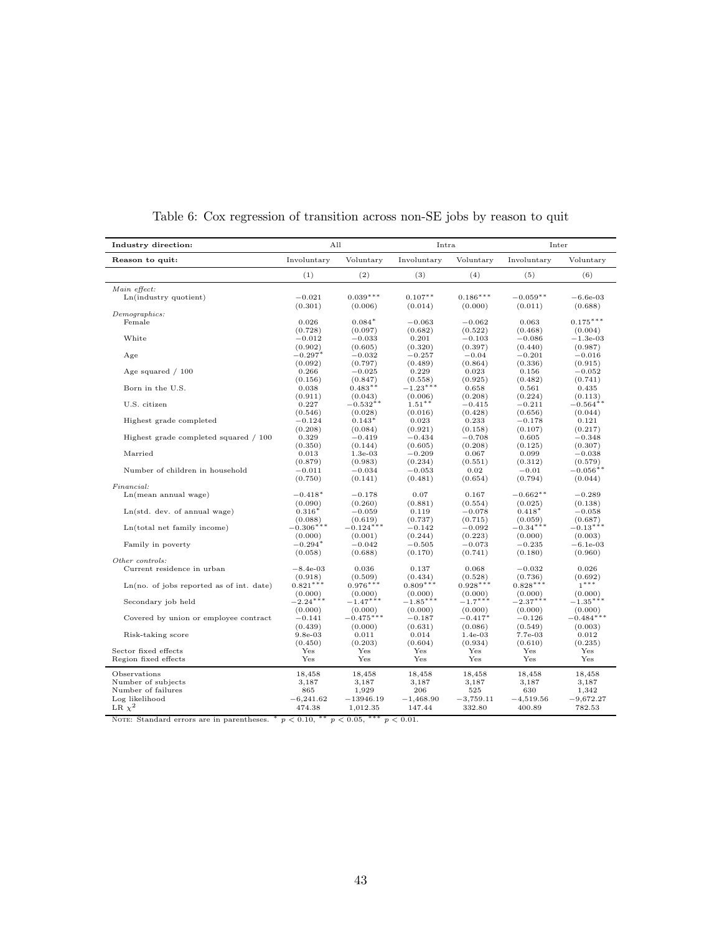| Industry direction:                        | All                   |                       | Intra                 |                      | Inter                 |                        |
|--------------------------------------------|-----------------------|-----------------------|-----------------------|----------------------|-----------------------|------------------------|
| Reason to quit:                            | Involuntary           | Voluntary             | Involuntary           | Voluntary            | Involuntary           | Voluntary              |
|                                            | (1)                   | (2)                   | (3)                   | (4)                  | (5)                   | (6)                    |
| Main effect:                               |                       |                       |                       |                      |                       |                        |
| Ln(industry quotient)                      | $-0.021$              | $0.039***$            | $0.107**$             | $0.186***$           | $-0.059**$            | $-6.6e-03$             |
|                                            | (0.301)               | (0.006)               | (0.014)               | (0.000)              | (0.011)               | (0.688)                |
| Demographics:<br>Female                    | 0.026                 | $0.084*$              | $-0.063$              | $-0.062$             | 0.063                 | $0.175***$             |
|                                            | (0.728)               | (0.097)               | (0.682)               | (0.522)              | (0.468)               | (0.004)                |
| White                                      | $-0.012$              | $-0.033$              | 0.201                 | $-0.103$             | $-0.086$              | $-1.3e-03$             |
|                                            | (0.902)               | (0.605)               | (0.320)               | (0.397)              | (0.440)               | (0.987)                |
| Age                                        | $-0.297*$             | $-0.032$              | $-0.257$              | $-0.04$              | $-0.201$              | $-0.016$               |
|                                            | (0.092)               | (0.797)               | (0.489)               | (0.864)              | (0.336)               | (0.915)                |
| Age squared $/100$                         | 0.266<br>(0.156)      | $-0.025$<br>(0.847)   | 0.229                 | 0.023<br>(0.925)     | 0.156<br>(0.482)      | $-0.052$<br>(0.741)    |
| Born in the U.S.                           | 0.038                 | $0.483**$             | (0.558)<br>$-1.23***$ | 0.658                | 0.561                 | 0.435                  |
|                                            | (0.911)               | (0.043)               | (0.006)               | (0.208)              | (0.224)               | (0.113)                |
| U.S. citizen                               | 0.227                 | $-0.532**$            | $1.51***$             | $^{ -0.415}$         | $-0.211$              | $-0.564$ **            |
|                                            | (0.546)               | (0.028)               | (0.016)               | (0.428)              | (0.656)               | (0.044)                |
| Highest grade completed                    | $-0.124$              | $0.143*$              | 0.023                 | 0.233                | $-0.178$              | 0.121                  |
|                                            | (0.208)               | (0.084)               | (0.921)               | (0.158)              | (0.107)               | (0.217)                |
| Highest grade completed squared / 100      | 0.329                 | $-0.419$              | $-0.434$              | $-0.708$             | 0.605                 | $-0.348$               |
|                                            | (0.350)               | (0.144)               | (0.605)               | (0.208)              | (0.125)               | (0.307)                |
| Married                                    | 0.013                 | $1.3e-03$             | $-0.209$              | 0.067                | 0.099                 | $-0.038$               |
| Number of children in household            | (0.879)<br>$-0.011$   | (0.983)<br>$-0.034$   | (0.234)<br>$-0.053$   | (0.551)<br>0.02      | (0.312)<br>$-0.01$    | (0.579)<br>$-0.056$ ** |
|                                            | (0.750)               | (0.141)               | (0.481)               | (0.654)              | (0.794)               | (0.044)                |
| Financial:                                 |                       |                       |                       |                      |                       |                        |
| Ln(mean annual wage)                       | $-0.418*$             | $-0.178$              | 0.07                  | 0.167                | $-0.662**$            | $-0.289$               |
|                                            | (0.090)               | (0.260)               | (0.881)               | (0.554)              | (0.025)               | (0.138)                |
| Ln(std. dev. of annual wage)               | $0.316*$              | $-0.059$              | 0.119                 | $-0.078$             | $0.418*$              | $-0.058$               |
|                                            | (0.088)               | (0.619)               | (0.737)               | (0.715)              | (0.059)               | (0.687)                |
| Ln(total net family income)                | $-0.306***$           | $-0.124***$           | $-0.142$              | $-0.092$             | $-0.34***$            | $-0.13***$             |
| Family in poverty                          | (0.000)<br>$-0.294*$  | (0.001)<br>$-0.042$   | (0.244)<br>$-0.505$   | (0.223)<br>$-0.073$  | (0.000)<br>$-0.235$   | (0.003)<br>$-6.1e-03$  |
|                                            | (0.058)               | (0.688)               | (0.170)               | (0.741)              | (0.180)               | (0.960)                |
| Other controls:                            |                       |                       |                       |                      |                       |                        |
| Current residence in urban                 | $-8.4e-03$            | 0.036                 | 0.137                 | 0.068                | $-0.032$              | 0.026                  |
|                                            | (0.918)               | (0.509)               | (0.434)               | (0.528)              | (0.736)               | (0.692)                |
| $Ln(no. of jobs reported as of int. date)$ | $0.821***$            | $0.976***$            | $0.809***$            | $0.928***$           | $0.828***$            | $1***$                 |
|                                            | (0.000)               | (0.000)               | (0.000)               | (0.000)              | (0.000)               | (0.000)                |
| Secondary job held                         | $-2.24***$<br>(0.000) | $-1.47***$<br>(0.000) | $-1.85***$            | $-1.7***$<br>(0.000) | $-2.37***$<br>(0.000) | $-1.35***$<br>(0.000)  |
| Covered by union or employee contract      | $-0.141$              | $-0.475***$           | (0.000)<br>$-0.187$   | $-0.417*$            | $-0.126$              | $-0.484***$            |
|                                            | (0.439)               | (0.000)               | (0.631)               | (0.086)              | (0.549)               | (0.003)                |
| Risk-taking score                          | $9.8e-03$             | 0.011                 | 0.014                 | $1.4e-03$            | 7.7e-03               | 0.012                  |
|                                            | (0.450)               | (0.203)               | (0.604)               | (0.934)              | (0.610)               | (0.235)                |
| Sector fixed effects                       | Yes                   | Yes                   | Yes                   | Yes                  | Yes                   | Yes                    |
| Region fixed effects                       | Yes                   | Yes                   | Yes                   | Yes                  | Yes                   | Yes                    |
| Observations                               | 18,458                | 18,458                | 18,458                | 18,458               | 18,458                | 18,458                 |
| Number of subjects                         | 3,187                 | 3,187                 | 3,187                 | 3,187                | 3,187                 | 3,187                  |
| Number of failures                         | 865                   | 1,929                 | 206                   | 525                  | 630                   | 1,342                  |
| Log likelihood                             | $-6,241.62$           | $-13946.19$           | $-1,468.90$           | $-3,759.11$          | $-4,519.56$           | $-9,672.27$            |
| LR $\chi^2$                                | 474.38                | 1,012.35              | 147.44                | 332.80               | 400.89                | 782.53                 |
| NOTE: Standard errors are in parentheses.  | $p < 0.10$ ,          | ***<br>p < 0.05,      | $p < 0.01$ .          |                      |                       |                        |

Table 6: Cox regression of transition across non-SE jobs by reason to quit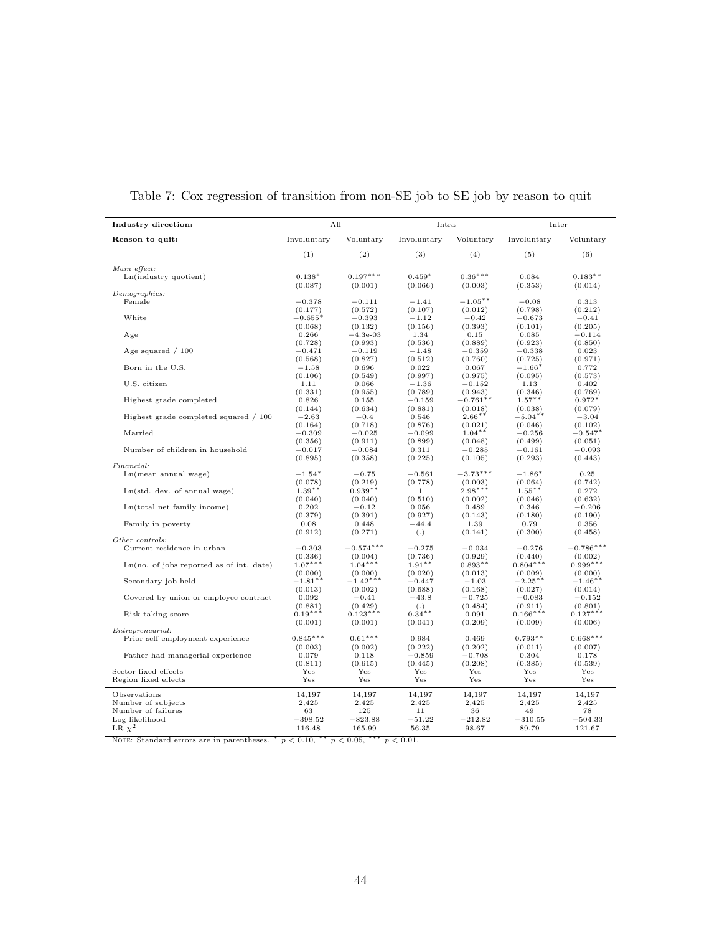| Industry direction:                          | All                         |                       | Intra               |                       | Inter                 |                       |
|----------------------------------------------|-----------------------------|-----------------------|---------------------|-----------------------|-----------------------|-----------------------|
| Reason to quit:                              | Involuntary                 | Voluntary             | Involuntary         | Voluntary             | Involuntary           | Voluntary             |
|                                              | (1)                         | (2)                   | (3)                 | (4)                   | (5)                   | (6)                   |
| Main effect:                                 |                             |                       |                     |                       |                       |                       |
| Ln(industry quotient)                        | $0.138*$<br>(0.087)         | $0.197***$<br>(0.001) | $0.459*$<br>(0.066) | $0.36***$<br>(0.003)  | 0.084<br>(0.353)      | $0.183**$<br>(0.014)  |
| Demographics:                                |                             |                       |                     |                       |                       |                       |
| Female                                       | $-0.378$                    | $-0.111$              | $-1.41$             | $-1.05***$            | $-0.08$               | 0.313                 |
|                                              | (0.177)                     | (0.572)               | (0.107)             | (0.012)               | (0.798)               | (0.212)               |
| White                                        | $-0.655^{\circ}$<br>(0.068) | $-0.393$<br>(0.132)   | $-1.12$<br>(0.156)  | $-0.42$<br>(0.393)    | $-0.673$<br>(0.101)   | $-0.41$<br>(0.205)    |
| Age                                          | 0.266                       | $-4.3e-03$            | 1.34                | 0.15                  | 0.085                 | $-0.114$              |
|                                              | (0.728)                     | (0.993)               | (0.536)             | (0.889)               | (0.923)               | (0.850)               |
| Age squared $/100$                           | $-0.471$                    | $-0.119$              | $-1.48$             | $-0.359$              | $-0.338$              | 0.023                 |
|                                              | (0.568)                     | (0.827)               | (0.512)             | (0.760)               | (0.725)               | (0.971)               |
| Born in the U.S.                             | $-1.58$                     | 0.696                 | 0.022               | 0.067                 | $-1.66*$              | 0.772                 |
|                                              | (0.106)                     | (0.549)               | (0.997)             | (0.975)               | (0.095)               | (0.573)               |
| U.S. citizen                                 | 1.11                        | 0.066                 | $-1.36$             | $-0.152$              | 1.13                  | 0.402                 |
| Highest grade completed                      | (0.331)                     | (0.955)               | (0.789)             | (0.943)<br>$-0.761**$ | (0.346)<br>$1.57***$  | (0.769)<br>$0.972*$   |
|                                              | 0.826<br>(0.144)            | 0.155<br>(0.634)      | $-0.159$<br>(0.881) | (0.018)               | (0.038)               | (0.079)               |
| Highest grade completed squared / 100        | $-2.63$                     | $-0.4$                | 0.546               | $2.66***$             | $-5.04**$             | $-3.04$               |
|                                              | (0.164)                     | (0.718)               | (0.876)             | (0.021)               | (0.046)               | (0.102)               |
| Married                                      | $-0.309$                    | $-0.025$              | $-0.099$            | $1.04**$              | $-0.256$              | $-0.547*$             |
|                                              | (0.356)                     | (0.911)               | (0.899)             | (0.048)               | (0.499)               | (0.051)               |
| Number of children in household              | $-0.017$                    | $-0.084$              | 0.311               | $-0.285$              | $-0.161$              | $-0.093$              |
|                                              | (0.895)                     | (0.358)               | (0.225)             | (0.105)               | (0.293)               | (0.443)               |
| <i>Financial:</i>                            |                             |                       |                     |                       |                       |                       |
| Ln(mean annual wage)                         | $-1.54*$                    | $-0.75$               | $-0.561$            | $-3.73***$            | $-1.86*$              | 0.25                  |
|                                              | (0.078)                     | (0.219)               | (0.778)             | (0.003)               | (0.064)               | (0.742)               |
| Ln(std. dev. of annual wage)                 | $1.39**$                    | $0.939**$             | 1                   | $2.98***$             | $1.55***$             | 0.272                 |
| Ln(total net family income)                  | (0.040)<br>0.202            | (0.040)<br>$-0.12$    | (0.510)<br>0.056    | (0.002)<br>0.489      | (0.046)<br>0.346      | (0.632)<br>$-0.206$   |
|                                              | (0.379)                     | (0.391)               | (0.927)             | (0.143)               | (0.180)               | (0.190)               |
| Family in poverty                            | 0.08                        | 0.448                 | $-44.4$             | 1.39                  | 0.79                  | 0.356                 |
|                                              | (0.912)                     | (0.271)               | (.)                 | (0.141)               | (0.300)               | (0.458)               |
| Other controls:                              |                             |                       |                     |                       |                       |                       |
| Current residence in urban                   | $-0.303$                    | $-0.574***$           | $-0.275$            | $-0.034$              | $-0.276$              | $-0.786***$           |
|                                              | (0.336)                     | (0.004)               | (0.736)             | (0.929)               | (0.440)               | (0.002)               |
| $Ln(no. of jobs reported as of int. date)$   | $1.07***$                   | $1.04***$             | $1.91***$           | $0.893**$             | $0.804***$            | $0.999***$            |
|                                              | (0.000)                     | (0.000)               | (0.020)             | (0.013)               | (0.009)               | (0.000)               |
| Secondary job held                           | $-1.81$ **<br>(0.013)       | $-1.42***$<br>(0.002) | $-0.447$<br>(0.688) | $-1.03$<br>(0.168)    | $-2.25***$<br>(0.027) | $-1.46$ **<br>(0.014) |
| Covered by union or employee contract        | 0.092                       | $-0.41$               | $-43.8$             | $-0.725$              | $-0.083$              | $-0.152$              |
|                                              | (0.881)                     | (0.429)               | (.)                 | (0.484)               | (0.911)               | (0.801)               |
| Risk-taking score                            | $0.19***$                   | $0.123***$            | $0.34**$            | 0.091                 | $0.166***$            | $0.127***$            |
|                                              | (0.001)                     | (0.001)               | (0.041)             | (0.209)               | (0.009)               | (0.006)               |
| Entrepreneurial:                             |                             |                       |                     |                       |                       |                       |
| Prior self-employment experience             | $0.845***$                  | $0.61***$             | 0.984               | 0.469                 | $0.793**$             | $0.668***$            |
|                                              | (0.003)                     | (0.002)               | (0.222)             | (0.202)               | (0.011)               | (0.007)               |
| Father had managerial experience             | 0.079                       | 0.118                 | $-0.859$            | $-0.708$              | 0.304                 | 0.178                 |
|                                              | (0.811)<br>Yes              | (0.615)<br>Yes        | (0.445)             | (0.208)               | (0.385)               | (0.539)               |
| Sector fixed effects<br>Region fixed effects | Yes                         | Yes                   | Yes<br>Yes          | Yes<br>Yes            | Yes<br>Yes            | Yes<br>Yes            |
|                                              |                             |                       |                     |                       |                       |                       |
| Observations                                 | 14,197                      | 14,197                | 14,197              | 14,197                | 14,197                | 14,197                |
| Number of subjects                           | 2,425                       | 2,425                 | 2,425               | 2,425                 | 2,425                 | 2,425                 |
| Number of failures                           | 63                          | 125                   | 11                  | 36                    | 49                    | 78                    |
| Log likelihood                               | $-398.52$                   | $-823.88$             | $-51.22$            | $-212.82$             | $-310.55$             | $-504.33$             |
| LR $\chi^2$                                  | 116.48                      | 165.99                | 56.35               | 98.67                 | 89.79                 | 121.67                |

Table 7: Cox regression of transition from non-SE job to SE job by reason to quit

NOTE: Standard errors are in parentheses.  $\binom{*}{} p \lt 0.10, \binom{*}{} p \lt 0.05, \binom{*}{} p \lt 0.01.$